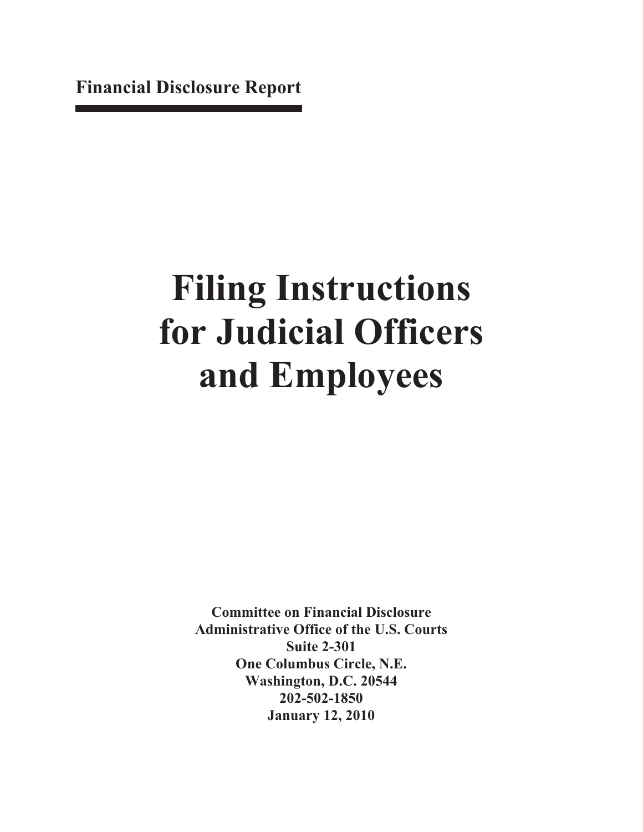**Financial Disclosure Report**

# **Filing Instructions for Judicial Officers and Employees**

**Committee on Financial Disclosure Administrative Office of the U.S. Courts Suite 2-301 One Columbus Circle, N.E. Washington, D.C. 20544 202-502-1850 January 12, 2010**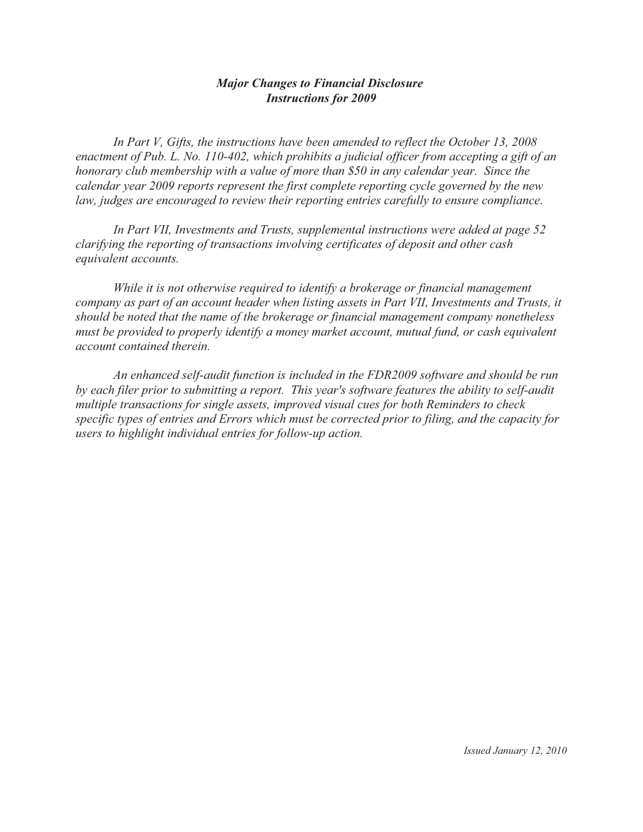# **Major Changes to Financial Disclosure Instructions for 2009**

In Part V, Gifts, the instructions have been amended to reflect the October 13, 2008 enactment of Pub. L. No. 110-402, which prohibits a judicial officer from accepting a gift of an honorary club membership with a value of more than \$50 in any calendar year. Since the calendar year 2009 reports represent the first complete reporting cycle governed by the new law, judges are encouraged to review their reporting entries carefully to ensure compliance.

In Part VII, Investments and Trusts, supplemental instructions were added at page 52 clarifying the reporting of transactions involving certificates of deposit and other cash equivalent accounts.

While it is not otherwise required to identify a brokerage or financial management company as part of an account header when listing assets in Part VII, Investments and Trusts, it should be noted that the name of the brokerage or financial management company nonetheless must be provided to properly identify a money market account, mutual fund, or cash equivalent account contained therein.

An enhanced self-audit function is included in the FDR2009 software and should be run by each filer prior to submitting a report. This year's software features the ability to self-audit multiple transactions for single assets, improved visual cues for both Reminders to check specific types of entries and Errors which must be corrected prior to filing, and the capacity for users to highlight individual entries for follow-up action.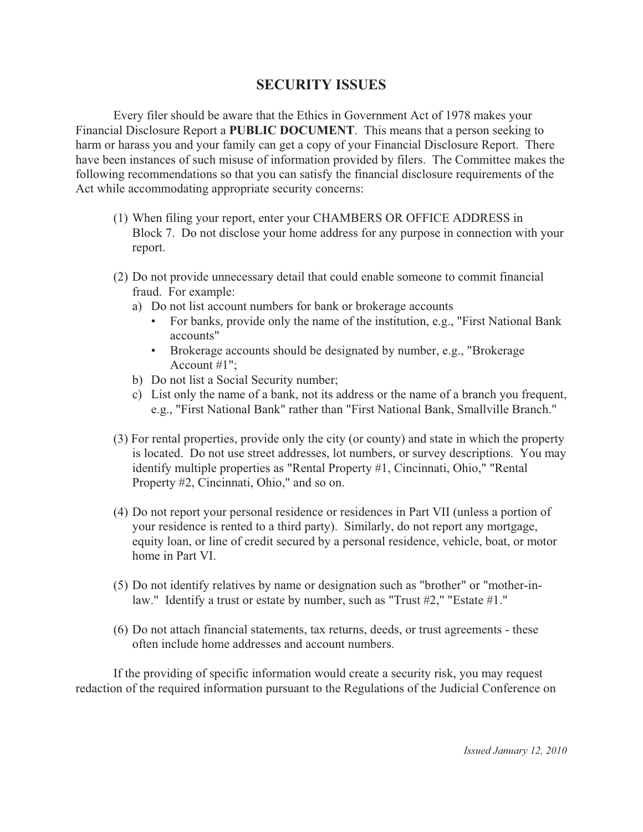# **SECURITY ISSUES**

Every filer should be aware that the Ethics in Government Act of 1978 makes your Financial Disclosure Report a **PUBLIC DOCUMENT**. This means that a person seeking to harm or harass you and your family can get a copy of your Financial Disclosure Report. There have been instances of such misuse of information provided by filers. The Committee makes the following recommendations so that you can satisfy the financial disclosure requirements of the Act while accommodating appropriate security concerns:

- (1) When filing your report, enter your CHAMBERS OR OFFICE ADDRESS in Block 7. Do not disclose your home address for any purpose in connection with your report.
- (2) Do not provide unnecessary detail that could enable someone to commit financial fraud. For example:
	- a) Do not list account numbers for bank or brokerage accounts
		- For banks, provide only the name of the institution, e.g., "First National Bank" accounts"
		- Brokerage accounts should be designated by number, e.g., "Brokerage" Account  $#1"$ :
	- b) Do not list a Social Security number;
	- c) List only the name of a bank, not its address or the name of a branch you frequent, e.g., "First National Bank" rather than "First National Bank, Smallville Branch."
- (3) For rental properties, provide only the city (or county) and state in which the property is located. Do not use street addresses, lot numbers, or survey descriptions. You may identify multiple properties as "Rental Property #1, Cincinnati, Ohio," "Rental Property #2, Cincinnati, Ohio," and so on.
- (4) Do not report your personal residence or residences in Part VII (unless a portion of your residence is rented to a third party). Similarly, do not report any mortgage, equity loan, or line of credit secured by a personal residence, vehicle, boat, or motor home in Part VI.
- (5) Do not identify relatives by name or designation such as "brother" or "mother-inlaw." Identify a trust or estate by number, such as "Trust #2," "Estate #1."
- (6) Do not attach financial statements, tax returns, deeds, or trust agreements these often include home addresses and account numbers.

If the providing of specific information would create a security risk, you may request redaction of the required information pursuant to the Regulations of the Judicial Conference on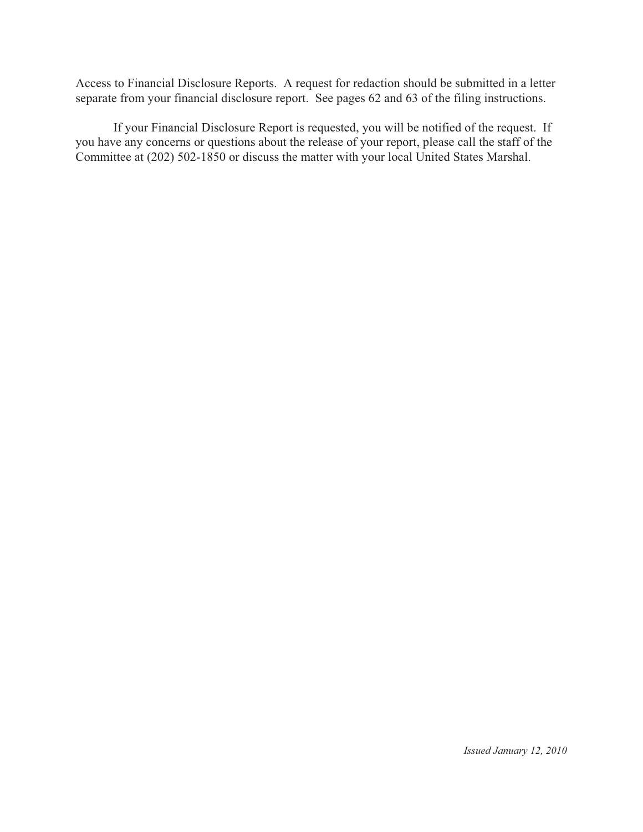Access to Financial Disclosure Reports. A request for redaction should be submitted in a letter separate from your financial disclosure report. See pages 62 and 63 of the filing instructions.

If your Financial Disclosure Report is requested, you will be notified of the request. If you have any concerns or questions about the release of your report, please call the staff of the Committee at (202) 502-1850 or discuss the matter with your local United States Marshal.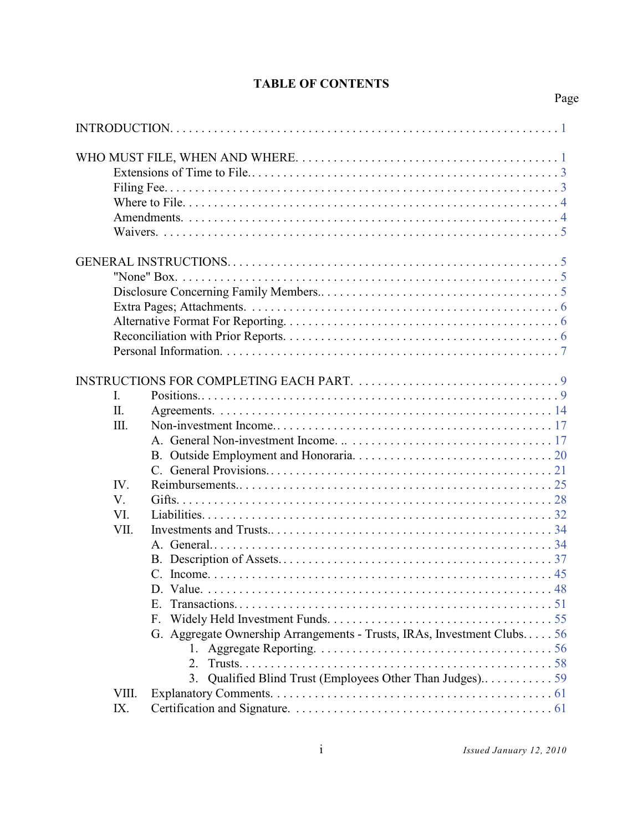# **TABLE OF CONTENTS**

|       | $\blacksquare$ $\blacksquare$ $\blacksquare$ $\blacksquare$ $\blacksquare$ $\blacksquare$ $\blacksquare$ $\blacksquare$ $\blacksquare$ $\blacksquare$ $\blacksquare$ $\blacksquare$ $\blacksquare$ $\blacksquare$ $\blacksquare$ $\blacksquare$ $\blacksquare$ $\blacksquare$ $\blacksquare$ $\blacksquare$ $\blacksquare$ $\blacksquare$ $\blacksquare$ $\blacksquare$ $\blacksquare$ $\blacksquare$ $\blacksquare$ $\blacksquare$ $\blacksquare$ $\blacksquare$ $\blacksquare$ $\blacks$ |  |
|-------|--------------------------------------------------------------------------------------------------------------------------------------------------------------------------------------------------------------------------------------------------------------------------------------------------------------------------------------------------------------------------------------------------------------------------------------------------------------------------------------------|--|
|       |                                                                                                                                                                                                                                                                                                                                                                                                                                                                                            |  |
|       |                                                                                                                                                                                                                                                                                                                                                                                                                                                                                            |  |
|       |                                                                                                                                                                                                                                                                                                                                                                                                                                                                                            |  |
|       |                                                                                                                                                                                                                                                                                                                                                                                                                                                                                            |  |
|       |                                                                                                                                                                                                                                                                                                                                                                                                                                                                                            |  |
|       |                                                                                                                                                                                                                                                                                                                                                                                                                                                                                            |  |
|       |                                                                                                                                                                                                                                                                                                                                                                                                                                                                                            |  |
|       |                                                                                                                                                                                                                                                                                                                                                                                                                                                                                            |  |
|       |                                                                                                                                                                                                                                                                                                                                                                                                                                                                                            |  |
|       |                                                                                                                                                                                                                                                                                                                                                                                                                                                                                            |  |
|       |                                                                                                                                                                                                                                                                                                                                                                                                                                                                                            |  |
|       |                                                                                                                                                                                                                                                                                                                                                                                                                                                                                            |  |
|       |                                                                                                                                                                                                                                                                                                                                                                                                                                                                                            |  |
|       |                                                                                                                                                                                                                                                                                                                                                                                                                                                                                            |  |
|       |                                                                                                                                                                                                                                                                                                                                                                                                                                                                                            |  |
|       |                                                                                                                                                                                                                                                                                                                                                                                                                                                                                            |  |
| Ι.    |                                                                                                                                                                                                                                                                                                                                                                                                                                                                                            |  |
| Π.    |                                                                                                                                                                                                                                                                                                                                                                                                                                                                                            |  |
| Ш.    |                                                                                                                                                                                                                                                                                                                                                                                                                                                                                            |  |
|       |                                                                                                                                                                                                                                                                                                                                                                                                                                                                                            |  |
|       |                                                                                                                                                                                                                                                                                                                                                                                                                                                                                            |  |
|       |                                                                                                                                                                                                                                                                                                                                                                                                                                                                                            |  |
| IV.   |                                                                                                                                                                                                                                                                                                                                                                                                                                                                                            |  |
| V.    |                                                                                                                                                                                                                                                                                                                                                                                                                                                                                            |  |
| VI.   |                                                                                                                                                                                                                                                                                                                                                                                                                                                                                            |  |
| VII.  |                                                                                                                                                                                                                                                                                                                                                                                                                                                                                            |  |
|       |                                                                                                                                                                                                                                                                                                                                                                                                                                                                                            |  |
|       |                                                                                                                                                                                                                                                                                                                                                                                                                                                                                            |  |
|       |                                                                                                                                                                                                                                                                                                                                                                                                                                                                                            |  |
|       |                                                                                                                                                                                                                                                                                                                                                                                                                                                                                            |  |
|       | $E_{\rm{r}}$                                                                                                                                                                                                                                                                                                                                                                                                                                                                               |  |
|       | F.                                                                                                                                                                                                                                                                                                                                                                                                                                                                                         |  |
|       | G. Aggregate Ownership Arrangements - Trusts, IRAs, Investment Clubs 56                                                                                                                                                                                                                                                                                                                                                                                                                    |  |
|       |                                                                                                                                                                                                                                                                                                                                                                                                                                                                                            |  |
|       | 2.                                                                                                                                                                                                                                                                                                                                                                                                                                                                                         |  |
|       | 3.                                                                                                                                                                                                                                                                                                                                                                                                                                                                                         |  |
| VIII. |                                                                                                                                                                                                                                                                                                                                                                                                                                                                                            |  |
| IX.   |                                                                                                                                                                                                                                                                                                                                                                                                                                                                                            |  |
|       |                                                                                                                                                                                                                                                                                                                                                                                                                                                                                            |  |

Page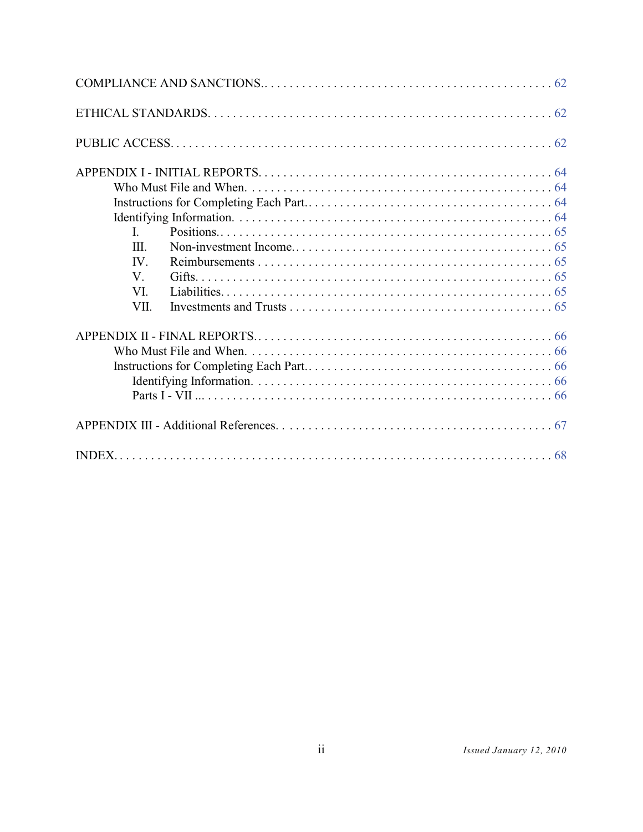| L.   |  |
|------|--|
| III. |  |
| IV.  |  |
| V.   |  |
| VI.  |  |
| VII. |  |
|      |  |
|      |  |
|      |  |
|      |  |
|      |  |
|      |  |
|      |  |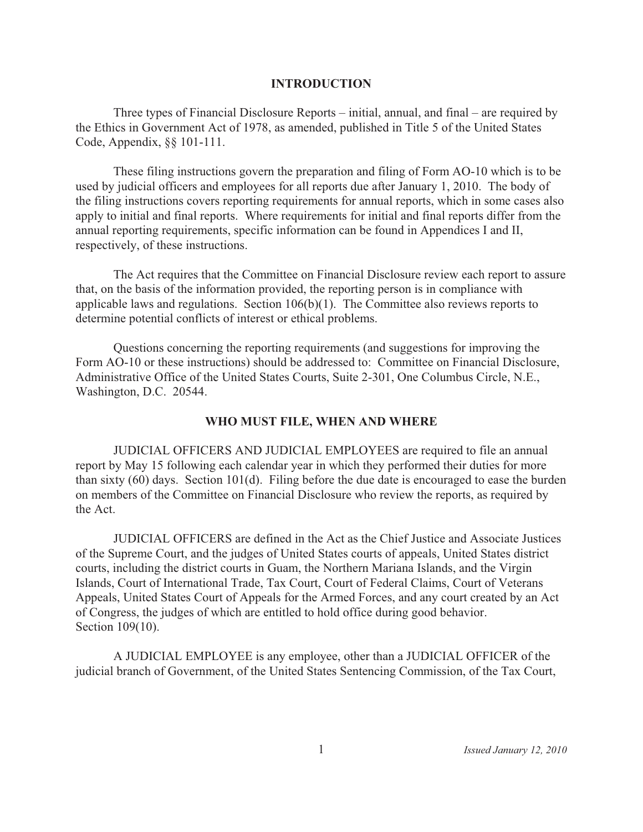#### **INTRODUCTION**

Three types of Financial Disclosure Reports – initial, annual, and final – are required by the Ethics in Government Act of 1978, as amended, published in Title 5 of the United States Code, Appendix,  $\S\S 101-111$ .

These filing instructions govern the preparation and filing of Form AO-10 which is to be used by judicial officers and employees for all reports due after January 1, 2010. The body of the filing instructions covers reporting requirements for annual reports, which in some cases also apply to initial and final reports. Where requirements for initial and final reports differ from the annual reporting requirements, specific information can be found in Appendices I and II, respectively, of these instructions.

The Act requires that the Committee on Financial Disclosure review each report to assure that, on the basis of the information provided, the reporting person is in compliance with applicable laws and regulations. Section  $106(b)(1)$ . The Committee also reviews reports to determine potential conflicts of interest or ethical problems.

Questions concerning the reporting requirements (and suggestions for improving the Form AO-10 or these instructions) should be addressed to: Committee on Financial Disclosure, Administrative Office of the United States Courts, Suite 2-301, One Columbus Circle, N.E., Washington, D.C. 20544.

# WHO MUST FILE, WHEN AND WHERE

JUDICIAL OFFICERS AND JUDICIAL EMPLOYEES are required to file an annual report by May 15 following each calendar year in which they performed their duties for more than sixty  $(60)$  days. Section 101 $(d)$ . Filing before the due date is encouraged to ease the burden on members of the Committee on Financial Disclosure who review the reports, as required by the Act.

JUDICIAL OFFICERS are defined in the Act as the Chief Justice and Associate Justices of the Supreme Court, and the judges of United States courts of appeals, United States district courts, including the district courts in Guam, the Northern Mariana Islands, and the Virgin Islands, Court of International Trade, Tax Court, Court of Federal Claims, Court of Veterans Appeals, United States Court of Appeals for the Armed Forces, and any court created by an Act of Congress, the judges of which are entitled to hold office during good behavior. Section 109(10).

A JUDICIAL EMPLOYEE is any employee, other than a JUDICIAL OFFICER of the judicial branch of Government, of the United States Sentencing Commission, of the Tax Court,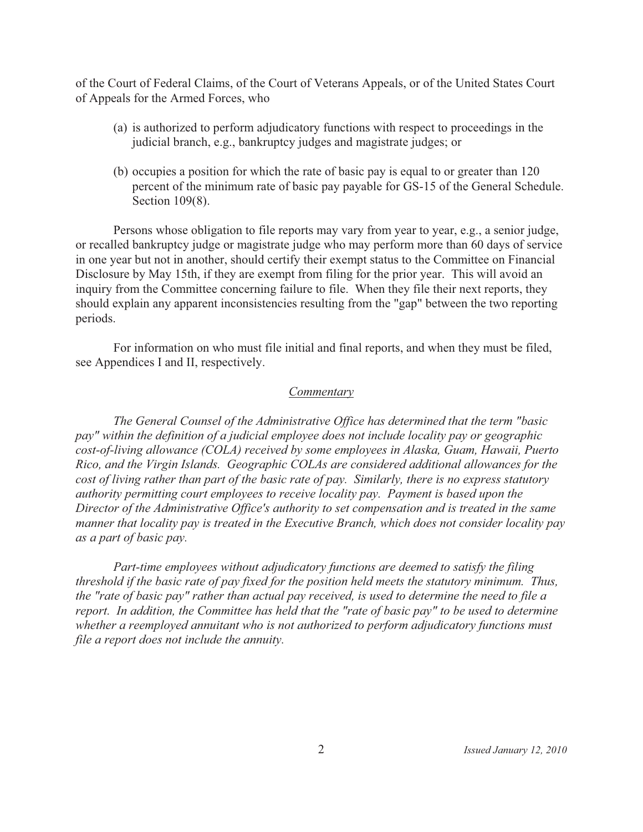of the Court of Federal Claims, of the Court of Veterans Appeals, or of the United States Court of Appeals for the Armed Forces, who

- (a) is authorized to perform adjudicatory functions with respect to proceedings in the judicial branch, e.g., bankruptcy judges and magistrate judges; or
- (b) occupies a position for which the rate of basic pay is equal to or greater than 120 percent of the minimum rate of basic pay payable for GS-15 of the General Schedule. Section 109(8).

Persons whose obligation to file reports may vary from year to year, e.g., a senior judge, or recalled bankruptcy judge or magistrate judge who may perform more than 60 days of service in one year but not in another, should certify their exempt status to the Committee on Financial Disclosure by May 15th, if they are exempt from filing for the prior year. This will avoid an inquiry from the Committee concerning failure to file. When they file their next reports, they should explain any apparent inconsistencies resulting from the "gap" between the two reporting periods.

For information on who must file initial and final reports, and when they must be filed, see Appendices I and II, respectively.

#### Commentary

The General Counsel of the Administrative Office has determined that the term "basic" pay" within the definition of a judicial employee does not include locality pay or geographic cost-of-living allowance (COLA) received by some employees in Alaska, Guam, Hawaii, Puerto Rico, and the Virgin Islands. Geographic COLAs are considered additional allowances for the cost of living rather than part of the basic rate of pay. Similarly, there is no express statutory authority permitting court employees to receive locality pay. Payment is based upon the Director of the Administrative Office's authority to set compensation and is treated in the same manner that locality pay is treated in the Executive Branch, which does not consider locality pay as a part of basic pay.

Part-time employees without adjudicatory functions are deemed to satisfy the filing threshold if the basic rate of pay fixed for the position held meets the statutory minimum. Thus, the "rate of basic pay" rather than actual pay received, is used to determine the need to file a report. In addition, the Committee has held that the "rate of basic pay" to be used to determine whether a reemployed annuitant who is not authorized to perform adjudicatory functions must file a report does not include the annuity.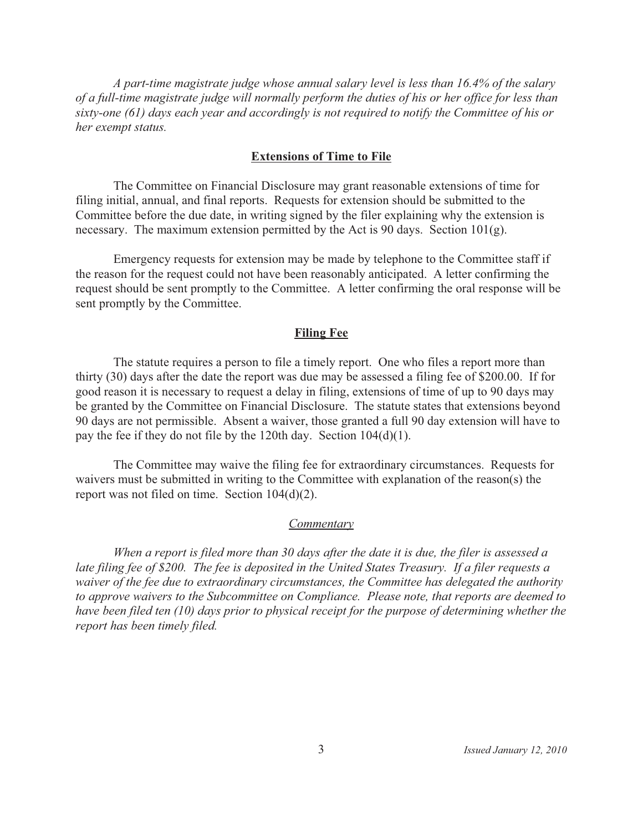A part-time magistrate judge whose annual salary level is less than 16.4% of the salary of a full-time magistrate judge will normally perform the duties of his or her office for less than sixty-one (61) days each year and accordingly is not required to notify the Committee of his or her exempt status.

#### **Extensions of Time to File**

The Committee on Financial Disclosure may grant reasonable extensions of time for filing initial, annual, and final reports. Requests for extension should be submitted to the Committee before the due date, in writing signed by the filer explaining why the extension is necessary. The maximum extension permitted by the Act is 90 days. Section  $101(g)$ .

Emergency requests for extension may be made by telephone to the Committee staff if the reason for the request could not have been reasonably anticipated. A letter confirming the request should be sent promptly to the Committee. A letter confirming the oral response will be sent promptly by the Committee.

#### **Filing Fee**

The statute requires a person to file a timely report. One who files a report more than thirty (30) days after the date the report was due may be assessed a filing fee of \$200,00. If for good reason it is necessary to request a delay in filing, extensions of time of up to 90 days may be granted by the Committee on Financial Disclosure. The statute states that extensions beyond 90 days are not permissible. Absent a waiver, those granted a full 90 day extension will have to pay the fee if they do not file by the 120th day. Section  $104(d)(1)$ .

The Committee may waive the filing fee for extraordinary circumstances. Requests for waivers must be submitted in writing to the Committee with explanation of the reason(s) the report was not filed on time. Section  $104(d)(2)$ .

#### Commentary

When a report is filed more than 30 days after the date it is due, the filer is assessed a late filing fee of \$200. The fee is deposited in the United States Treasury. If a filer requests a waiver of the fee due to extraordinary circumstances, the Committee has delegated the authority to approve waivers to the Subcommittee on Compliance. Please note, that reports are deemed to have been filed ten (10) days prior to physical receipt for the purpose of determining whether the report has been timely filed.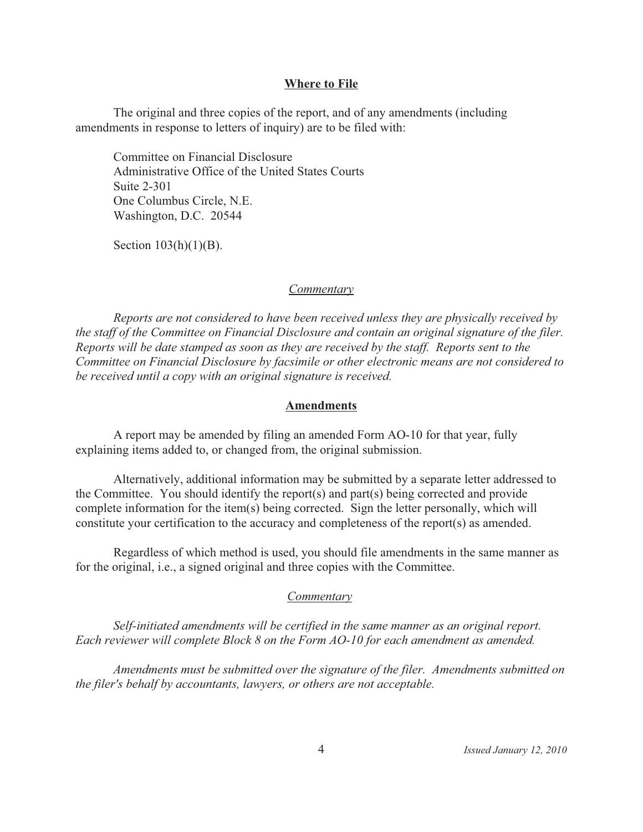#### **Where to File**

The original and three copies of the report, and of any amendments (including amendments in response to letters of inquiry) are to be filed with:

Committee on Financial Disclosure Administrative Office of the United States Courts Suite 2-301 One Columbus Circle, N.E. Washington, D.C. 20544

Section  $103(h)(1)(B)$ .

#### **Commentary**

Reports are not considered to have been received unless they are physically received by the staff of the Committee on Financial Disclosure and contain an original signature of the filer. Reports will be date stamped as soon as they are received by the staff. Reports sent to the Committee on Financial Disclosure by facsimile or other electronic means are not considered to be received until a copy with an original signature is received.

#### **Amendments**

A report may be amended by filing an amended Form AO-10 for that year, fully explaining items added to, or changed from, the original submission.

Alternatively, additional information may be submitted by a separate letter addressed to the Committee. You should identify the report(s) and part(s) being corrected and provide complete information for the item(s) being corrected. Sign the letter personally, which will constitute your certification to the accuracy and completeness of the report(s) as amended.

Regardless of which method is used, you should file amendments in the same manner as for the original, *i.e.*, a signed original and three copies with the Committee.

#### Commentary

Self-initiated amendments will be certified in the same manner as an original report. Each reviewer will complete Block 8 on the Form AO-10 for each amendment as amended.

Amendments must be submitted over the signature of the filer. Amendments submitted on the filer's behalf by accountants, lawyers, or others are not acceptable.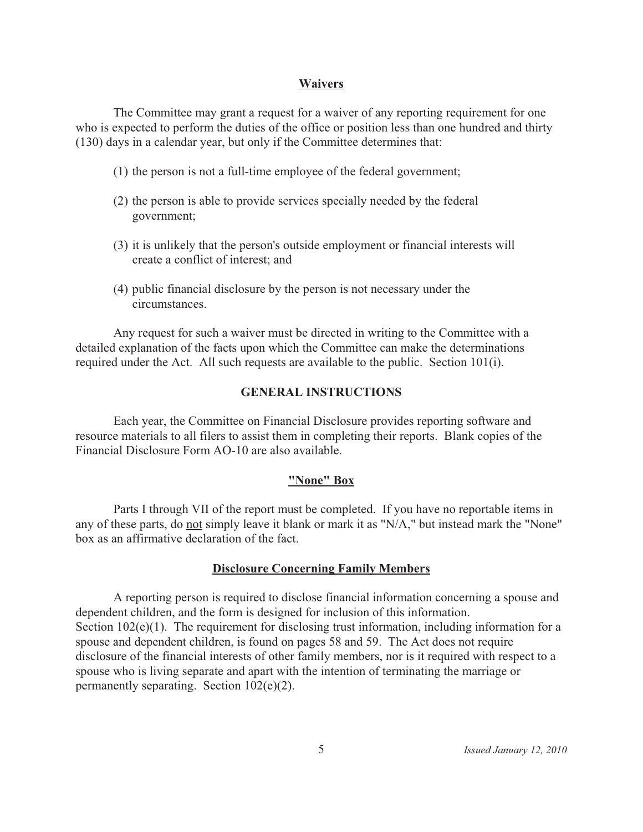#### **Waivers**

The Committee may grant a request for a waiver of any reporting requirement for one who is expected to perform the duties of the office or position less than one hundred and thirty (130) days in a calendar year, but only if the Committee determines that:

- (1) the person is not a full-time employee of the federal government;
- (2) the person is able to provide services specially needed by the federal government;
- (3) it is unlikely that the person's outside employment or financial interests will create a conflict of interest; and
- (4) public financial disclosure by the person is not necessary under the circumstances.

Any request for such a waiver must be directed in writing to the Committee with a detailed explanation of the facts upon which the Committee can make the determinations required under the Act. All such requests are available to the public. Section 101(i).

#### **GENERAL INSTRUCTIONS**

Each year, the Committee on Financial Disclosure provides reporting software and resource materials to all filers to assist them in completing their reports. Blank copies of the Financial Disclosure Form AO-10 are also available.

#### "None" Box

Parts I through VII of the report must be completed. If you have no reportable items in any of these parts, do not simply leave it blank or mark it as "N/A," but instead mark the "None" box as an affirmative declaration of the fact.

#### **Disclosure Concerning Family Members**

A reporting person is required to disclose financial information concerning a spouse and dependent children, and the form is designed for inclusion of this information. Section  $102(e)(1)$ . The requirement for disclosing trust information, including information for a spouse and dependent children, is found on pages 58 and 59. The Act does not require disclosure of the financial interests of other family members, nor is it required with respect to a spouse who is living separate and apart with the intention of terminating the marriage or permanently separating. Section  $102(e)(2)$ .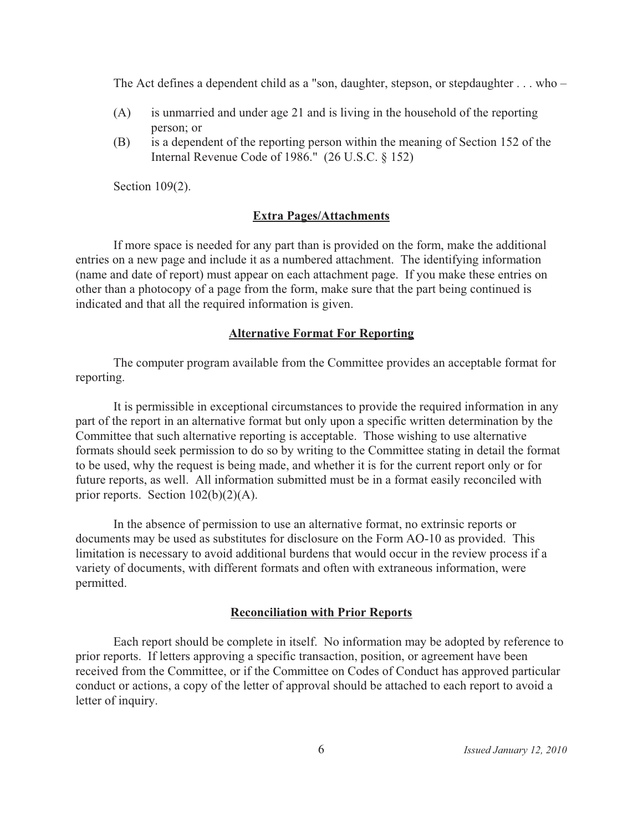The Act defines a dependent child as a "son, daughter, stepson, or stepdaughter . . . who –

- is unmarried and under age 21 and is living in the household of the reporting  $(A)$ person; or
- (B) is a dependent of the reporting person within the meaning of Section 152 of the Internal Revenue Code of 1986."  $(26$  U.S.C. § 152)

Section  $109(2)$ .

#### **Extra Pages/Attachments**

If more space is needed for any part than is provided on the form, make the additional entries on a new page and include it as a numbered attachment. The identifying information (name and date of report) must appear on each attachment page. If you make these entries on other than a photocopy of a page from the form, make sure that the part being continued is indicated and that all the required information is given.

#### **Alternative Format For Reporting**

The computer program available from the Committee provides an acceptable format for reporting.

It is permissible in exceptional circumstances to provide the required information in any part of the report in an alternative format but only upon a specific written determination by the Committee that such alternative reporting is acceptable. Those wishing to use alternative formats should seek permission to do so by writing to the Committee stating in detail the format to be used, why the request is being made, and whether it is for the current report only or for future reports, as well. All information submitted must be in a format easily reconciled with prior reports. Section  $102(b)(2)(A)$ .

In the absence of permission to use an alternative format, no extrinsic reports or documents may be used as substitutes for disclosure on the Form AO-10 as provided. This limitation is necessary to avoid additional burdens that would occur in the review process if a variety of documents, with different formats and often with extraneous information, were permitted.

#### **Reconciliation with Prior Reports**

Each report should be complete in itself. No information may be adopted by reference to prior reports. If letters approving a specific transaction, position, or agreement have been received from the Committee, or if the Committee on Codes of Conduct has approved particular conduct or actions, a copy of the letter of approval should be attached to each report to avoid a letter of inquiry.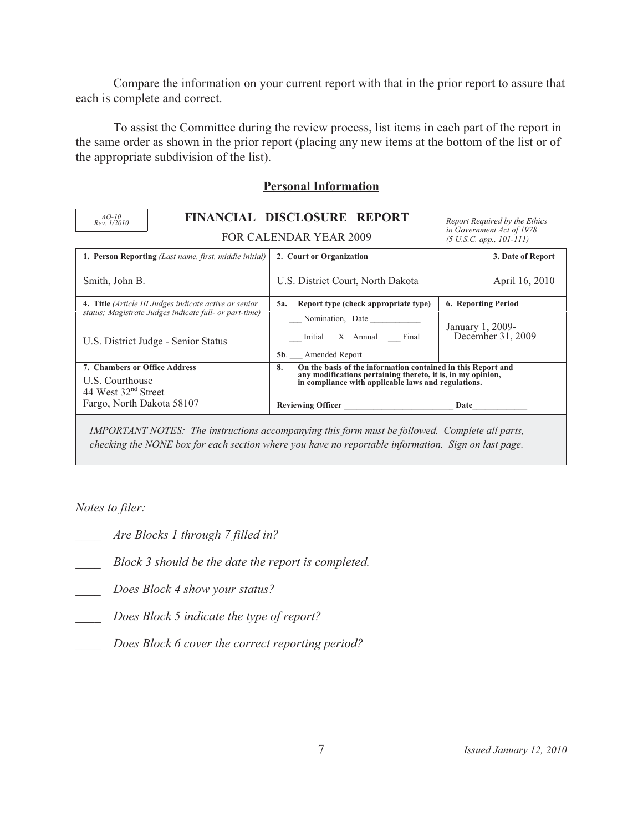Compare the information on your current report with that in the prior report to assure that each is complete and correct.

To assist the Committee during the review process, list items in each part of the report in the same order as shown in the prior report (placing any new items at the bottom of the list or of the appropriate subdivision of the list).

## **Personal Information**

| $AO-10$<br>Rev. 1/2010                                                                                           |                                                                                                                                                                                                                                                                                                                                | FINANCIAL DISCLOSURE REPORT                                                                                                                                                                                           | Report Required by the Ethics                                    |  |
|------------------------------------------------------------------------------------------------------------------|--------------------------------------------------------------------------------------------------------------------------------------------------------------------------------------------------------------------------------------------------------------------------------------------------------------------------------|-----------------------------------------------------------------------------------------------------------------------------------------------------------------------------------------------------------------------|------------------------------------------------------------------|--|
|                                                                                                                  |                                                                                                                                                                                                                                                                                                                                | <b>FOR CALENDAR YEAR 2009</b>                                                                                                                                                                                         | in Government Act of 1978<br>$(5 \text{ U.S.C. } app., 101-111)$ |  |
|                                                                                                                  | 1. Person Reporting (Last name, first, middle initial)                                                                                                                                                                                                                                                                         | 2. Court or Organization                                                                                                                                                                                              | 3. Date of Report                                                |  |
| Smith, John B.                                                                                                   |                                                                                                                                                                                                                                                                                                                                | U.S. District Court, North Dakota                                                                                                                                                                                     | April 16, 2010                                                   |  |
|                                                                                                                  | 4. Title (Article III Judges indicate active or senior<br>status; Magistrate Judges indicate full- or part-time)<br>U.S. District Judge - Senior Status                                                                                                                                                                        | Report type (check appropriate type)<br>5a.<br>Nomination, Date<br>Initial X Annual Final                                                                                                                             | 6. Reporting Period<br>January 1, 2009-<br>December $31, 2009$   |  |
|                                                                                                                  |                                                                                                                                                                                                                                                                                                                                | <b>5b.</b> Amended Report                                                                                                                                                                                             |                                                                  |  |
| 7. Chambers or Office Address<br>U.S. Courthouse<br>44 West 32 <sup>nd</sup> Street<br>Fargo, North Dakota 58107 |                                                                                                                                                                                                                                                                                                                                | On the basis of the information contained in this Report and<br>8.<br>any modifications pertaining thereto, it is, in my opinion,<br>in compliance with applicable laws and regulations.<br>Reviewing Officer<br>Date |                                                                  |  |
|                                                                                                                  | $\mathbf{u}$ (DODE) $\mathbf{u}$ $\mathbf{v}$ $\mathbf{v}$ $\mathbf{v}$ $\mathbf{v}$ $\mathbf{v}$ $\mathbf{v}$ $\mathbf{v}$ $\mathbf{v}$ $\mathbf{v}$ $\mathbf{v}$ $\mathbf{v}$ $\mathbf{v}$ $\mathbf{v}$ $\mathbf{v}$ $\mathbf{v}$ $\mathbf{v}$ $\mathbf{v}$ $\mathbf{v}$ $\mathbf{v}$ $\mathbf{v}$ $\mathbf{v}$ $\mathbf{v}$ |                                                                                                                                                                                                                       |                                                                  |  |

*IMPORTANT NOTES: The instructions accompanying this form must be followed. Complete all parts, checking the NONE box for each section where you have no reportable information. Sign on last page.* 

*Notes to filer:* 

- *Are Blocks 1 through 7 filled in?*
- *Block 3 should be the date the report is completed.*
- *Does Block 4 show your status?*
- *Does Block 5 indicate the type of report?*
- *Does Block 6 cover the correct reporting period?*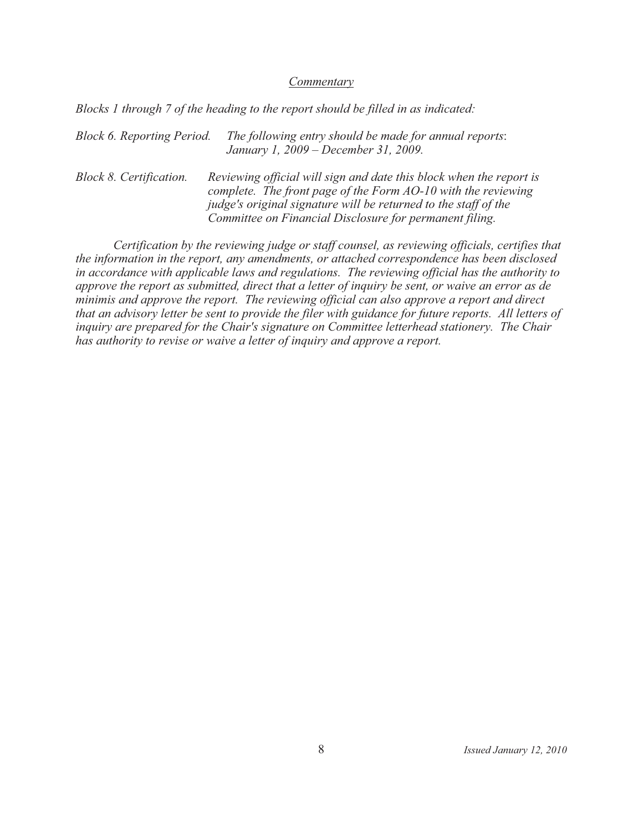#### Commentary

Blocks 1 through 7 of the heading to the report should be filled in as indicated:

**Block 6. Reporting Period.** The following entry should be made for annual reports: January 1, 2009 – December 31, 2009.

**Block 8. Certification.** Reviewing official will sign and date this block when the report is complete. The front page of the Form AO-10 with the reviewing judge's original signature will be returned to the staff of the Committee on Financial Disclosure for permanent filing.

Certification by the reviewing judge or staff counsel, as reviewing officials, certifies that the information in the report, any amendments, or attached correspondence has been disclosed in accordance with applicable laws and regulations. The reviewing official has the authority to approve the report as submitted, direct that a letter of inquiry be sent, or waive an error as de minimis and approve the report. The reviewing official can also approve a report and direct that an advisory letter be sent to provide the filer with guidance for future reports. All letters of inquiry are prepared for the Chair's signature on Committee letterhead stationery. The Chair has authority to revise or waive a letter of inquiry and approve a report.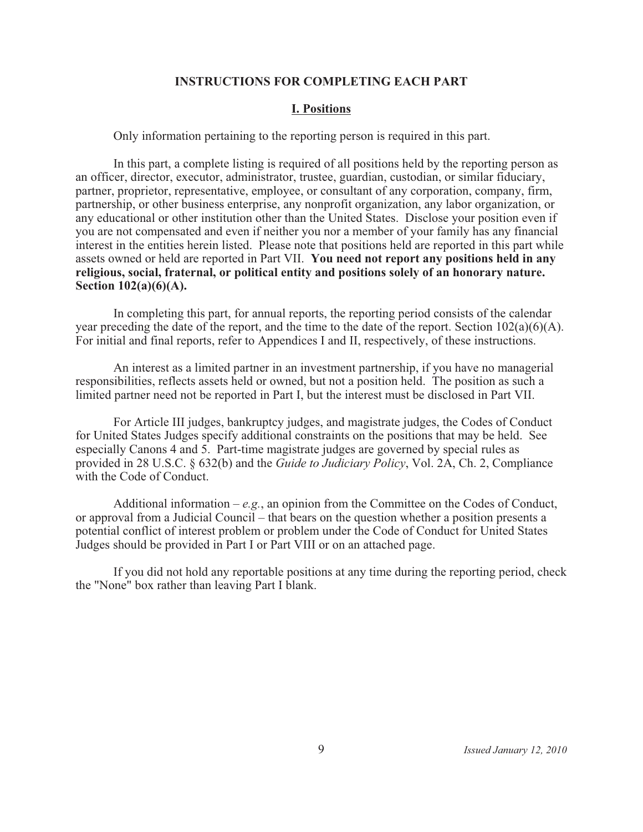#### **INSTRUCTIONS FOR COMPLETING EACH PART**

## **I. Positions**

Only information pertaining to the reporting person is required in this part.

In this part, a complete listing is required of all positions held by the reporting person as an officer, director, executor, administrator, trustee, guardian, custodian, or similar fiduciary, partner, proprietor, representative, employee, or consultant of any corporation, company, firm, partnership, or other business enterprise, any nonprofit organization, any labor organization, or any educational or other institution other than the United States. Disclose your position even if you are not compensated and even if neither you nor a member of your family has any financial interest in the entities herein listed. Please note that positions held are reported in this part while assets owned or held are reported in Part VII. **You need not report any positions held in any religious, social, fraternal, or political entity and positions solely of an honorary nature. Section 102(a)(6)(A).**

In completing this part, for annual reports, the reporting period consists of the calendar year preceding the date of the report, and the time to the date of the report. Section 102(a)(6)(A). For initial and final reports, refer to Appendices I and II, respectively, of these instructions.

An interest as a limited partner in an investment partnership, if you have no managerial responsibilities, reflects assets held or owned, but not a position held. The position as such a limited partner need not be reported in Part I, but the interest must be disclosed in Part VII.

For Article III judges, bankruptcy judges, and magistrate judges, the Codes of Conduct for United States Judges specify additional constraints on the positions that may be held. See especially Canons 4 and 5. Part-time magistrate judges are governed by special rules as provided in 28 U.S.C. § 632(b) and the *Guide to Judiciary Policy*, Vol. 2A, Ch. 2, Compliance with the Code of Conduct.

Additional information  $-e.g.,$  an opinion from the Committee on the Codes of Conduct, or approval from a Judicial Council – that bears on the question whether a position presents a potential conflict of interest problem or problem under the Code of Conduct for United States Judges should be provided in Part I or Part VIII or on an attached page.

If you did not hold any reportable positions at any time during the reporting period, check the "None" box rather than leaving Part I blank.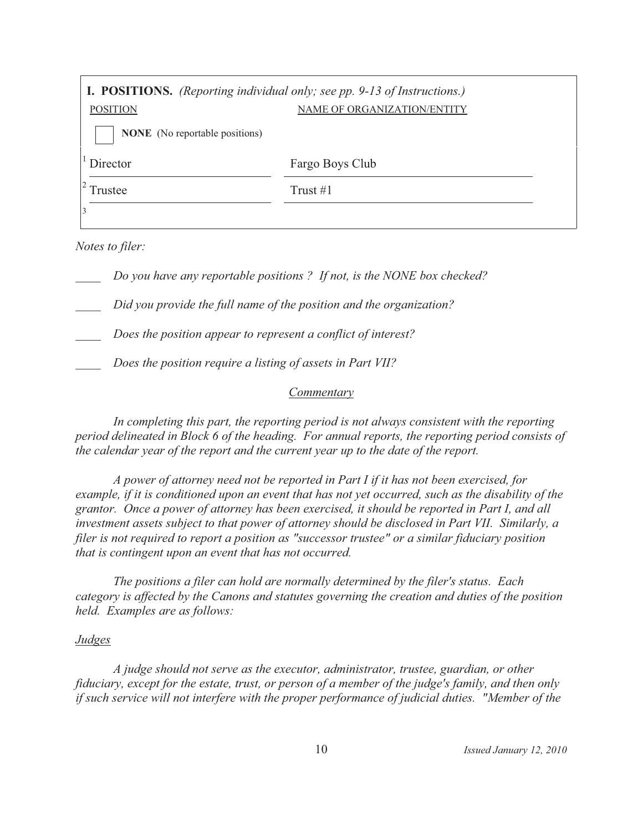| <b>I. POSITIONS.</b> (Reporting individual only; see pp. 9-13 of Instructions.) |                             |
|---------------------------------------------------------------------------------|-----------------------------|
| <b>POSITION</b>                                                                 | NAME OF ORGANIZATION/ENTITY |
| <b>NONE</b> (No reportable positions)                                           |                             |
| Director                                                                        | Fargo Boys Club             |
| Frustee                                                                         | Trust $#1$                  |
|                                                                                 |                             |

Notes to filer:

Do you have any reportable positions? If not, is the NONE box checked?

Did you provide the full name of the position and the organization?

Does the position appear to represent a conflict of interest?

Does the position require a listing of assets in Part VII?

#### **Commentary**

In completing this part, the reporting period is not always consistent with the reporting period delineated in Block 6 of the heading. For annual reports, the reporting period consists of the calendar year of the report and the current year up to the date of the report.

A power of attorney need not be reported in Part I if it has not been exercised, for example, if it is conditioned upon an event that has not yet occurred, such as the disability of the grantor. Once a power of attorney has been exercised, it should be reported in Part I, and all investment assets subject to that power of attorney should be disclosed in Part VII. Similarly, a filer is not required to report a position as "successor trustee" or a similar fiduciary position that is contingent upon an event that has not occurred.

The positions a filer can hold are normally determined by the filer's status. Each category is affected by the Canons and statutes governing the creation and duties of the position held. Examples are as follows:

#### *Judges*

A judge should not serve as the executor, administrator, trustee, guardian, or other fiduciary, except for the estate, trust, or person of a member of the judge's family, and then only if such service will not interfere with the proper performance of judicial duties. "Member of the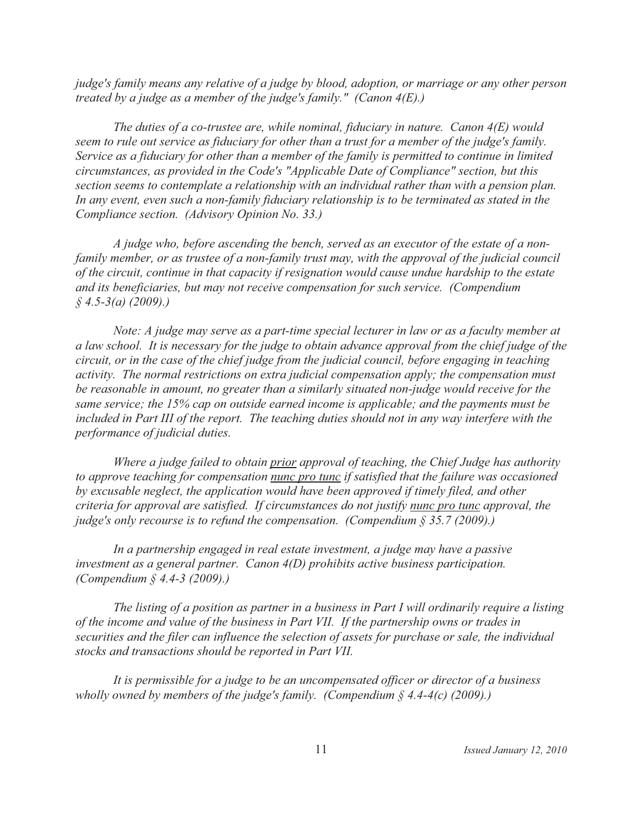judge's family means any relative of a judge by blood, adoption, or marriage or any other person treated by a judge as a member of the judge's family." (Canon  $4(E)$ .)

The duties of a co-trustee are, while nominal, fiduciary in nature. Canon  $4(E)$  would seem to rule out service as fiduciary for other than a trust for a member of the judge's family. Service as a fiduciary for other than a member of the family is permitted to continue in limited circumstances, as provided in the Code's "Applicable Date of Compliance" section, but this section seems to contemplate a relationship with an individual rather than with a pension plan. In any event, even such a non-family fiduciary relationship is to be terminated as stated in the Compliance section. (Advisory Opinion No. 33.)

A judge who, before ascending the bench, served as an executor of the estate of a nonfamily member, or as trustee of a non-family trust may, with the approval of the judicial council of the circuit, continue in that capacity if resignation would cause undue hardship to the estate and its beneficiaries, but may not receive compensation for such service. (Compendium  $$4.5-3(a) (2009).$ 

Note: A judge may serve as a part-time special lecturer in law or as a faculty member at a law school. It is necessary for the judge to obtain advance approval from the chief judge of the circuit, or in the case of the chief judge from the judicial council, before engaging in teaching activity. The normal restrictions on extra judicial compensation apply; the compensation must be reasonable in amount, no greater than a similarly situated non-judge would receive for the same service; the 15% cap on outside earned income is applicable; and the payments must be included in Part III of the report. The teaching duties should not in any way interfere with the performance of judicial duties.

Where a judge failed to obtain prior approval of teaching, the Chief Judge has authority to approve teaching for compensation nunc pro tunc if satisfied that the failure was occasioned by excusable neglect, the application would have been approved if timely filed, and other criteria for approval are satisfied. If circumstances do not justify nunc pro tunc approval, the judge's only recourse is to refund the compensation. (Compendium  $\S 35.7$  (2009).)

In a partnership engaged in real estate investment, a judge may have a passive investment as a general partner. Canon  $4(D)$  prohibits active business participation. (Compendium  $\frac{2}{3}$  4.4-3 (2009).)

The listing of a position as partner in a business in Part I will ordinarily require a listing of the income and value of the business in Part VII. If the partnership owns or trades in securities and the filer can influence the selection of assets for purchase or sale, the individual stocks and transactions should be reported in Part VII.

It is permissible for a judge to be an uncompensated officer or director of a business wholly owned by members of the judge's family. (Compendium  $\S$  4.4-4(c) (2009).)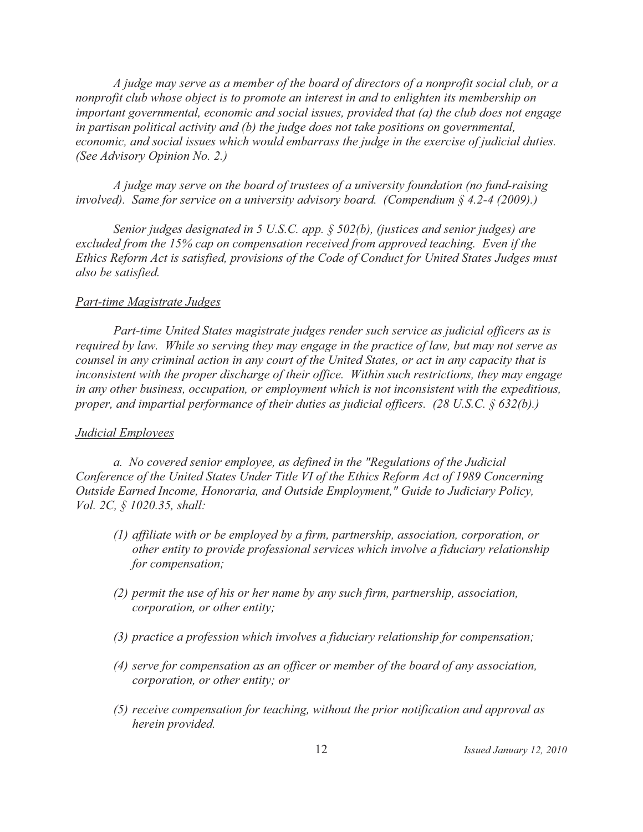*A judge may serve as a member of the board of directors of a nonprofit social club, or a nonprofit club whose object is to promote an interest in and to enlighten its membership on important governmental, economic and social issues, provided that (a) the club does not engage in partisan political activity and (b) the judge does not take positions on governmental, economic, and social issues which would embarrass the judge in the exercise of judicial duties. (See Advisory Opinion No. 2.)*

*A judge may serve on the board of trustees of a university foundation (no fund-raising involved). Same for service on a university advisory board. (Compendium § 4.2-4 (2009).)*

*Senior judges designated in 5 U.S.C. app. § 502(b), (justices and senior judges) are excluded from the 15% cap on compensation received from approved teaching. Even if the Ethics Reform Act is satisfied, provisions of the Code of Conduct for United States Judges must also be satisfied.*

#### *Part-time Magistrate Judges*

*Part-time United States magistrate judges render such service as judicial officers as is required by law. While so serving they may engage in the practice of law, but may not serve as counsel in any criminal action in any court of the United States, or act in any capacity that is inconsistent with the proper discharge of their office. Within such restrictions, they may engage in any other business, occupation, or employment which is not inconsistent with the expeditious, proper, and impartial performance of their duties as judicial officers. (28 U.S.C. § 632(b).)* 

#### *Judicial Employees*

*a. No covered senior employee, as defined in the "Regulations of the Judicial Conference of the United States Under Title VI of the Ethics Reform Act of 1989 Concerning Outside Earned Income, Honoraria, and Outside Employment," Guide to Judiciary Policy, Vol. 2C, § 1020.35, shall:*

- *(1) affiliate with or be employed by a firm, partnership, association, corporation, or other entity to provide professional services which involve a fiduciary relationship for compensation;*
- *(2) permit the use of his or her name by any such firm, partnership, association, corporation, or other entity;*
- *(3) practice a profession which involves a fiduciary relationship for compensation;*
- *(4) serve for compensation as an officer or member of the board of any association, corporation, or other entity; or*
- *(5) receive compensation for teaching, without the prior notification and approval as herein provided.*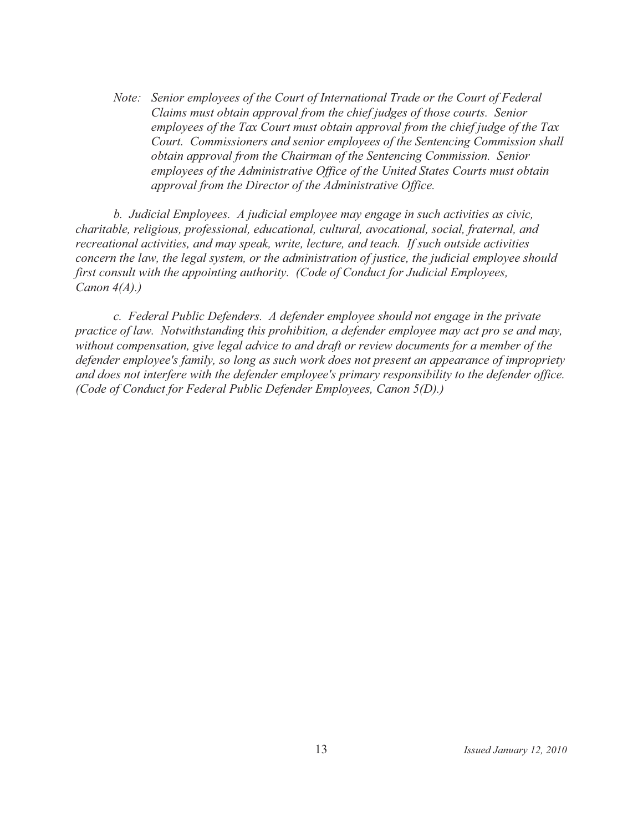Note: Senior employees of the Court of International Trade or the Court of Federal Claims must obtain approval from the chief judges of those courts. Senior employees of the Tax Court must obtain approval from the chief judge of the Tax Court. Commissioners and senior employees of the Sentencing Commission shall obtain approval from the Chairman of the Sentencing Commission. Senior employees of the Administrative Office of the United States Courts must obtain approval from the Director of the Administrative Office.

b. Judicial Employees. A judicial employee may engage in such activities as civic. charitable, religious, professional, educational, cultural, avocational, social, fraternal, and recreational activities, and may speak, write, lecture, and teach. If such outside activities concern the law, the legal system, or the administration of justice, the judicial employee should first consult with the appointing authority. (Code of Conduct for Judicial Employees, Canon  $4(A)$ .)

c. Federal Public Defenders. A defender employee should not engage in the private practice of law. Notwithstanding this prohibition, a defender employee may act pro se and may, without compensation, give legal advice to and draft or review documents for a member of the defender employee's family, so long as such work does not present an appearance of impropriety and does not interfere with the defender employee's primary responsibility to the defender office. (Code of Conduct for Federal Public Defender Employees, Canon 5(D).)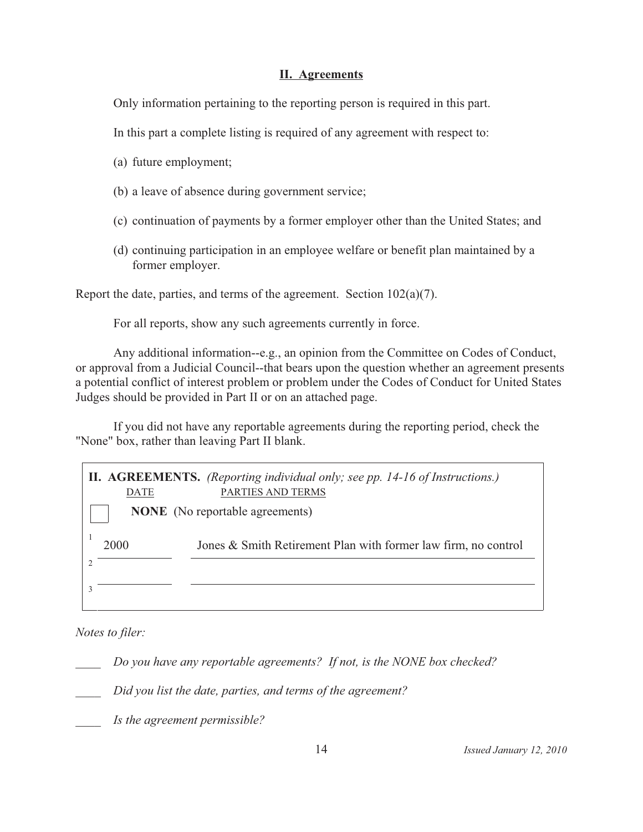# **II.** Agreements

Only information pertaining to the reporting person is required in this part.

In this part a complete listing is required of any agreement with respect to:

- (a) future employment;
- (b) a leave of absence during government service;
- (c) continuation of payments by a former employer other than the United States; and
- (d) continuing participation in an employee welfare or benefit plan maintained by a former employer.

Report the date, parties, and terms of the agreement. Section  $102(a)(7)$ .

For all reports, show any such agreements currently in force.

Any additional information--e.g., an opinion from the Committee on Codes of Conduct, or approval from a Judicial Council--that bears upon the question whether an agreement presents a potential conflict of interest problem or problem under the Codes of Conduct for United States Judges should be provided in Part II or on an attached page.

If you did not have any reportable agreements during the reporting period, check the "None" box, rather than leaving Part II blank.

|      | DATE                                   | <b>II. AGREEMENTS.</b> (Reporting individual only; see pp. 14-16 of Instructions.)<br>PARTIES AND TERMS |  |  |  |  |
|------|----------------------------------------|---------------------------------------------------------------------------------------------------------|--|--|--|--|
|      | <b>NONE</b> (No reportable agreements) |                                                                                                         |  |  |  |  |
| 2000 |                                        | Jones & Smith Retirement Plan with former law firm, no control                                          |  |  |  |  |
|      |                                        |                                                                                                         |  |  |  |  |
|      |                                        |                                                                                                         |  |  |  |  |

Notes to filer:

Do you have any reportable agreements? If not, is the NONE box checked?

Did you list the date, parties, and terms of the agreement?

Is the agreement permissible?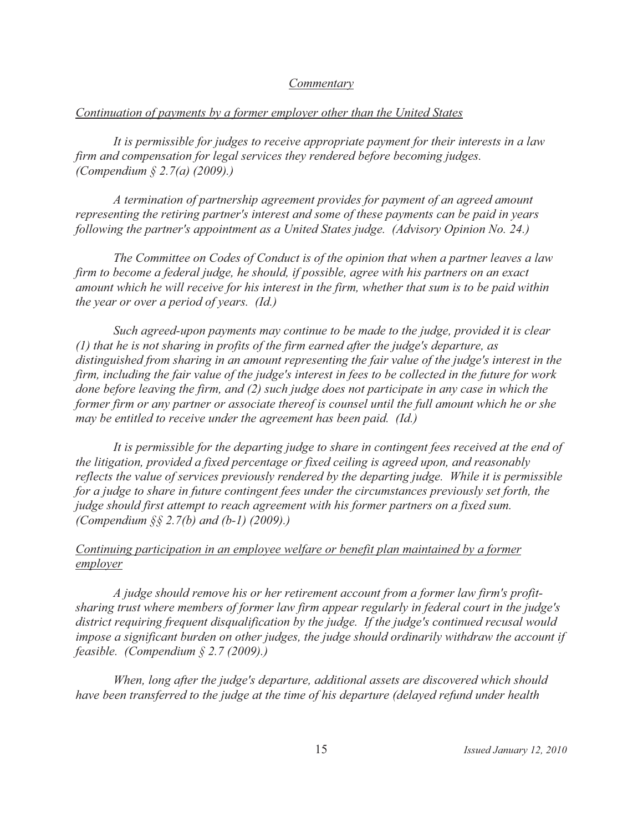#### Commentary

## Continuation of payments by a former employer other than the United States

It is permissible for judges to receive appropriate payment for their interests in a law firm and compensation for legal services they rendered before becoming judges. (Compendium  $\S 2.7(a)$  (2009).)

A termination of partnership agreement provides for payment of an agreed amount representing the retiring partner's interest and some of these payments can be paid in years following the partner's appointment as a United States judge. (Advisory Opinion No. 24.)

The Committee on Codes of Conduct is of the opinion that when a partner leaves a law firm to become a federal judge, he should, if possible, agree with his partners on an exact amount which he will receive for his interest in the firm, whether that sum is to be paid within the year or over a period of years. (Id.)

Such agreed-upon payments may continue to be made to the judge, provided it is clear  $(1)$  that he is not sharing in profits of the firm earned after the judge's departure, as distinguished from sharing in an amount representing the fair value of the judge's interest in the firm, including the fair value of the judge's interest in fees to be collected in the future for work done before leaving the firm, and (2) such judge does not participate in any case in which the former firm or any partner or associate thereof is counsel until the full amount which he or she may be entitled to receive under the agreement has been paid. (Id.)

It is permissible for the departing judge to share in contingent fees received at the end of the litigation, provided a fixed percentage or fixed ceiling is agreed upon, and reasonably reflects the value of services previously rendered by the departing judge. While it is permissible for a judge to share in future contingent fees under the circumstances previously set forth, the judge should first attempt to reach agreement with his former partners on a fixed sum. (Compendium  $\S$ ,  $\S$  2.7(b) and (b-1) (2009).)

# Continuing participation in an employee welfare or benefit plan maintained by a former employer

A judge should remove his or her retirement account from a former law firm's profitsharing trust where members of former law firm appear regularly in federal court in the judge's district requiring frequent disqualification by the judge. If the judge's continued recusal would impose a significant burden on other judges, the judge should ordinarily withdraw the account if feasible. (Compendium  $\S 2.7$  (2009).)

When, long after the judge's departure, additional assets are discovered which should have been transferred to the judge at the time of his departure (delayed refund under health

Issued January 12, 2010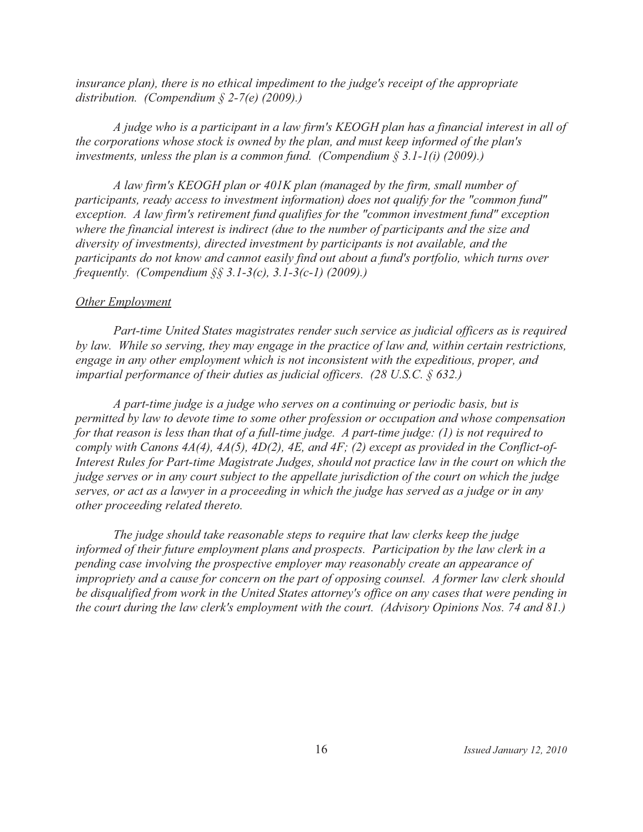insurance plan), there is no ethical impediment to the judge's receipt of the appropriate distribution. (Compendium  $\S$  2-7(e) (2009).)

A judge who is a participant in a law firm's KEOGH plan has a financial interest in all of the corporations whose stock is owned by the plan, and must keep informed of the plan's investments, unless the plan is a common fund. (Compendium  $\S 3.1-1(i)$  (2009).)

A law firm's KEOGH plan or 401K plan (managed by the firm, small number of participants, ready access to investment information) does not qualify for the "common fund" exception. A law firm's retirement fund qualifies for the "common investment fund" exception where the financial interest is indirect (due to the number of participants and the size and diversity of investments), directed investment by participants is not available, and the participants do not know and cannot easily find out about a fund's portfolio, which turns over frequently. (Compendium  $\S$ § 3.1-3(c), 3.1-3(c-1) (2009).)

# **Other Employment**

Part-time United States magistrates render such service as judicial officers as is required by law. While so serving, they may engage in the practice of law and, within certain restrictions, engage in any other employment which is not inconsistent with the expeditious, proper, and impartial performance of their duties as judicial officers. (28 U.S.C.  $\S$  632.)

A part-time judge is a judge who serves on a continuing or periodic basis, but is permitted by law to devote time to some other profession or occupation and whose compensation for that reason is less than that of a full-time judge. A part-time judge:  $(1)$  is not required to comply with Canons 4A(4), 4A(5), 4D(2), 4E, and 4F; (2) except as provided in the Conflict-of-Interest Rules for Part-time Magistrate Judges, should not practice law in the court on which the judge serves or in any court subject to the appellate jurisdiction of the court on which the judge serves, or act as a lawyer in a proceeding in which the judge has served as a judge or in any other proceeding related thereto.

The judge should take reasonable steps to require that law clerks keep the judge informed of their future employment plans and prospects. Participation by the law clerk in a pending case involving the prospective employer may reasonably create an appearance of impropriety and a cause for concern on the part of opposing counsel. A former law clerk should be disqualified from work in the United States attorney's office on any cases that were pending in the court during the law clerk's employment with the court. (Advisory Opinions Nos. 74 and 81.)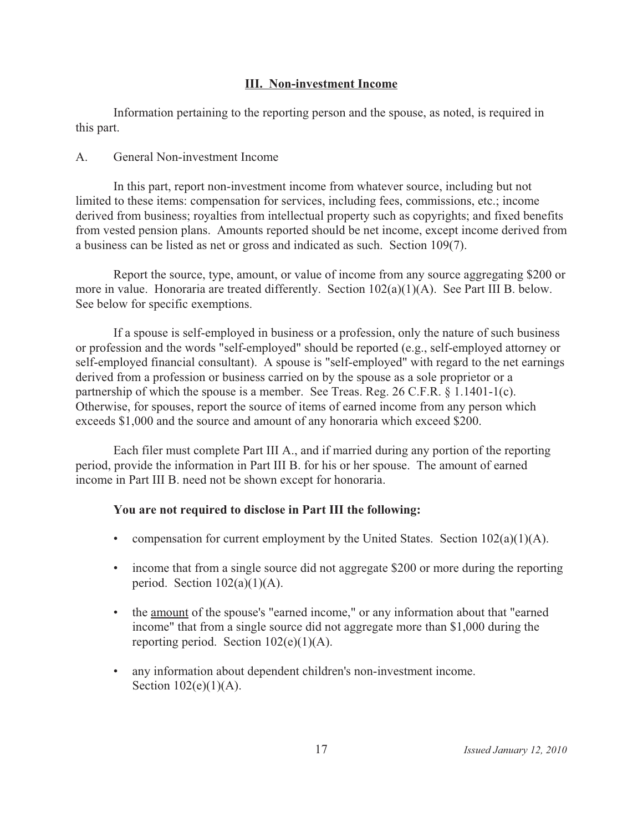# **III. Non-investment Income**

Information pertaining to the reporting person and the spouse, as noted, is required in this part.

#### General Non-investment Income  $\mathbf{A}$

In this part, report non-investment income from whatever source, including but not limited to these items: compensation for services, including fees, commissions, etc.; income derived from business; royalties from intellectual property such as copyrights; and fixed benefits from vested pension plans. Amounts reported should be net income, except income derived from a business can be listed as net or gross and indicated as such. Section 109(7).

Report the source, type, amount, or value of income from any source aggregating \$200 or more in value. Honoraria are treated differently. Section 102(a)(1)(A). See Part III B. below. See below for specific exemptions.

If a spouse is self-employed in business or a profession, only the nature of such business or profession and the words "self-employed" should be reported (e.g., self-employed attorney or self-employed financial consultant). A spouse is "self-employed" with regard to the net earnings derived from a profession or business carried on by the spouse as a sole proprietor or a partnership of which the spouse is a member. See Treas. Reg. 26 C.F.R. § 1.1401-1(c). Otherwise, for spouses, report the source of items of earned income from any person which exceeds \$1,000 and the source and amount of any honoraria which exceed \$200.

Each filer must complete Part III A., and if married during any portion of the reporting period, provide the information in Part III B. for his or her spouse. The amount of earned income in Part III B. need not be shown except for honoraria.

# You are not required to disclose in Part III the following:

- compensation for current employment by the United States. Section  $102(a)(1)(A)$ .
- income that from a single source did not aggregate \$200 or more during the reporting period. Section  $102(a)(1)(A)$ .
- the <u>amount</u> of the spouse's "earned income," or any information about that "earned" income" that from a single source did not aggregate more than \$1,000 during the reporting period. Section  $102(e)(1)(A)$ .
- any information about dependent children's non-investment income. Section  $102(e)(1)(A)$ .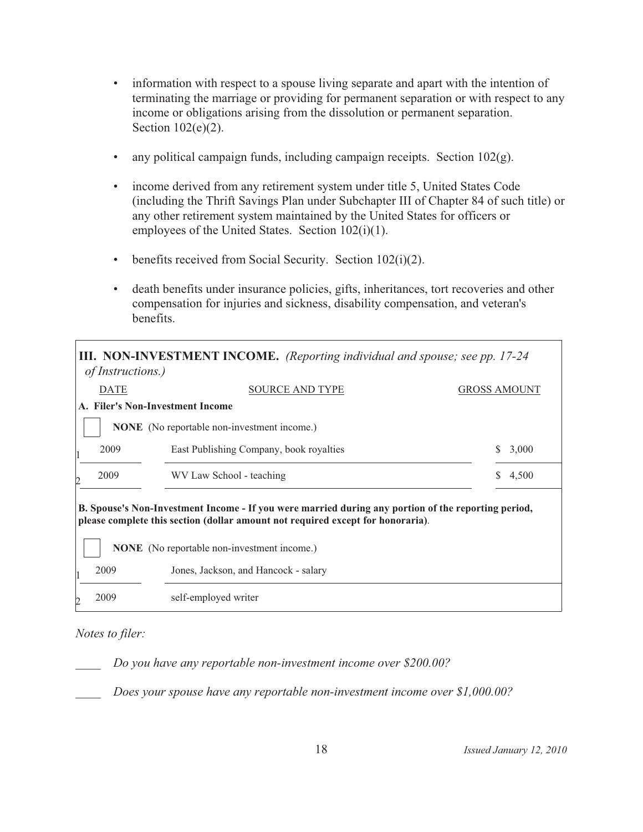- information with respect to a spouse living separate and apart with the intention of terminating the marriage or providing for permanent separation or with respect to any income or obligations arising from the dissolution or permanent separation. Section  $102(e)(2)$ .
- any political campaign funds, including campaign receipts. Section  $102(g)$ .  $\bullet$
- income derived from any retirement system under title 5, United States Code (including the Thrift Savings Plan under Subchapter III of Chapter 84 of such title) or any other retirement system maintained by the United States for officers or employees of the United States. Section 102(i)(1).
- benefits received from Social Security. Section 102(i)(2).
- death benefits under insurance policies, gifts, inheritances, tort recoveries and other compensation for injuries and sickness, disability compensation, and veteran's benefits.

|                                                                                                                                                                                                                                              | <i>of Instructions.</i> )                                    | III. NON-INVESTMENT INCOME. (Reporting individual and spouse; see pp. 17-24 |              |       |  |  |  |
|----------------------------------------------------------------------------------------------------------------------------------------------------------------------------------------------------------------------------------------------|--------------------------------------------------------------|-----------------------------------------------------------------------------|--------------|-------|--|--|--|
|                                                                                                                                                                                                                                              | <b>DATE</b><br><b>SOURCE AND TYPE</b><br><b>GROSS AMOUNT</b> |                                                                             |              |       |  |  |  |
|                                                                                                                                                                                                                                              |                                                              | A. Filer's Non-Investment Income                                            |              |       |  |  |  |
|                                                                                                                                                                                                                                              | <b>NONE</b> (No reportable non-investment income.)           |                                                                             |              |       |  |  |  |
|                                                                                                                                                                                                                                              | 2009                                                         | East Publishing Company, book royalties                                     | <sup>S</sup> | 3,000 |  |  |  |
| D                                                                                                                                                                                                                                            | 2009<br>WV Law School - teaching                             |                                                                             |              | 4,500 |  |  |  |
| B. Spouse's Non-Investment Income - If you were married during any portion of the reporting period,<br>please complete this section (dollar amount not required except for honoraria).<br><b>NONE</b> (No reportable non-investment income.) |                                                              |                                                                             |              |       |  |  |  |
|                                                                                                                                                                                                                                              | 2009                                                         | Jones, Jackson, and Hancock - salary                                        |              |       |  |  |  |
|                                                                                                                                                                                                                                              | 2009                                                         | self-employed writer                                                        |              |       |  |  |  |

# Notes to filer:

Do you have any reportable non-investment income over \$200.00?

Does your spouse have any reportable non-investment income over \$1,000.00?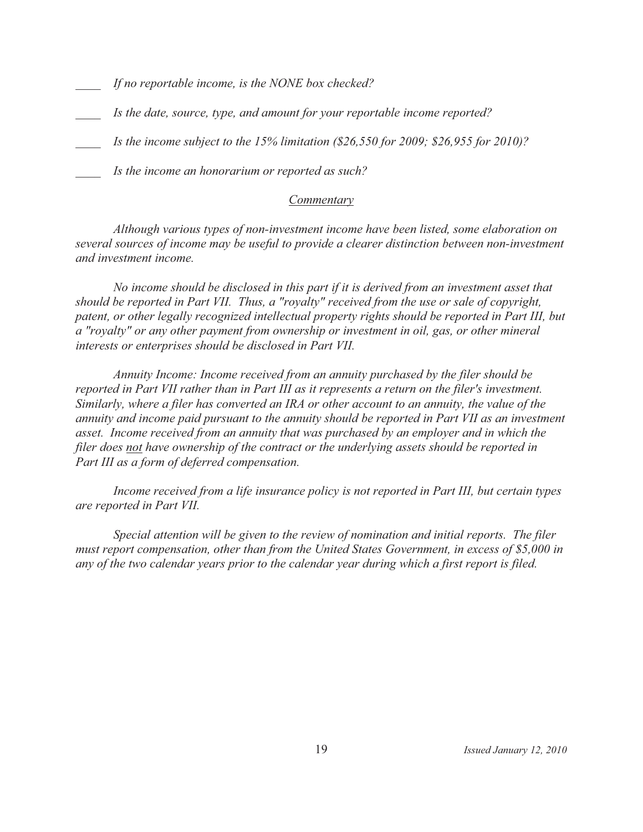If no reportable income, is the NONE box checked?

- Is the date, source, type, and amount for your reportable income reported?
- Is the income subject to the 15% limitation  $(826,550$  for 2009; \$26,955 for 2010)?
- Is the income an honorarium or reported as such?

# Commentary

Although various types of non-investment income have been listed, some elaboration on several sources of income may be useful to provide a clearer distinction between non-investment and investment income.

No income should be disclosed in this part if it is derived from an investment asset that should be reported in Part VII. Thus, a "royalty" received from the use or sale of copyright, patent, or other legally recognized intellectual property rights should be reported in Part III, but a "royalty" or any other payment from ownership or investment in oil, gas, or other mineral interests or enterprises should be disclosed in Part VII.

Annuity Income: Income received from an annuity purchased by the filer should be reported in Part VII rather than in Part III as it represents a return on the filer's investment. Similarly, where a filer has converted an IRA or other account to an annuity, the value of the annuity and income paid pursuant to the annuity should be reported in Part VII as an investment asset. Income received from an annuity that was purchased by an employer and in which the filer does not have ownership of the contract or the underlying assets should be reported in Part III as a form of deferred compensation.

Income received from a life insurance policy is not reported in Part III, but certain types are reported in Part VII.

Special attention will be given to the review of nomination and initial reports. The filer must report compensation, other than from the United States Government, in excess of \$5,000 in any of the two calendar years prior to the calendar year during which a first report is filed.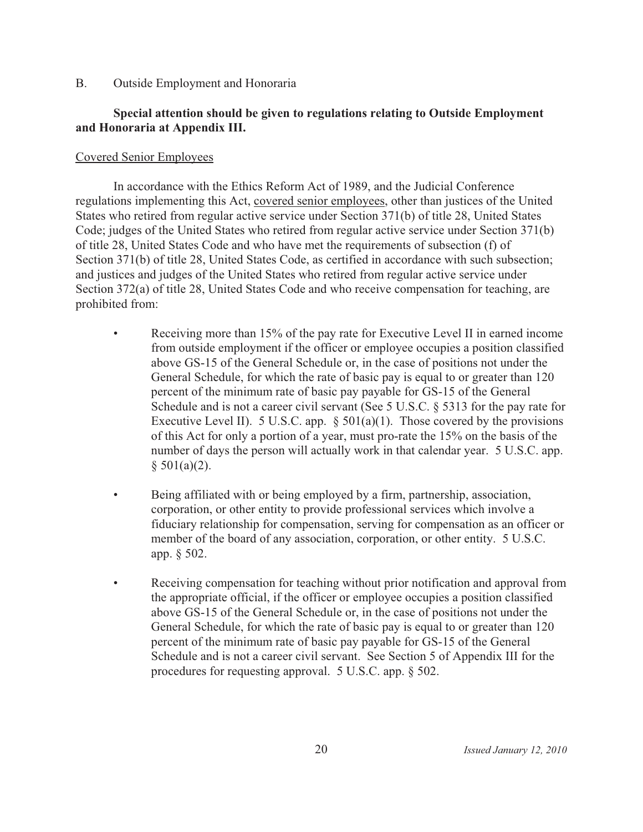$B<sub>1</sub>$ Outside Employment and Honoraria

# Special attention should be given to regulations relating to Outside Employment and Honoraria at Appendix III.

# **Covered Senior Employees**

In accordance with the Ethics Reform Act of 1989, and the Judicial Conference regulations implementing this Act, covered senior employees, other than justices of the United States who retired from regular active service under Section 371(b) of title 28, United States Code; judges of the United States who retired from regular active service under Section 371(b) of title 28, United States Code and who have met the requirements of subsection (f) of Section 371(b) of title 28, United States Code, as certified in accordance with such subsection; and justices and judges of the United States who retired from regular active service under Section 372(a) of title 28, United States Code and who receive compensation for teaching, are prohibited from:

- $\bullet$ Receiving more than 15% of the pay rate for Executive Level II in earned income from outside employment if the officer or employee occupies a position classified above GS-15 of the General Schedule or, in the case of positions not under the General Schedule, for which the rate of basic pay is equal to or greater than 120 percent of the minimum rate of basic pay payable for GS-15 of the General Schedule and is not a career civil servant (See 5 U.S.C. § 5313 for the pay rate for Executive Level II). 5 U.S.C. app.  $\S$  501(a)(1). Those covered by the provisions of this Act for only a portion of a year, must pro-rate the 15% on the basis of the number of days the person will actually work in that calendar year. 5 U.S.C. app.  $$501(a)(2).$
- Being affiliated with or being employed by a firm, partnership, association,  $\bullet$ corporation, or other entity to provide professional services which involve a fiduciary relationship for compensation, serving for compensation as an officer or member of the board of any association, corporation, or other entity. 5 U.S.C. app. § 502.
- $\bullet$ Receiving compensation for teaching without prior notification and approval from the appropriate official, if the officer or employee occupies a position classified above GS-15 of the General Schedule or, in the case of positions not under the General Schedule, for which the rate of basic pay is equal to or greater than 120 percent of the minimum rate of basic pay payable for GS-15 of the General Schedule and is not a career civil servant. See Section 5 of Appendix III for the procedures for requesting approval.  $5$  U.S.C. app.  $\S$  502.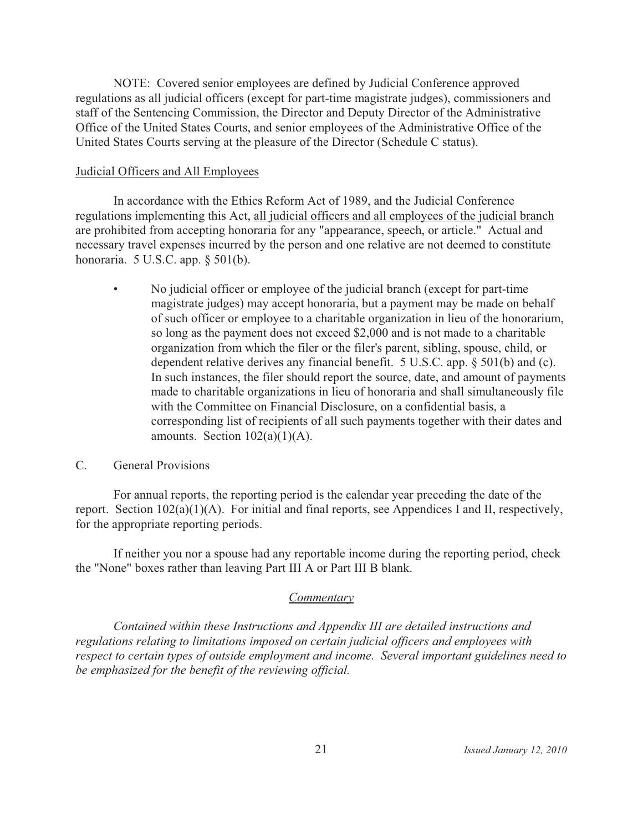NOTE: Covered senior employees are defined by Judicial Conference approved regulations as all judicial officers (except for part-time magistrate judges), commissioners and staff of the Sentencing Commission, the Director and Deputy Director of the Administrative Office of the United States Courts, and senior employees of the Administrative Office of the United States Courts serving at the pleasure of the Director (Schedule C status).

# **Judicial Officers and All Employees**

In accordance with the Ethics Reform Act of 1989, and the Judicial Conference regulations implementing this Act, all judicial officers and all employees of the judicial branch are prohibited from accepting honoraria for any "appearance, speech, or article." Actual and necessary travel expenses incurred by the person and one relative are not deemed to constitute honoraria.  $5$  U.S.C. app.  $\S$   $501(b)$ .

 $\bullet$ No judicial officer or employee of the judicial branch (except for part-time magistrate judges) may accept honoraria, but a payment may be made on behalf of such officer or employee to a charitable organization in lieu of the honorarium, so long as the payment does not exceed \$2,000 and is not made to a charitable organization from which the filer or the filer's parent, sibling, spouse, child, or dependent relative derives any financial benefit. 5 U.S.C. app. § 501(b) and (c). In such instances, the filer should report the source, date, and amount of payments made to charitable organizations in lieu of honoraria and shall simultaneously file with the Committee on Financial Disclosure, on a confidential basis, a corresponding list of recipients of all such payments together with their dates and amounts. Section  $102(a)(1)(A)$ .

#### $C_{\cdot}$ **General Provisions**

For annual reports, the reporting period is the calendar year preceding the date of the report. Section  $102(a)(1)(A)$ . For initial and final reports, see Appendices I and II, respectively, for the appropriate reporting periods.

If neither you nor a spouse had any reportable income during the reporting period, check the "None" boxes rather than leaving Part III A or Part III B blank.

# Commentary

Contained within these Instructions and Appendix III are detailed instructions and regulations relating to limitations imposed on certain judicial officers and employees with respect to certain types of outside employment and income. Several important guidelines need to be emphasized for the benefit of the reviewing official.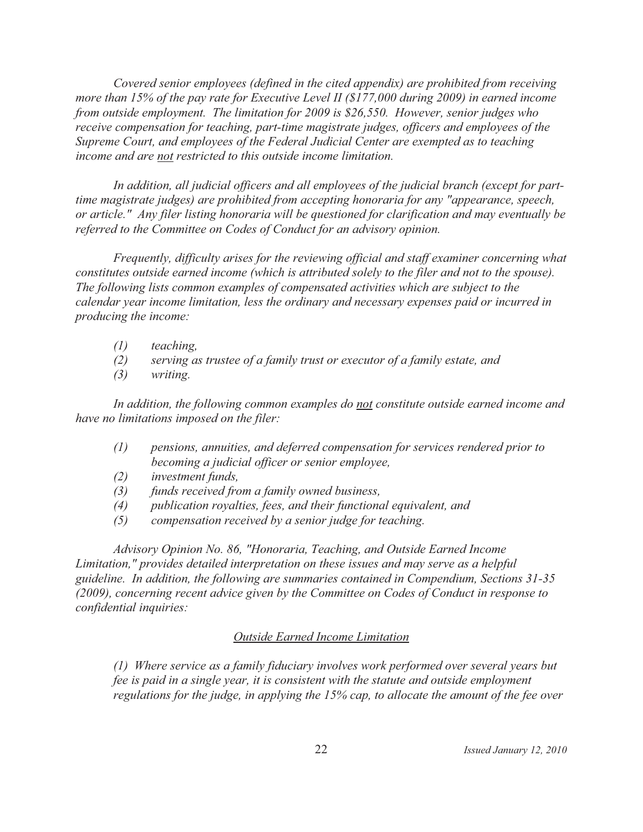Covered senior employees (defined in the cited appendix) are prohibited from receiving more than 15% of the pay rate for Executive Level II (\$177,000 during 2009) in earned income from outside employment. The limitation for 2009 is \$26,550. However, senior judges who receive compensation for teaching, part-time magistrate judges, officers and employees of the Supreme Court, and employees of the Federal Judicial Center are exempted as to teaching income and are not restricted to this outside income limitation.

In addition, all judicial officers and all employees of the judicial branch (except for parttime magistrate judges) are prohibited from accepting honoraria for any "appearance, speech, or article." Any filer listing honoraria will be questioned for clarification and may eventually be referred to the Committee on Codes of Conduct for an advisory opinion.

Frequently, difficulty arises for the reviewing official and staff examiner concerning what constitutes outside earned income (which is attributed solely to the filer and not to the spouse). The following lists common examples of compensated activities which are subject to the calendar year income limitation, less the ordinary and necessary expenses paid or incurred in producing the income:

- $(1)$ teaching,
- $(2)$ serving as trustee of a family trust or executor of a family estate, and
- $(3)$ writing.

In addition, the following common examples do not constitute outside earned income and have no limitations imposed on the filer:

- pensions, annuities, and deferred compensation for services rendered prior to  $(1)$ becoming a judicial officer or senior employee,
- $(2)$ investment funds,
- funds received from a family owned business,  $(3)$
- $(4)$ publication royalties, fees, and their functional equivalent, and
- $(5)$ compensation received by a senior judge for teaching.

Advisory Opinion No. 86, "Honoraria, Teaching, and Outside Earned Income Limitation," provides detailed interpretation on these issues and may serve as a helpful guideline. In addition, the following are summaries contained in Compendium, Sections 31-35 (2009), concerning recent advice given by the Committee on Codes of Conduct in response to confidential inquiries:

# **Outside Earned Income Limitation**

(1) Where service as a family fiduciary involves work performed over several years but fee is paid in a single year, it is consistent with the statute and outside employment regulations for the judge, in applying the 15% cap, to allocate the amount of the fee over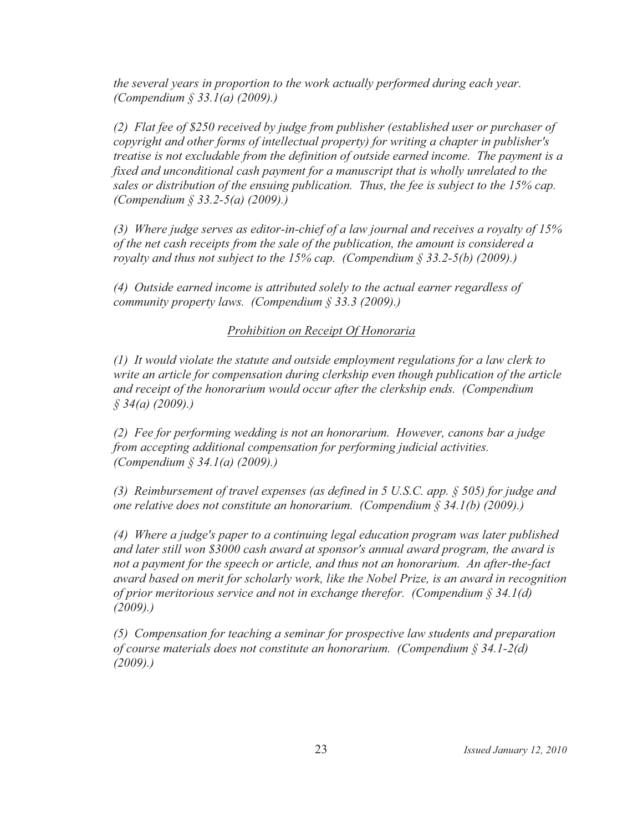the several years in proportion to the work actually performed during each year. (Compendium § 33.1(a) (2009).)

(2) Flat fee of \$250 received by judge from publisher (established user or purchaser of copyright and other forms of intellectual property) for writing a chapter in publisher's treatise is not excludable from the definition of outside earned income. The payment is a fixed and unconditional cash payment for a manuscript that is wholly unrelated to the sales or distribution of the ensuing publication. Thus, the fee is subject to the 15% cap. (Compendium § 33.2-5(a) (2009).)

(3) Where judge serves as editor-in-chief of a law journal and receives a royalty of  $15\%$ of the net cash receipts from the sale of the publication, the amount is considered a royalty and thus not subject to the 15% cap. (Compendium  $\S 33.2$ -5(b) (2009).)

(4) Outside earned income is attributed solely to the actual earner regardless of community property laws. (Compendium  $\S$  33.3 (2009).)

# Prohibition on Receipt Of Honoraria

 $(1)$  It would violate the statute and outside employment regulations for a law clerk to write an article for compensation during clerkship even though publication of the article and receipt of the honorarium would occur after the clerkship ends. (Compendium  $$34(a) (2009).$ 

(2) Fee for performing wedding is not an honorarium. However, canons bar a judge from accepting additional compensation for performing judicial activities. (Compendium § 34.1(a) (2009).)

(3) Reimbursement of travel expenses (as defined in 5 U.S.C. app.  $\S$  505) for judge and one relative does not constitute an honorarium. (Compendium  $\S$  34.1(b) (2009).)

(4) Where a judge's paper to a continuing legal education program was later published and later still won \$3000 cash award at sponsor's annual award program, the award is not a payment for the speech or article, and thus not an honorarium. An after-the-fact award based on merit for scholarly work, like the Nobel Prize, is an award in recognition of prior meritorious service and not in exchange therefor. (Compendium  $\S 34.1(d)$ )  $(2009).$ 

(5) Compensation for teaching a seminar for prospective law students and preparation of course materials does not constitute an honorarium. (Compendium  $\S 34.1-2(d)$ )  $(2009).$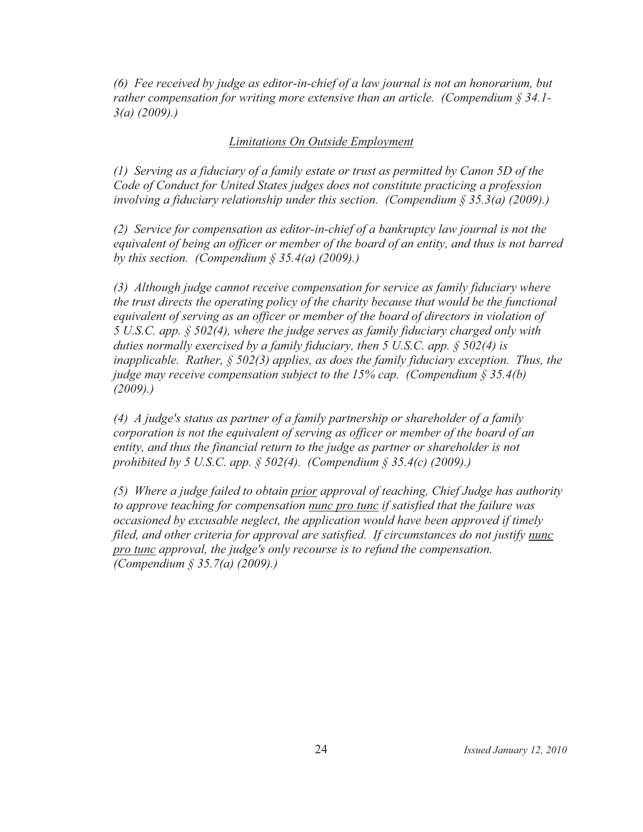(6) Fee received by judge as editor-in-chief of a law journal is not an honorarium, but rather compensation for writing more extensive than an article. (Compendium  $\S 34.1$ - $3(a)$  (2009).)

# **Limitations On Outside Employment**

(1) Serving as a fiduciary of a family estate or trust as permitted by Canon 5D of the Code of Conduct for United States judges does not constitute practicing a profession involving a fiduciary relationship under this section. (Compendium  $\S 35.3(a)$  (2009).)

(2) Service for compensation as editor-in-chief of a bankruptcy law journal is not the equivalent of being an officer or member of the board of an entity, and thus is not barred by this section. (Compendium  $\S$  35.4(a) (2009).)

(3) Although judge cannot receive compensation for service as family fiduciary where the trust directs the operating policy of the charity because that would be the functional equivalent of serving as an officer or member of the board of directors in violation of 5 U.S.C. app.  $\S$  502(4), where the judge serves as family fiduciary charged only with duties normally exercised by a family fiduciary, then 5 U.S.C. app.  $\S$  502(4) is inapplicable. Rather,  $\S$  502(3) applies, as does the family fiduciary exception. Thus, the judge may receive compensation subject to the 15% cap. (Compendium  $\S 35.4(b)$ )  $(2009).$ 

(4) A judge's status as partner of a family partnership or shareholder of a family corporation is not the equivalent of serving as officer or member of the board of an entity, and thus the financial return to the judge as partner or shareholder is not prohibited by 5 U.S.C. app. § 502(4). (Compendium § 35.4(c) (2009).)

(5) Where a judge failed to obtain prior approval of teaching, Chief Judge has authority to approve teaching for compensation nunc pro tunc if satisfied that the failure was occasioned by excusable neglect, the application would have been approved if timely filed, and other criteria for approval are satisfied. If circumstances do not justify nunc pro tunc approval, the judge's only recourse is to refund the compensation. (Compendium § 35.7(a)  $(2009)$ .)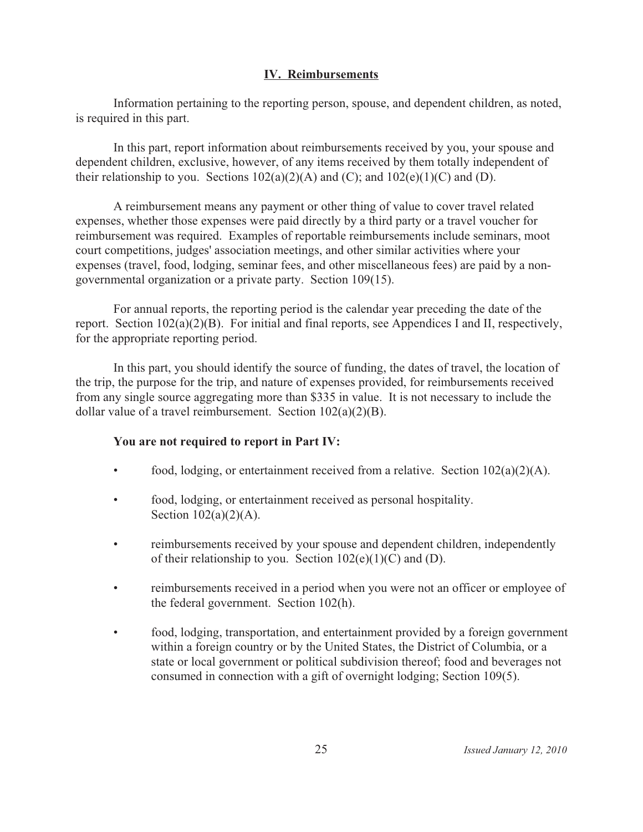# **IV.** Reimbursements

Information pertaining to the reporting person, spouse, and dependent children, as noted, is required in this part.

In this part, report information about reimbursements received by you, your spouse and dependent children, exclusive, however, of any items received by them totally independent of their relationship to you. Sections  $102(a)(2)(A)$  and  $(C)$ ; and  $102(e)(1)(C)$  and  $(D)$ .

A reimbursement means any payment or other thing of value to cover travel related expenses, whether those expenses were paid directly by a third party or a travel voucher for reimbursement was required. Examples of reportable reimbursements include seminars, moot court competitions, judges' association meetings, and other similar activities where your expenses (travel, food, lodging, seminar fees, and other miscellaneous fees) are paid by a nongovernmental organization or a private party. Section 109(15).

For annual reports, the reporting period is the calendar year preceding the date of the report. Section  $102(a)(2)(B)$ . For initial and final reports, see Appendices I and II, respectively, for the appropriate reporting period.

In this part, you should identify the source of funding, the dates of travel, the location of the trip, the purpose for the trip, and nature of expenses provided, for reimbursements received from any single source aggregating more than \$335 in value. It is not necessary to include the dollar value of a travel reimbursement. Section  $102(a)(2)(B)$ .

# You are not required to report in Part IV:

- food, lodging, or entertainment received from a relative. Section  $102(a)(2)(A)$ .
- $\bullet$ food, lodging, or entertainment received as personal hospitality. Section  $102(a)(2)(A)$ .
- reimbursements received by your spouse and dependent children, independently  $\bullet$ of their relationship to you. Section  $102(e)(1)(C)$  and (D).
- $\bullet$ reimbursements received in a period when you were not an officer or employee of the federal government. Section 102(h).
- food, lodging, transportation, and entertainment provided by a foreign government  $\bullet$ within a foreign country or by the United States, the District of Columbia, or a state or local government or political subdivision thereof; food and beverages not consumed in connection with a gift of overnight lodging; Section 109(5).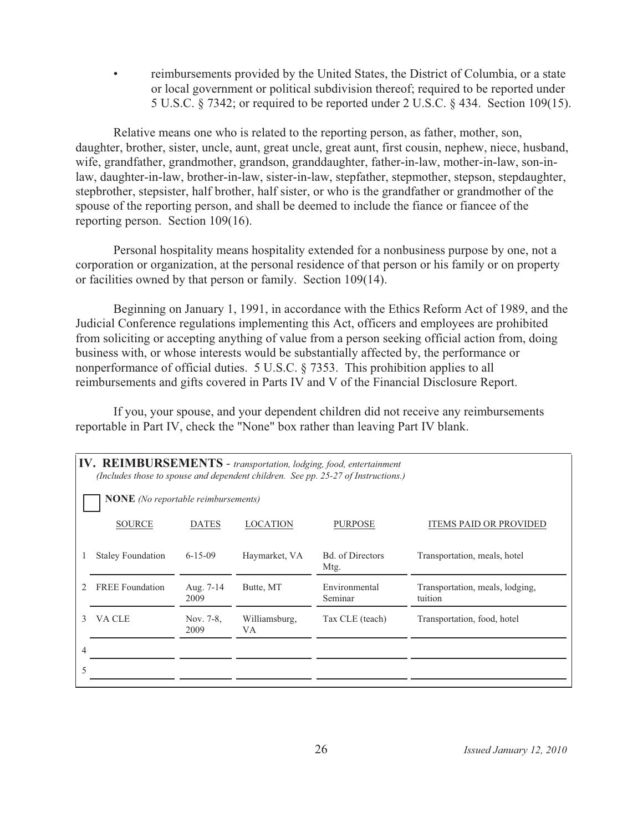reimbursements provided by the United States, the District of Columbia, or a state or local government or political subdivision thereof; required to be reported under 5 U.S.C. § 7342; or required to be reported under 2 U.S.C. § 434. Section 109(15).

Relative means one who is related to the reporting person, as father, mother, son, daughter, brother, sister, uncle, aunt, great uncle, great aunt, first cousin, nephew, niece, husband, wife, grandfather, grandmother, grandson, granddaughter, father-in-law, mother-in-law, son-inlaw, daughter-in-law, brother-in-law, sister-in-law, stepfather, stepmother, stepson, stepdaughter, stepbrother, stepsister, half brother, half sister, or who is the grandfather or grandmother of the spouse of the reporting person, and shall be deemed to include the fiance or fiancee of the reporting person. Section  $109(16)$ .

Personal hospitality means hospitality extended for a nonbusiness purpose by one, not a corporation or organization, at the personal residence of that person or his family or on property or facilities owned by that person or family. Section 109(14).

Beginning on January 1, 1991, in accordance with the Ethics Reform Act of 1989, and the Judicial Conference regulations implementing this Act, officers and employees are prohibited from soliciting or accepting anything of value from a person seeking official action from, doing business with, or whose interests would be substantially affected by, the performance or nonperformance of official duties. 5 U.S.C. § 7353. This prohibition applies to all reimbursements and gifts covered in Parts IV and V of the Financial Disclosure Report.

If you, your spouse, and your dependent children did not receive any reimbursements reportable in Part IV, check the "None" box rather than leaving Part IV blank.

| IV. REIMBURSEMENTS - transportation, lodging, food, entertainment<br>(Includes those to spouse and dependent children. See pp. 25-27 of Instructions.) |                                            |                   |                     |                                 |                                            |  |
|--------------------------------------------------------------------------------------------------------------------------------------------------------|--------------------------------------------|-------------------|---------------------|---------------------------------|--------------------------------------------|--|
|                                                                                                                                                        | <b>NONE</b> (No reportable reimbursements) |                   |                     |                                 |                                            |  |
|                                                                                                                                                        | <b>SOURCE</b>                              | <b>DATES</b>      | <b>LOCATION</b>     | <b>PURPOSE</b>                  | <b>ITEMS PAID OR PROVIDED</b>              |  |
|                                                                                                                                                        | <b>Staley Foundation</b>                   | $6 - 15 - 09$     | Haymarket, VA       | <b>Bd.</b> of Directors<br>Mtg. | Transportation, meals, hotel               |  |
|                                                                                                                                                        | <b>FREE</b> Foundation                     | Aug. 7-14<br>2009 | Butte, MT           | Environmental<br>Seminar        | Transportation, meals, lodging,<br>tuition |  |
| 3                                                                                                                                                      | VA CLE                                     | Nov. 7-8,<br>2009 | Williamsburg,<br>VA | Tax CLE (teach)                 | Transportation, food, hotel                |  |
|                                                                                                                                                        |                                            |                   |                     |                                 |                                            |  |
| 5                                                                                                                                                      |                                            |                   |                     |                                 |                                            |  |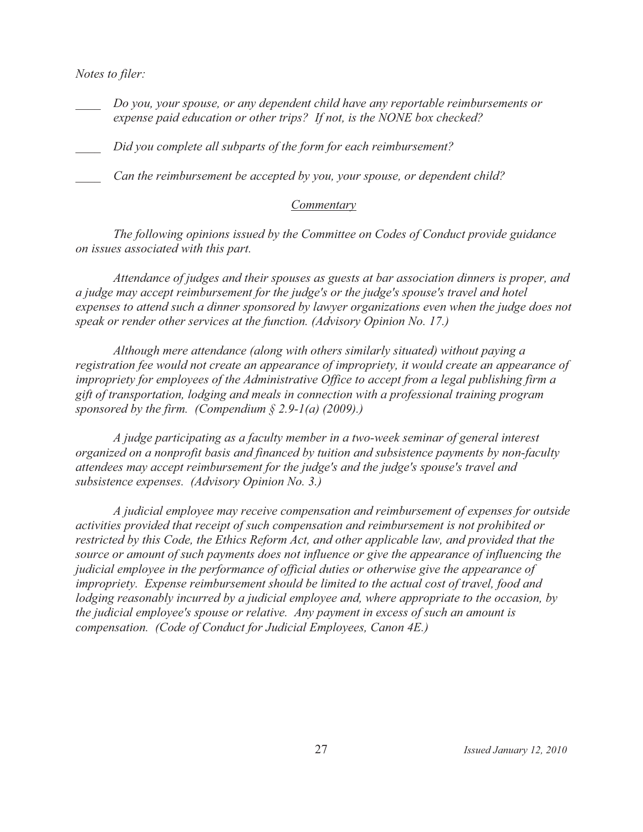Notes to filer:

Do you, your spouse, or any dependent child have any reportable reimbursements or expense paid education or other trips? If not, is the NONE box checked?

Did you complete all subparts of the form for each reimbursement?

Can the reimbursement be accepted by you, your spouse, or dependent child?

# Commentary

The following opinions issued by the Committee on Codes of Conduct provide guidance on issues associated with this part.

Attendance of judges and their spouses as guests at bar association dinners is proper, and a judge may accept reimbursement for the judge's or the judge's spouse's travel and hotel expenses to attend such a dinner sponsored by lawyer organizations even when the judge does not speak or render other services at the function. (Advisory Opinion No. 17.)

Although mere attendance (along with others similarly situated) without paying a registration fee would not create an appearance of impropriety, it would create an appearance of impropriety for employees of the Administrative Office to accept from a legal publishing firm a gift of transportation, lodging and meals in connection with a professional training program sponsored by the firm. (Compendium  $\S 2.9-1(a)$  (2009).)

A judge participating as a faculty member in a two-week seminar of general interest organized on a nonprofit basis and financed by tuition and subsistence payments by non-faculty attendees may accept reimbursement for the judge's and the judge's spouse's travel and subsistence expenses. (Advisory Opinion No. 3.)

A judicial employee may receive compensation and reimbursement of expenses for outside activities provided that receipt of such compensation and reimbursement is not prohibited or restricted by this Code, the Ethics Reform Act, and other applicable law, and provided that the source or amount of such payments does not influence or give the appearance of influencing the judicial employee in the performance of official duties or otherwise give the appearance of impropriety. Expense reimbursement should be limited to the actual cost of travel, food and lodging reasonably incurred by a judicial employee and, where appropriate to the occasion, by the judicial employee's spouse or relative. Any payment in excess of such an amount is compensation. (Code of Conduct for Judicial Employees, Canon 4E.)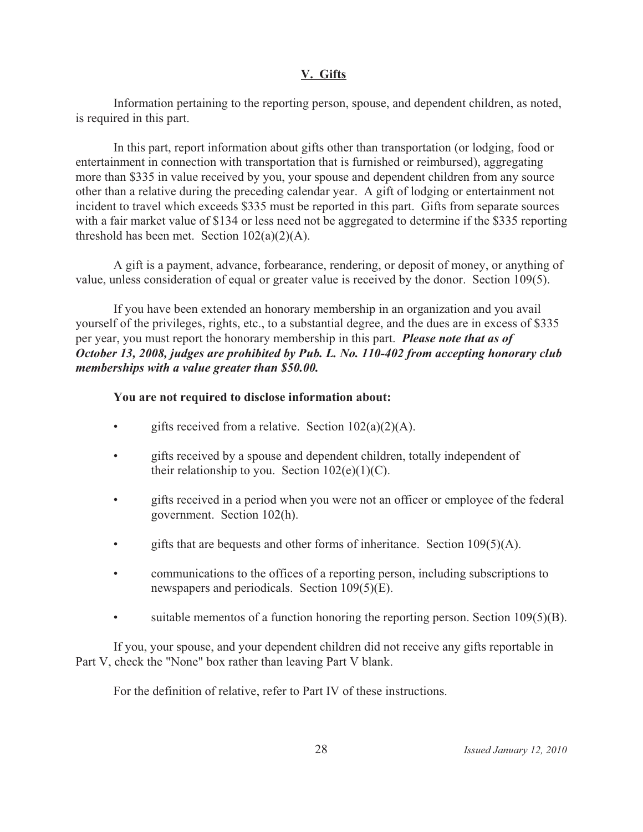## **V. Gifts**

Information pertaining to the reporting person, spouse, and dependent children, as noted, is required in this part.

In this part, report information about gifts other than transportation (or lodging, food or entertainment in connection with transportation that is furnished or reimbursed), aggregating more than \$335 in value received by you, your spouse and dependent children from any source other than a relative during the preceding calendar year. A gift of lodging or entertainment not incident to travel which exceeds \$335 must be reported in this part. Gifts from separate sources with a fair market value of \$134 or less need not be aggregated to determine if the \$335 reporting threshold has been met. Section  $102(a)(2)(A)$ .

A gift is a payment, advance, forbearance, rendering, or deposit of money, or anything of value, unless consideration of equal or greater value is received by the donor. Section 109(5).

If you have been extended an honorary membership in an organization and you avail yourself of the privileges, rights, etc., to a substantial degree, and the dues are in excess of \$335 per year, you must report the honorary membership in this part. **Please note that as of** *October 13, 2008, judges are prohibited by Pub. L. No. 110-402 from accepting honorary club memberships with a value greater than \$50.00.*

## **You are not required to disclose information about:**

- gifts received from a relative. Section  $102(a)(2)(A)$ .
- gifts received by a spouse and dependent children, totally independent of their relationship to you. Section  $102(e)(1)(C)$ .
- gifts received in a period when you were not an officer or employee of the federal government. Section 102(h).
- gifts that are bequests and other forms of inheritance. Section  $109(5)(A)$ .
- communications to the offices of a reporting person, including subscriptions to newspapers and periodicals. Section 109(5)(E).
- suitable mementos of a function honoring the reporting person. Section  $109(5)(B)$ .

If you, your spouse, and your dependent children did not receive any gifts reportable in Part V, check the "None" box rather than leaving Part V blank.

For the definition of relative, refer to Part IV of these instructions.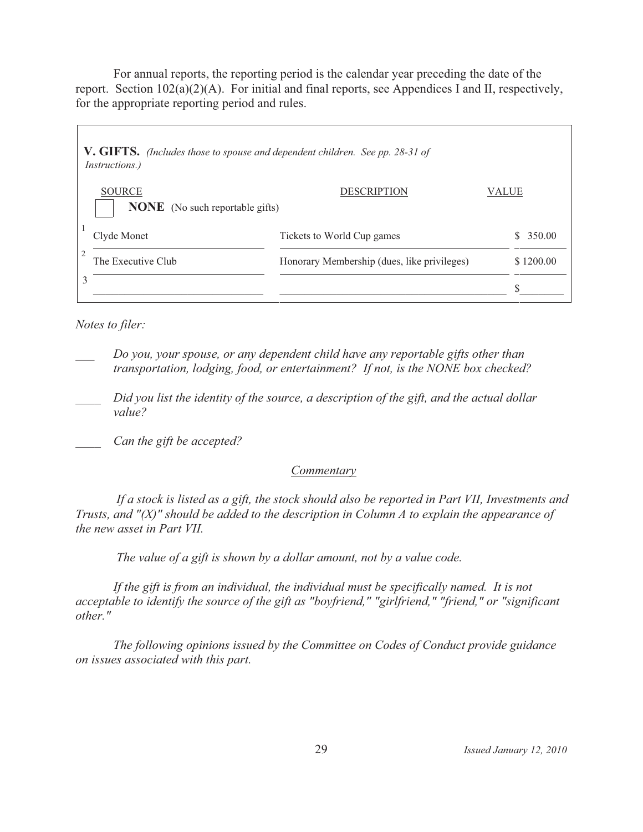For annual reports, the reporting period is the calendar year preceding the date of the report. Section 102(a)(2)(A). For initial and final reports, see Appendices I and II, respectively, for the appropriate reporting period and rules.

| <b>V. GIFTS.</b> (Includes those to spouse and dependent children. See pp. 28-31 of<br><i>Instructions.</i> ) |                                             |           |
|---------------------------------------------------------------------------------------------------------------|---------------------------------------------|-----------|
| <b>SOURCE</b><br><b>NONE</b> (No such reportable gifts)                                                       | <b>DESCRIPTION</b>                          | VALUE     |
| Clyde Monet                                                                                                   | Tickets to World Cup games                  | 350.00    |
| The Executive Club                                                                                            | Honorary Membership (dues, like privileges) | \$1200.00 |
| 3                                                                                                             |                                             |           |

Notes to filer:

- Do you, your spouse, or any dependent child have any reportable gifts other than transportation, lodging, food, or entertainment? If not, is the NONE box checked?
- Did you list the identity of the source, a description of the gift, and the actual dollar value?
- Can the gift be accepted?

# Commentary

If a stock is listed as a gift, the stock should also be reported in Part VII, Investments and Trusts, and " $(X)$ " should be added to the description in Column  $A$  to explain the appearance of the new asset in Part VII.

The value of a gift is shown by a dollar amount, not by a value code.

If the gift is from an individual, the individual must be specifically named. It is not acceptable to identify the source of the gift as "boyfriend," "girlfriend," "friend," or "significant  $other.$ "

The following opinions issued by the Committee on Codes of Conduct provide guidance on issues associated with this part.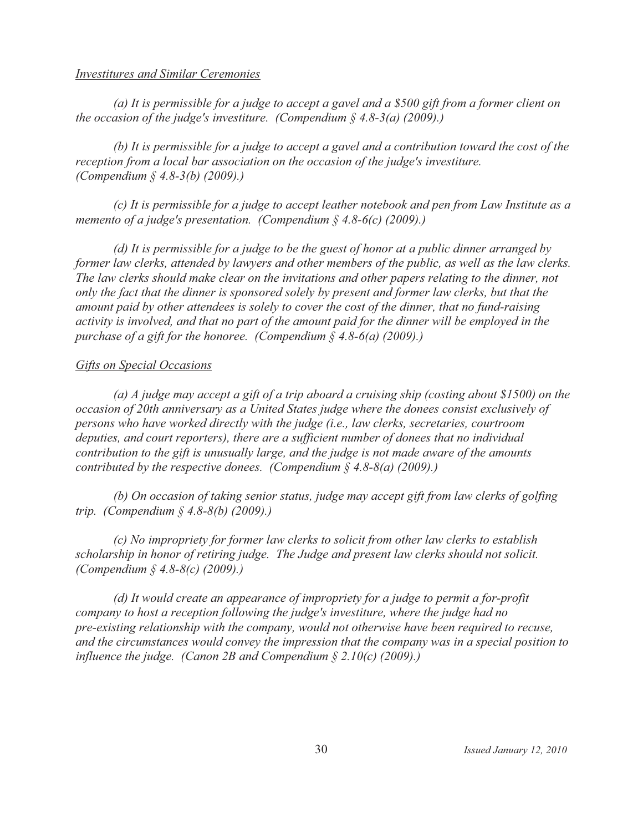#### **Investitures and Similar Ceremonies**

(a) It is permissible for a judge to accept a gavel and a  $$500$  gift from a former client on the occasion of the judge's investiture. (Compendium  $\S$  4.8-3(a) (2009).)

(b) It is permissible for a judge to accept a gavel and a contribution toward the cost of the reception from a local bar association on the occasion of the judge's investiture. (Compendium § 4.8-3(b) (2009).)

(c) It is permissible for a judge to accept leather notebook and pen from Law Institute as a memento of a judge's presentation. (Compendium  $\S$  4.8-6(c) (2009).)

(d) It is permissible for a judge to be the guest of honor at a public dinner arranged by former law clerks, attended by lawyers and other members of the public, as well as the law clerks. The law clerks should make clear on the invitations and other papers relating to the dinner, not only the fact that the dinner is sponsored solely by present and former law clerks, but that the amount paid by other attendees is solely to cover the cost of the dinner, that no fund-raising activity is involved, and that no part of the amount paid for the dinner will be employed in the purchase of a gift for the honoree. (Compendium  $\S$  4.8-6(a) (2009).)

# **Gifts on Special Occasions**

(a) A judge may accept a gift of a trip aboard a cruising ship (costing about \$1500) on the occasion of 20th anniversary as a United States judge where the donees consist exclusively of persons who have worked directly with the judge (i.e., law clerks, secretaries, courtroom deputies, and court reporters), there are a sufficient number of donees that no individual contribution to the gift is unusually large, and the judge is not made aware of the amounts contributed by the respective donees. (Compendium  $\S$  4.8-8(a) (2009).)

(b) On occasion of taking senior status, judge may accept gift from law clerks of golfing trip. (Compendium  $§$  4.8-8(b) (2009).)

(c) No impropriety for former law clerks to solicit from other law clerks to establish scholarship in honor of retiring judge. The Judge and present law clerks should not solicit. (Compendium  $\S$  4.8-8(c) (2009).)

(d) It would create an appearance of impropriety for a judge to permit a for-profit company to host a reception following the judge's investiture, where the judge had no pre-existing relationship with the company, would not otherwise have been required to recuse, and the circumstances would convey the impression that the company was in a special position to influence the judge. (Canon 2B and Compendium  $\S 2.10(c)$  (2009).)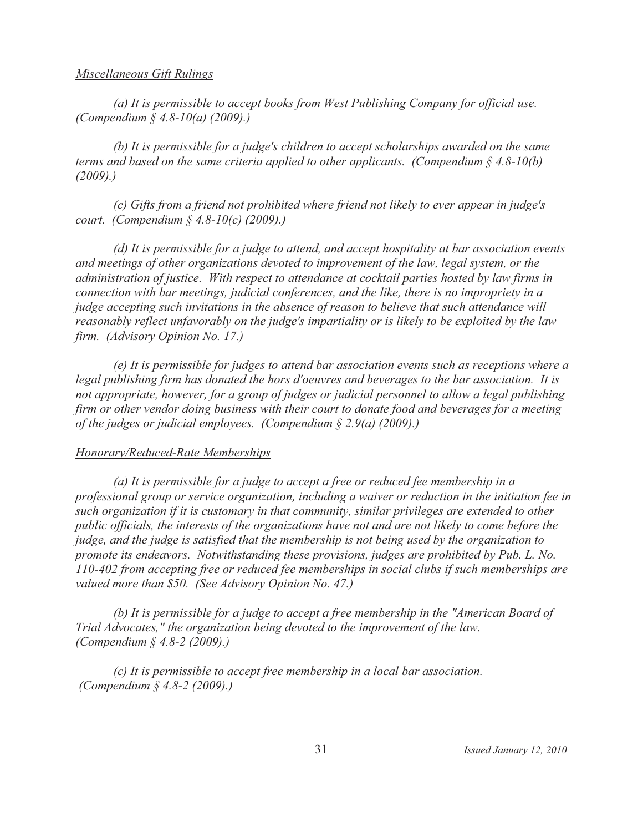#### Miscellaneous Gift Rulings

(a) It is permissible to accept books from West Publishing Company for official use. (Compendium § 4.8-10(a) (2009).)

(b) It is permissible for a judge's children to accept scholarships awarded on the same terms and based on the same criteria applied to other applicants. (Compendium  $\S$  4.8-10(b)  $(2009)$ .)

(c) Gifts from a friend not prohibited where friend not likely to ever appear in judge's court. (Compendium  $\S 4.8-10(c)$  (2009).)

(d) It is permissible for a judge to attend, and accept hospitality at bar association events and meetings of other organizations devoted to improvement of the law, legal system, or the administration of justice. With respect to attendance at cocktail parties hosted by law firms in connection with bar meetings, judicial conferences, and the like, there is no impropriety in a judge accepting such invitations in the absence of reason to believe that such attendance will reasonably reflect unfavorably on the judge's impartiality or is likely to be exploited by the law firm. (Advisory Opinion No. 17.)

(e) It is permissible for judges to attend bar association events such as receptions where a legal publishing firm has donated the hors d'oeuvres and beverages to the bar association. It is not appropriate, however, for a group of judges or judicial personnel to allow a legal publishing firm or other vendor doing business with their court to donate food and beverages for a meeting of the judges or judicial employees. (Compendium  $\S 2.9(a)$  (2009).)

### Honorary/Reduced-Rate Memberships

(a) It is permissible for a judge to accept a free or reduced fee membership in a professional group or service organization, including a waiver or reduction in the initiation fee in such organization if it is customary in that community, similar privileges are extended to other public officials, the interests of the organizations have not and are not likely to come before the judge, and the judge is satisfied that the membership is not being used by the organization to promote its endeavors. Notwithstanding these provisions, judges are prohibited by Pub. L. No. 110-402 from accepting free or reduced fee memberships in social clubs if such memberships are valued more than \$50. (See Advisory Opinion No. 47.)

(b) It is permissible for a judge to accept a free membership in the "American Board of Trial Advocates," the organization being devoted to the improvement of the law. (Compendium  $\frac{2}{3}$  4.8-2 (2009).)

(c) It is permissible to accept free membership in a local bar association. (Compendium § 4.8-2 (2009).)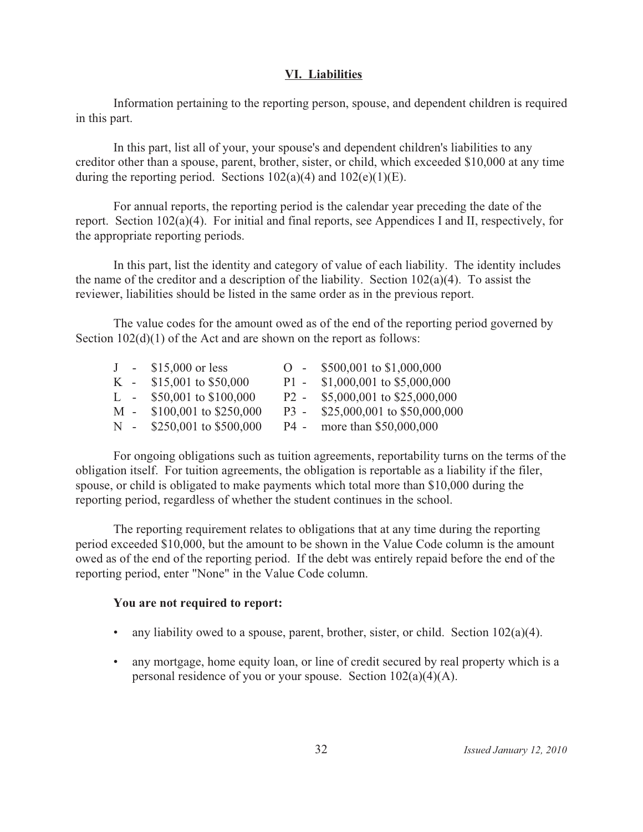## **VI. Liabilities**

Information pertaining to the reporting person, spouse, and dependent children is required in this part.

In this part, list all of your, your spouse's and dependent children's liabilities to any creditor other than a spouse, parent, brother, sister, or child, which exceeded \$10,000 at any time during the reporting period. Sections  $102(a)(4)$  and  $102(e)(1)(E)$ .

For annual reports, the reporting period is the calendar year preceding the date of the report. Section  $102(a)(4)$ . For initial and final reports, see Appendices I and II, respectively, for the appropriate reporting periods.

In this part, list the identity and category of value of each liability. The identity includes the name of the creditor and a description of the liability. Section  $102(a)(4)$ . To assist the reviewer, liabilities should be listed in the same order as in the previous report.

The value codes for the amount owed as of the end of the reporting period governed by Section  $102(d)(1)$  of the Act and are shown on the report as follows:

|  | $J - $15,000$ or less       | $O - $500,001$ to \$1,000,000     |
|--|-----------------------------|-----------------------------------|
|  | K - $$15,001$ to \$50,000   | P1 - $$1,000,001$ to $$5,000,000$ |
|  | L - $$50,001$ to $$100,000$ | P2 - \$5,000,001 to \$25,000,000  |
|  | M - \$100,001 to \$250,000  | P3 - \$25,000,001 to \$50,000,000 |
|  | N - \$250,001 to \$500,000  | P4 - more than \$50,000,000       |

For ongoing obligations such as tuition agreements, reportability turns on the terms of the obligation itself. For tuition agreements, the obligation is reportable as a liability if the filer, spouse, or child is obligated to make payments which total more than \$10,000 during the reporting period, regardless of whether the student continues in the school.

The reporting requirement relates to obligations that at any time during the reporting period exceeded \$10,000, but the amount to be shown in the Value Code column is the amount owed as of the end of the reporting period. If the debt was entirely repaid before the end of the reporting period, enter "None" in the Value Code column.

### **You are not required to report:**

- any liability owed to a spouse, parent, brother, sister, or child. Section  $102(a)(4)$ .
- any mortgage, home equity loan, or line of credit secured by real property which is a personal residence of you or your spouse. Section  $102(a)(4)(A)$ .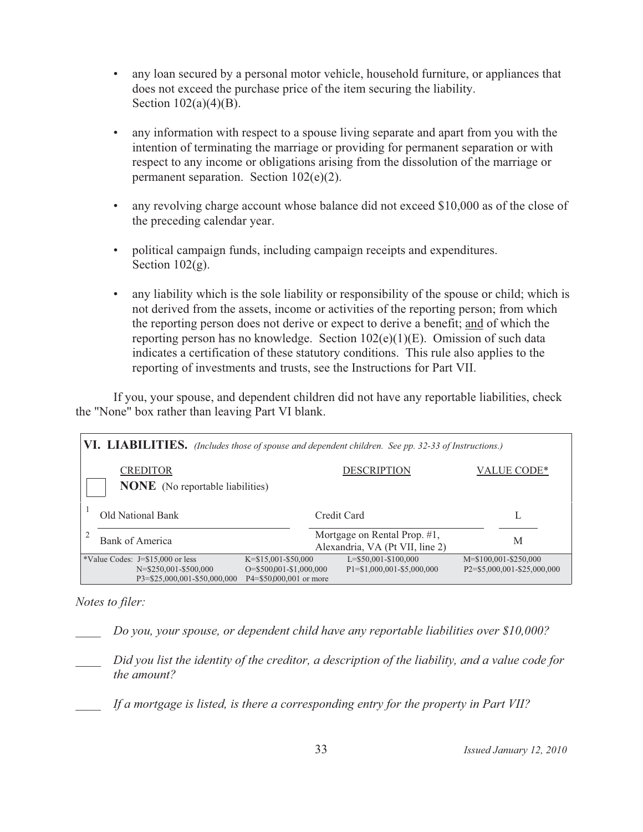- any loan secured by a personal motor vehicle, household furniture, or appliances that  $\bullet$ does not exceed the purchase price of the item securing the liability. Section  $102(a)(4)(B)$ .
- any information with respect to a spouse living separate and apart from you with the intention of terminating the marriage or providing for permanent separation or with respect to any income or obligations arising from the dissolution of the marriage or permanent separation. Section  $102(e)(2)$ .
- any revolving charge account whose balance did not exceed \$10,000 as of the close of  $\bullet$ the preceding calendar year.
- political campaign funds, including campaign receipts and expenditures.  $\bullet$  . Section  $102(g)$ .
- any liability which is the sole liability or responsibility of the spouse or child; which is  $\bullet$  . not derived from the assets, income or activities of the reporting person; from which the reporting person does not derive or expect to derive a benefit; and of which the reporting person has no knowledge. Section  $102(e)(1)(E)$ . Omission of such data indicates a certification of these statutory conditions. This rule also applies to the reporting of investments and trusts, see the Instructions for Part VII.

If you, your spouse, and dependent children did not have any reportable liabilities, check the "None" box rather than leaving Part VI blank.

| VI. LIABILITIES. (Includes those of spouse and dependent children. See pp. 32-33 of Instructions.) |                                                                              |                                                                 |                             |  |  |  |  |  |  |  |  |  |
|----------------------------------------------------------------------------------------------------|------------------------------------------------------------------------------|-----------------------------------------------------------------|-----------------------------|--|--|--|--|--|--|--|--|--|
| <b>CREDITOR</b>                                                                                    | VALUE CODE*<br><b>DESCRIPTION</b><br><b>NONE</b> (No reportable liabilities) |                                                                 |                             |  |  |  |  |  |  |  |  |  |
| Old National Bank                                                                                  |                                                                              | Credit Card                                                     |                             |  |  |  |  |  |  |  |  |  |
| Bank of America                                                                                    |                                                                              | Mortgage on Rental Prop. #1,<br>Alexandria, VA (Pt VII, line 2) | M                           |  |  |  |  |  |  |  |  |  |
| *Value Codes: $J = $15,000$ or less                                                                | $K = $15,001 - $50,000$                                                      | L=\$50,001-\$100,000                                            | M=\$100,001-\$250,000       |  |  |  |  |  |  |  |  |  |
| N=\$250,001-\$500,000                                                                              | $O = $500001 - $1,000,000$                                                   | $P1 = $1,000,001 - $5,000,000$                                  | P2=\$5,000,001-\$25,000,000 |  |  |  |  |  |  |  |  |  |
| P3=\$25,000,001-\$50,000,000                                                                       |                                                                              | $P4 = $50,000,001$ or more                                      |                             |  |  |  |  |  |  |  |  |  |

Notes to filer:

Do you, your spouse, or dependent child have any reportable liabilities over \$10,000?

Did you list the identity of the creditor, a description of the liability, and a value code for the amount?

If a mortgage is listed, is there a corresponding entry for the property in Part VII?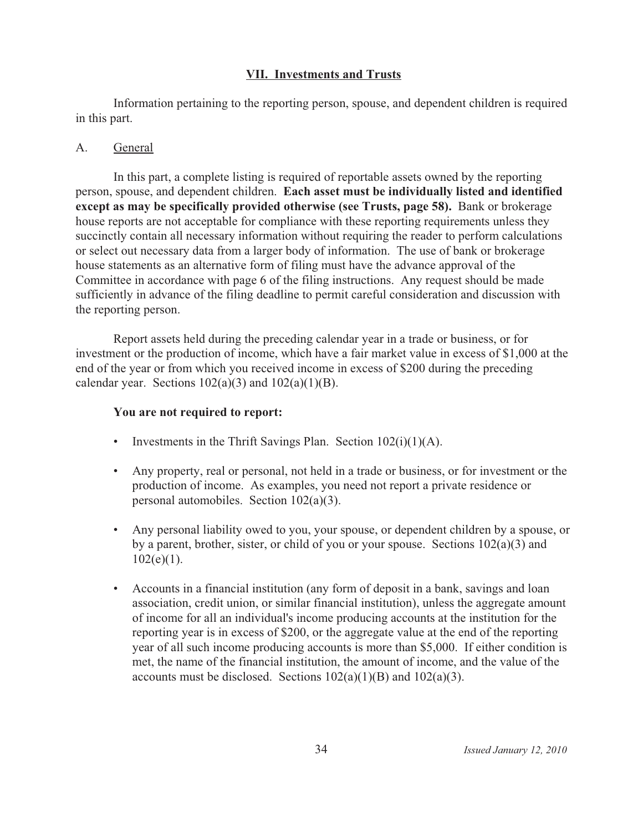### **VII. Investments and Trusts**

Information pertaining to the reporting person, spouse, and dependent children is required in this part.

#### $\mathbf{A}$ General

In this part, a complete listing is required of reportable assets owned by the reporting person, spouse, and dependent children. Each asset must be individually listed and identified **except as may be specifically provided otherwise (see Trusts, page 58).** Bank or brokerage house reports are not acceptable for compliance with these reporting requirements unless they succinctly contain all necessary information without requiring the reader to perform calculations or select out necessary data from a larger body of information. The use of bank or brokerage house statements as an alternative form of filing must have the advance approval of the Committee in accordance with page 6 of the filing instructions. Any request should be made sufficiently in advance of the filing deadline to permit careful consideration and discussion with the reporting person.

Report assets held during the preceding calendar year in a trade or business, or for investment or the production of income, which have a fair market value in excess of \$1,000 at the end of the year or from which you received income in excess of \$200 during the preceding calendar year. Sections  $102(a)(3)$  and  $102(a)(1)(B)$ .

#### **You are not required to report:**

- Investments in the Thrift Savings Plan. Section  $102(i)(1)(A)$ .
- Any property, real or personal, not held in a trade or business, or for investment or the production of income. As examples, you need not report a private residence or personal automobiles. Section  $102(a)(3)$ .
- Any personal liability owed to you, your spouse, or dependent children by a spouse, or by a parent, brother, sister, or child of you or your spouse. Sections  $102(a)(3)$  and  $102(e)(1)$ .
- Accounts in a financial institution (any form of deposit in a bank, savings and loan association, credit union, or similar financial institution), unless the aggregate amount of income for all an individual's income producing accounts at the institution for the reporting year is in excess of \$200, or the aggregate value at the end of the reporting year of all such income producing accounts is more than \$5,000. If either condition is met, the name of the financial institution, the amount of income, and the value of the accounts must be disclosed. Sections  $102(a)(1)(B)$  and  $102(a)(3)$ .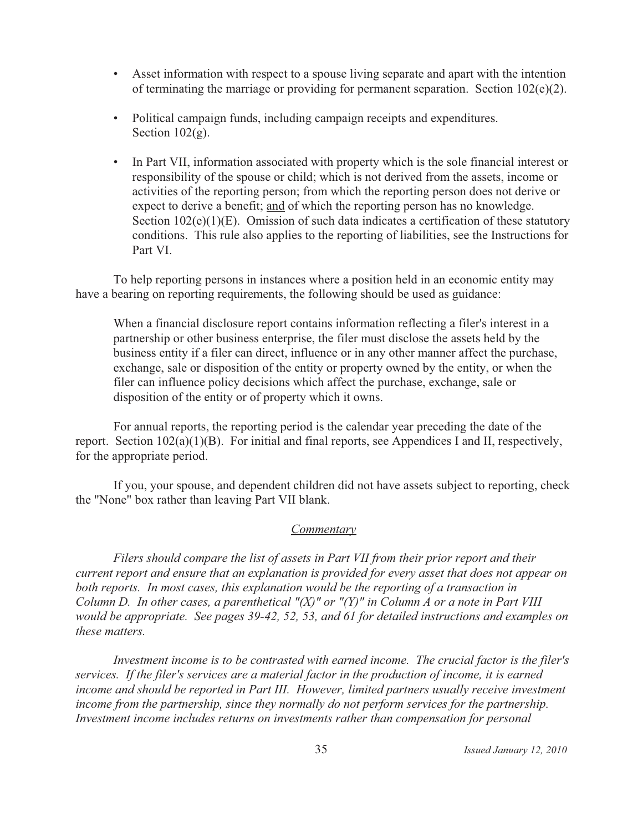- Asset information with respect to a spouse living separate and apart with the intention of terminating the marriage or providing for permanent separation. Section  $102(e)(2)$ .
- Political campaign funds, including campaign receipts and expenditures. Section  $102(g)$ .
- In Part VII, information associated with property which is the sole financial interest or responsibility of the spouse or child; which is not derived from the assets, income or activities of the reporting person; from which the reporting person does not derive or expect to derive a benefit; and of which the reporting person has no knowledge. Section  $102(e)(1)(E)$ . Omission of such data indicates a certification of these statutory conditions. This rule also applies to the reporting of liabilities, see the Instructions for Part VI.

To help reporting persons in instances where a position held in an economic entity may have a bearing on reporting requirements, the following should be used as guidance:

When a financial disclosure report contains information reflecting a filer's interest in a partnership or other business enterprise, the filer must disclose the assets held by the business entity if a filer can direct, influence or in any other manner affect the purchase, exchange, sale or disposition of the entity or property owned by the entity, or when the filer can influence policy decisions which affect the purchase, exchange, sale or disposition of the entity or of property which it owns.

For annual reports, the reporting period is the calendar year preceding the date of the report. Section  $102(a)(1)(B)$ . For initial and final reports, see Appendices I and II, respectively, for the appropriate period.

If you, your spouse, and dependent children did not have assets subject to reporting, check the "None" box rather than leaving Part VII blank.

### Commentary

Filers should compare the list of assets in Part VII from their prior report and their current report and ensure that an explanation is provided for every asset that does not appear on both reports. In most cases, this explanation would be the reporting of a transaction in Column D. In other cases, a parenthetical " $(X)$ " or " $(Y)$ " in Column A or a note in Part VIII would be appropriate. See pages 39-42, 52, 53, and 61 for detailed instructions and examples on these matters.

Investment income is to be contrasted with earned income. The crucial factor is the filer's services. If the filer's services are a material factor in the production of income, it is earned income and should be reported in Part III. However, limited partners usually receive investment income from the partnership, since they normally do not perform services for the partnership. Investment income includes returns on investments rather than compensation for personal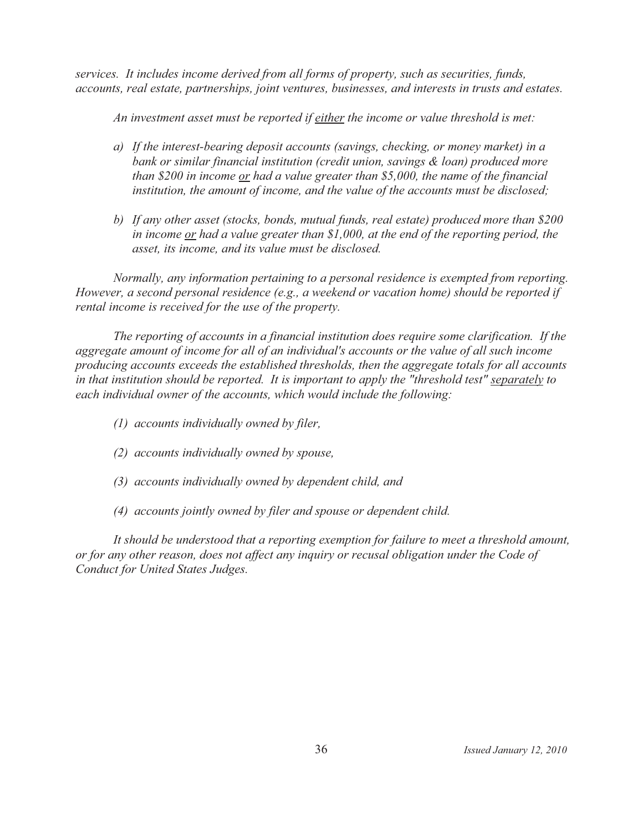services. It includes income derived from all forms of property, such as securities, funds, accounts, real estate, partnerships, joint ventures, businesses, and interests in trusts and estates.

An investment asset must be reported if either the income or value threshold is met:

- a) If the interest-bearing deposit accounts (savings, checking, or money market) in a bank or similar financial institution (credit union, savings & loan) produced more than \$200 in income  $or$  had a value greater than \$5,000, the name of the financial institution, the amount of income, and the value of the accounts must be disclosed;
- b) If any other asset (stocks, bonds, mutual funds, real estate) produced more than \$200 in income  $or$  had a value greater than \$1,000, at the end of the reporting period, the asset, its income, and its value must be disclosed.

Normally, any information pertaining to a personal residence is exempted from reporting. However, a second personal residence (e.g., a weekend or vacation home) should be reported if rental income is received for the use of the property.

The reporting of accounts in a financial institution does require some clarification. If the aggregate amount of income for all of an individual's accounts or the value of all such income producing accounts exceeds the established thresholds, then the aggregate totals for all accounts in that institution should be reported. It is important to apply the "threshold test" separately to each individual owner of the accounts, which would include the following:

- (1) accounts individually owned by filer,
- (2) accounts individually owned by spouse,
- (3) accounts individually owned by dependent child, and
- (4) accounts jointly owned by filer and spouse or dependent child.

It should be understood that a reporting exemption for failure to meet a threshold amount, or for any other reason, does not affect any inquiry or recusal obligation under the Code of Conduct for United States Judges.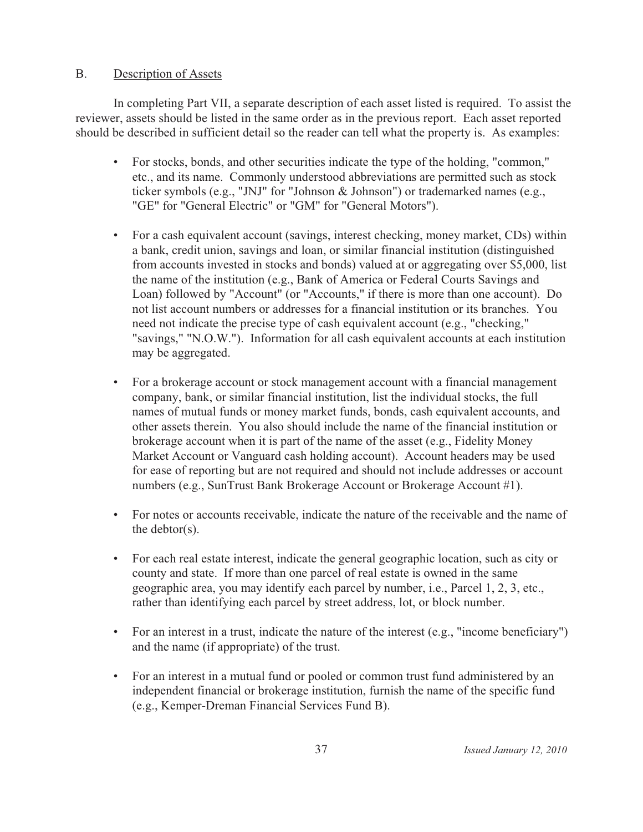#### $B<sub>r</sub>$ Description of Assets

In completing Part VII, a separate description of each asset listed is required. To assist the reviewer, assets should be listed in the same order as in the previous report. Each asset reported should be described in sufficient detail so the reader can tell what the property is. As examples:

- For stocks, bonds, and other securities indicate the type of the holding, "common," etc., and its name. Commonly understood abbreviations are permitted such as stock ticker symbols (e.g., "JNJ" for "Johnson & Johnson") or trademarked names (e.g., "GE" for "General Electric" or "GM" for "General Motors").
- For a cash equivalent account (savings, interest checking, money market, CDs) within a bank, credit union, savings and loan, or similar financial institution (distinguished from accounts invested in stocks and bonds) valued at or aggregating over \$5,000, list the name of the institution (e.g., Bank of America or Federal Courts Savings and Loan) followed by "Account" (or "Accounts," if there is more than one account). Do not list account numbers or addresses for a financial institution or its branches. You need not indicate the precise type of cash equivalent account (e.g., "checking," "savings," "N.O.W."). Information for all cash equivalent accounts at each institution may be aggregated.
- $\bullet$ For a brokerage account or stock management account with a financial management company, bank, or similar financial institution, list the individual stocks, the full names of mutual funds or money market funds, bonds, cash equivalent accounts, and other assets therein. You also should include the name of the financial institution or brokerage account when it is part of the name of the asset (e.g., Fidelity Money Market Account or Vanguard cash holding account). Account headers may be used for ease of reporting but are not required and should not include addresses or account numbers (e.g., SunTrust Bank Brokerage Account or Brokerage Account #1).
- For notes or accounts receivable, indicate the nature of the receivable and the name of the debtor( $s$ ).
- For each real estate interest, indicate the general geographic location, such as city or county and state. If more than one parcel of real estate is owned in the same geographic area, you may identify each parcel by number, i.e., Parcel 1, 2, 3, etc., rather than identifying each parcel by street address, lot, or block number.
- For an interest in a trust, indicate the nature of the interest  $(e.g., "income benefitiary")$ and the name (if appropriate) of the trust.
- For an interest in a mutual fund or pooled or common trust fund administered by an independent financial or brokerage institution, furnish the name of the specific fund (e.g., Kemper-Dreman Financial Services Fund B).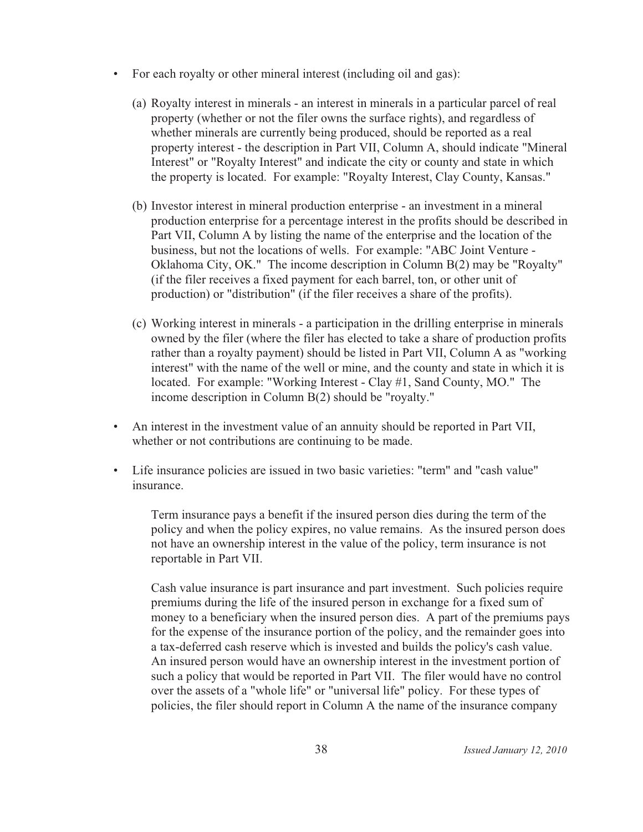- For each royalty or other mineral interest (including oil and gas):
	- (a) Royalty interest in minerals an interest in minerals in a particular parcel of real property (whether or not the filer owns the surface rights), and regardless of whether minerals are currently being produced, should be reported as a real property interest - the description in Part VII, Column A, should indicate "Mineral Interest" or "Royalty Interest" and indicate the city or county and state in which the property is located. For example: "Royalty Interest, Clay County, Kansas."
	- (b) Investor interest in mineral production enterprise an investment in a mineral production enterprise for a percentage interest in the profits should be described in Part VII, Column A by listing the name of the enterprise and the location of the business, but not the locations of wells. For example: "ABC Joint Venture -Oklahoma City, OK." The income description in Column B(2) may be "Royalty" (if the filer receives a fixed payment for each barrel, ton, or other unit of production) or "distribution" (if the filer receives a share of the profits).
	- (c) Working interest in minerals a participation in the drilling enterprise in minerals owned by the filer (where the filer has elected to take a share of production profits rather than a royalty payment) should be listed in Part VII, Column A as "working interest" with the name of the well or mine, and the county and state in which it is located. For example: "Working Interest - Clay #1, Sand County, MO." The income description in Column B(2) should be "royalty."
- An interest in the investment value of an annuity should be reported in Part VII, whether or not contributions are continuing to be made.
- Life insurance policies are issued in two basic varieties: "term" and "cash value" insurance.

Term insurance pays a benefit if the insured person dies during the term of the policy and when the policy expires, no value remains. As the insured person does not have an ownership interest in the value of the policy, term insurance is not reportable in Part VII.

Cash value insurance is part insurance and part investment. Such policies require premiums during the life of the insured person in exchange for a fixed sum of money to a beneficiary when the insured person dies. A part of the premiums pays for the expense of the insurance portion of the policy, and the remainder goes into a tax-deferred cash reserve which is invested and builds the policy's cash value. An insured person would have an ownership interest in the investment portion of such a policy that would be reported in Part VII. The filer would have no control over the assets of a "whole life" or "universal life" policy. For these types of policies, the filer should report in Column A the name of the insurance company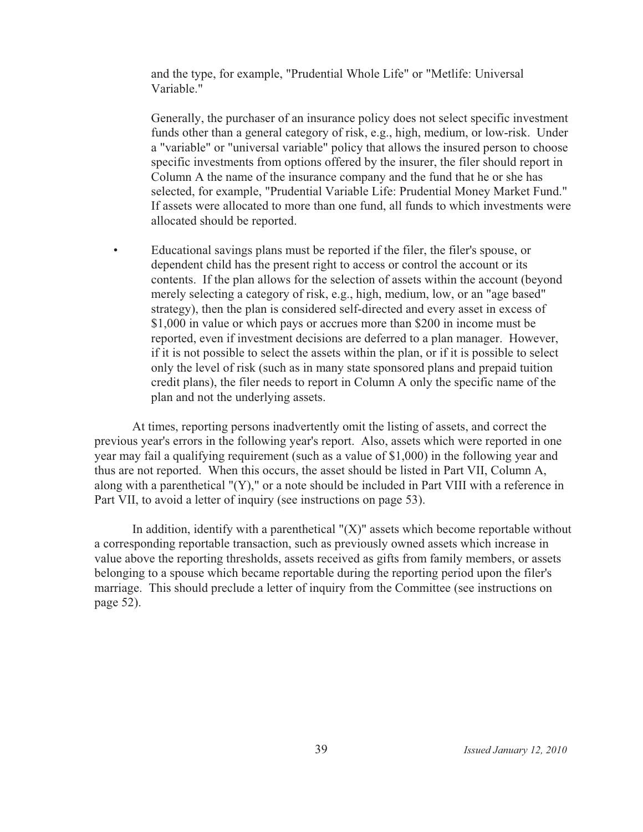and the type, for example, "Prudential Whole Life" or "Metlife: Universal Variable."

Generally, the purchaser of an insurance policy does not select specific investment funds other than a general category of risk, e.g., high, medium, or low-risk. Under a "variable" or "universal variable" policy that allows the insured person to choose specific investments from options offered by the insurer, the filer should report in Column A the name of the insurance company and the fund that he or she has selected, for example, "Prudential Variable Life: Prudential Money Market Fund." If assets were allocated to more than one fund, all funds to which investments were allocated should be reported.

Educational savings plans must be reported if the filer, the filer's spouse, or  $\bullet$ dependent child has the present right to access or control the account or its contents. If the plan allows for the selection of assets within the account (beyond merely selecting a category of risk, e.g., high, medium, low, or an "age based" strategy), then the plan is considered self-directed and every asset in excess of \$1,000 in value or which pays or accrues more than \$200 in income must be reported, even if investment decisions are deferred to a plan manager. However, if it is not possible to select the assets within the plan, or if it is possible to select only the level of risk (such as in many state sponsored plans and prepaid tuition credit plans), the filer needs to report in Column A only the specific name of the plan and not the underlying assets.

At times, reporting persons inadvertently omit the listing of assets, and correct the previous year's errors in the following year's report. Also, assets which were reported in one year may fail a qualifying requirement (such as a value of \$1,000) in the following year and thus are not reported. When this occurs, the asset should be listed in Part VII, Column A, along with a parenthetical "(Y)," or a note should be included in Part VIII with a reference in Part VII, to avoid a letter of inquiry (see instructions on page 53).

In addition, identify with a parenthetical " $(X)$ " assets which become reportable without a corresponding reportable transaction, such as previously owned assets which increase in value above the reporting thresholds, assets received as gifts from family members, or assets belonging to a spouse which became reportable during the reporting period upon the filer's marriage. This should preclude a letter of inquiry from the Committee (see instructions on page 52).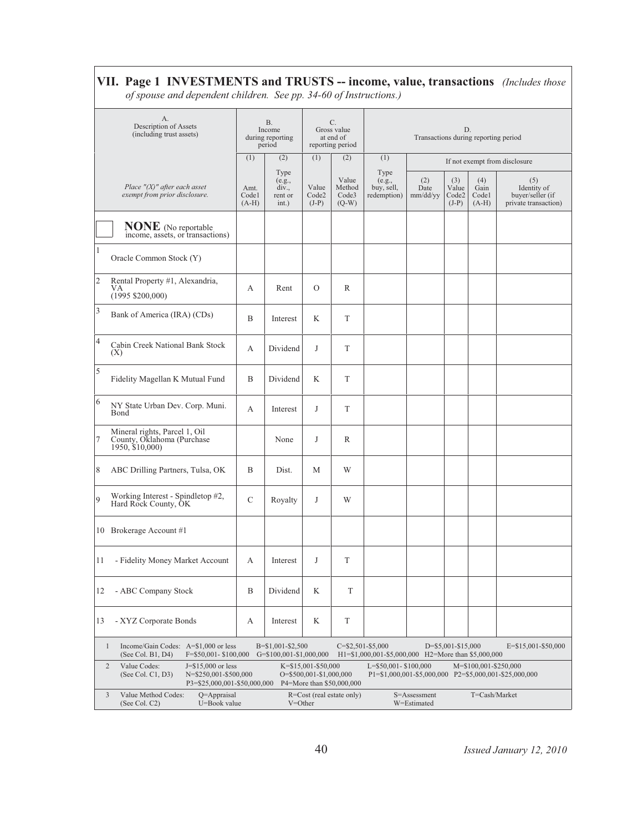#### VII. Page 1 INVESTMENTS and TRUSTS -- income, value, transactions (Includes those of spouse and dependent children. See pp. 34-60 of Instructions.)

A.  $\overline{B}$ .  $\overline{C}$ . Description of Assets Income Gross value D. (including trust assets) during reporting at end of Transactions during reporting period reporting period period  $(1)$  $(2)$  $(1)$  $(2)$  $(1)$ If not exempt from disclosure Type Type Value  $(2)$  $(3)$  $(4)$  $(5)$ (e.g.,<br>buy, sell,  $(e.g.,$ <br>div., Identity of<br>buyer/seller (if Place  $''(X)$ " after each asset Amt. Value Method Date Value Gain exempt from prior disclosure.  $Code<sub>1</sub>$ rent or  $Code<sub>2</sub>$  $Code<sub>3</sub>$ redemption) mm/dd/yy  $Code2$  $Code1$  $(A-H)$  $(J-P)$  $(J-P)$  $(Q-W)$  $(A-H)$ private transaction) int.) **NONE** (No reportable income, assets, or transactions) Oracle Common Stock (Y) Rental Property #1, Alexandria,  $\overline{A}$ Rent  $\mathcal{O}$  $\,$  R VA<br>(1995 \$200,000) Bank of America (IRA) (CDs)  $\, {\bf B}$ Interest  $\rm K$  $\mathbf T$ Cabin Creek National Bank Stock  $\mathbf{A}$ Dividend  $_{\rm J}$ T  $(X)$ Fidelity Magellan K Mutual Fund  $\overline{B}$ Dividend  $\rm K$  $\mathcal T$ 6 NY State Urban Dev. Corp. Muni.  $\mathbf{A}$  $_{\rm J}$ T Interest Bond Mineral rights, Parcel 1, Oil<br>County, Oklahoma (Purchase<br>1950, \$10,000)  $\mathsf{R}$ None  $\mathbf{I}$ 8 ABC Drilling Partners, Tulsa, OK  $\, {\bf B}$ W Dist. M Working Interest - Spindletop #2,<br>Hard Rock County, OK  $\mathsf{C}$ Royalty  $\mathbf{J}$ W  $\mathbf Q$ 10 Brokerage Account #1 11 - Fidelity Money Market Account  $\boldsymbol{\rm{A}}$ Interest  $_{\rm J}$  $\mathbf T$ 12 - ABC Company Stock  $\overline{B}$ Dividend  $\rm K$  $\mathbf T$ 13 - XYZ Corporate Bonds  $\mathbf{A}$ Interest K  $\mathbf T$ Income/Gain Codes: A=\$1,000 or less B=\$1,001-\$2,500 C=\$2,501-\$5,000 D=\$5,001-\$15,000 E=\$15,001-\$50,000  $\mathbf{1}$ (See Col. B1, D4) F=\$50,001-\$100,000 G=\$100,001-\$1,000,000 H1=\$1,000,001-\$5,000,000 H2=More than \$5,000,000  $\sqrt{2}$ Value Codes:  $J = $15,000$  or less K=\$15,001-\$50,000 L=\$50,001-\$100,000 M=\$100,001-\$250,000  $N = $250.001 - $500.000$ O=\$500,001-\$1,000,000 P1=\$1,000,001-\$5,000,000 P2=\$5,000,001-\$25,000,000 (See Col. C1, D3) P3=\$25,000,001-\$50,000,000 P4=More than \$50,000,000 Value Method Codes: T=Cash/Market  $\overline{3}$ Q=Appraisal R=Cost (real estate only) S=Assessment (See Col. C2) U=Book value  $V =$ Other W=Estimated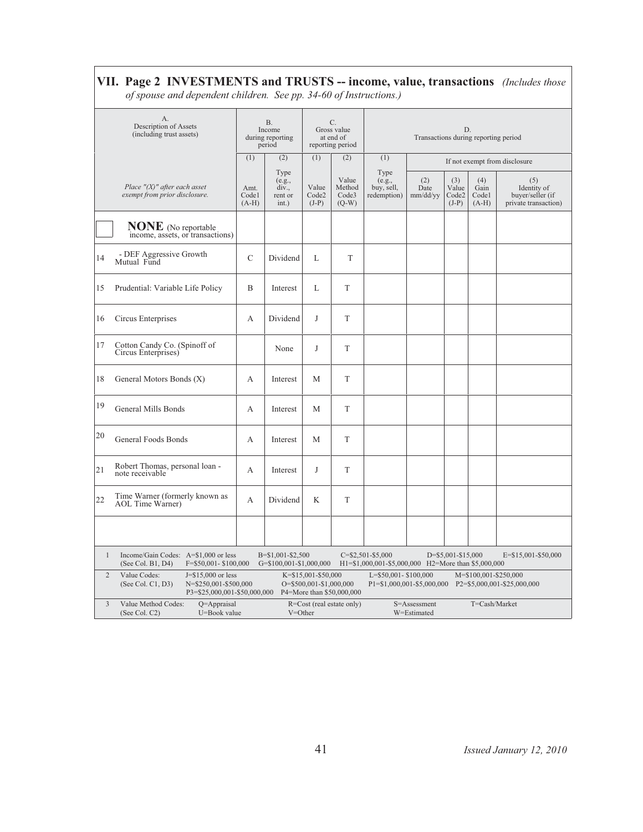|                | of spouse and dependent children. See pp. 34-60 of Instructions.)                                                   |               |                                                   |                                                |                                                    |                                                                              |                               |                                  |                                 |                                                                |  |  |
|----------------|---------------------------------------------------------------------------------------------------------------------|---------------|---------------------------------------------------|------------------------------------------------|----------------------------------------------------|------------------------------------------------------------------------------|-------------------------------|----------------------------------|---------------------------------|----------------------------------------------------------------|--|--|
|                | А.<br>Description of Assets<br>(including trust assets)                                                             |               | <b>B.</b><br>Income<br>during reporting<br>period |                                                | С.<br>Gross value<br>at end of<br>reporting period | D.<br>Transactions during reporting period                                   |                               |                                  |                                 |                                                                |  |  |
|                |                                                                                                                     | (1)           | (2)                                               | (1)                                            | (2)                                                | (1)                                                                          | If not exempt from disclosure |                                  |                                 |                                                                |  |  |
|                | Place $''(X)$ " after each asset<br>exempt from prior disclosure.                                                   |               | Type<br>(e.g.,<br>div.,<br>rent or<br>int.)       | Value<br>Code2<br>$(J-P)$                      | Value<br>Method<br>Code3<br>$(Q-W)$                | Type<br>(e.g.,<br>buy, sell,<br>redemption)                                  | (2)<br>Date<br>mm/dd/yy       | (3)<br>Value<br>Code2<br>$(J-P)$ | (4)<br>Gain<br>Codel<br>$(A-H)$ | (5)<br>Identity of<br>buyer/seller (if<br>private transaction) |  |  |
|                | <b>NONE</b> (No reportable<br>income, assets, or transactions)                                                      |               |                                                   |                                                |                                                    |                                                                              |                               |                                  |                                 |                                                                |  |  |
| 14             | - DEF Aggressive Growth<br>Mutual Fund                                                                              | $\mathcal{C}$ | Dividend                                          | L                                              | T                                                  |                                                                              |                               |                                  |                                 |                                                                |  |  |
| 15             | Prudential: Variable Life Policy                                                                                    | B             | Interest                                          | L                                              | T                                                  |                                                                              |                               |                                  |                                 |                                                                |  |  |
| 16             | Circus Enterprises                                                                                                  | А             | Dividend                                          | J                                              | T                                                  |                                                                              |                               |                                  |                                 |                                                                |  |  |
| 17             | Cotton Candy Co. (Spinoff of<br>Circus Enterprises)                                                                 |               | None                                              | J                                              | T                                                  |                                                                              |                               |                                  |                                 |                                                                |  |  |
| 18             | General Motors Bonds (X)                                                                                            | A             | Interest                                          | M                                              | T                                                  |                                                                              |                               |                                  |                                 |                                                                |  |  |
| 19             | General Mills Bonds                                                                                                 | A             | Interest                                          | М                                              | T                                                  |                                                                              |                               |                                  |                                 |                                                                |  |  |
| 20             | <b>General Foods Bonds</b>                                                                                          | А             | Interest                                          | M                                              | T                                                  |                                                                              |                               |                                  |                                 |                                                                |  |  |
| 21             | Robert Thomas, personal loan -<br>note receivable                                                                   | А             | Interest                                          | J                                              | T                                                  |                                                                              |                               |                                  |                                 |                                                                |  |  |
| 22             | Time Warner (formerly known as<br>AOL Time Warner)                                                                  | A             | Dividend                                          | K                                              | T                                                  |                                                                              |                               |                                  |                                 |                                                                |  |  |
|                |                                                                                                                     |               |                                                   |                                                |                                                    |                                                                              |                               |                                  |                                 |                                                                |  |  |
| $\mathbf{1}$   | Income/Gain Codes: A=\$1,000 or less<br>(See Col. B1, D4)<br>F=\$50,001-\$100,000                                   |               | B=\$1,001-\$2,500<br>G=\$100,001-\$1,000,000      |                                                |                                                    | $C = $2,501 - $5,000$<br>H1=\$1,000,001-\$5,000,000 H2=More than \$5,000,000 |                               | D=\$5,001-\$15,000               |                                 | E=\$15,001-\$50,000                                            |  |  |
| $\overline{2}$ | Value Codes:<br>$J = $15,000$ or less<br>(See Col. C1, D3)<br>N=\$250,001-\$500,000<br>P3=\$25,000,001-\$50,000,000 |               |                                                   | K=\$15,001-\$50,000<br>O=\$500,001-\$1,000,000 | P4=More than \$50,000,000                          | L=\$50,001-\$100,000                                                         |                               |                                  | M=\$100,001-\$250,000           | P1=\$1,000,001-\$5,000,000 P2=\$5,000,001-\$25,000,000         |  |  |
| $\overline{3}$ | Value Method Codes:<br>Q=Appraisal<br>(See Col. C2)<br>U=Book value                                                 |               |                                                   | $V = Other$                                    | R=Cost (real estate only)                          |                                                                              | S=Assessment<br>W=Estimated   |                                  | T=Cash/Market                   |                                                                |  |  |

# VII. Page 2 INVESTMENTS and TRUSTS -- income, value, transactions (Includes those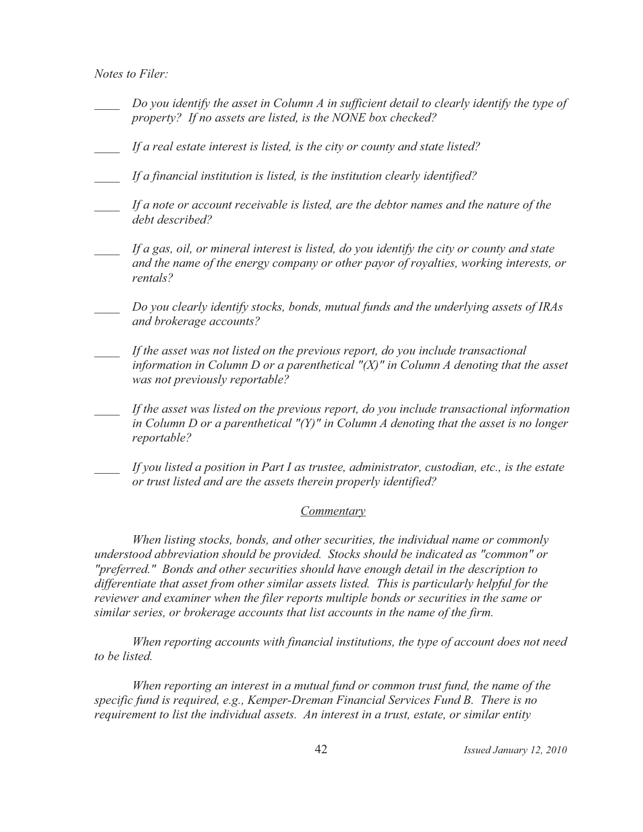Notes to Filer:

- Do you identify the asset in Column A in sufficient detail to clearly identify the type of property? If no assets are listed, is the NONE box checked?
- If a real estate interest is listed, is the city or county and state listed?
- If a financial institution is listed, is the institution clearly identified?
- If a note or account receivable is listed, are the debtor names and the nature of the debt described?
- If a gas, oil, or mineral interest is listed, do you identify the city or county and state and the name of the energy company or other payor of royalties, working interests, or rentals?
- Do you clearly identify stocks, bonds, mutual funds and the underlying assets of IRAs and brokerage accounts?
- If the asset was not listed on the previous report, do you include transactional information in Column D or a parenthetical " $(X)$ " in Column A denoting that the asset was not previously reportable?
- If the asset was listed on the previous report, do you include transactional information in Column D or a parenthetical " $(Y)$ " in Column A denoting that the asset is no longer reportable?
- If you listed a position in Part I as trustee, administrator, custodian, etc., is the estate or trust listed and are the assets therein properly identified?

#### Commentary

When listing stocks, bonds, and other securities, the individual name or commonly understood abbreviation should be provided. Stocks should be indicated as "common" or "preferred." Bonds and other securities should have enough detail in the description to differentiate that asset from other similar assets listed. This is particularly helpful for the reviewer and examiner when the filer reports multiple bonds or securities in the same or similar series, or brokerage accounts that list accounts in the name of the firm.

When reporting accounts with financial institutions, the type of account does not need to be listed.

When reporting an interest in a mutual fund or common trust fund, the name of the specific fund is required, e.g., Kemper-Dreman Financial Services Fund B. There is no requirement to list the individual assets. An interest in a trust, estate, or similar entity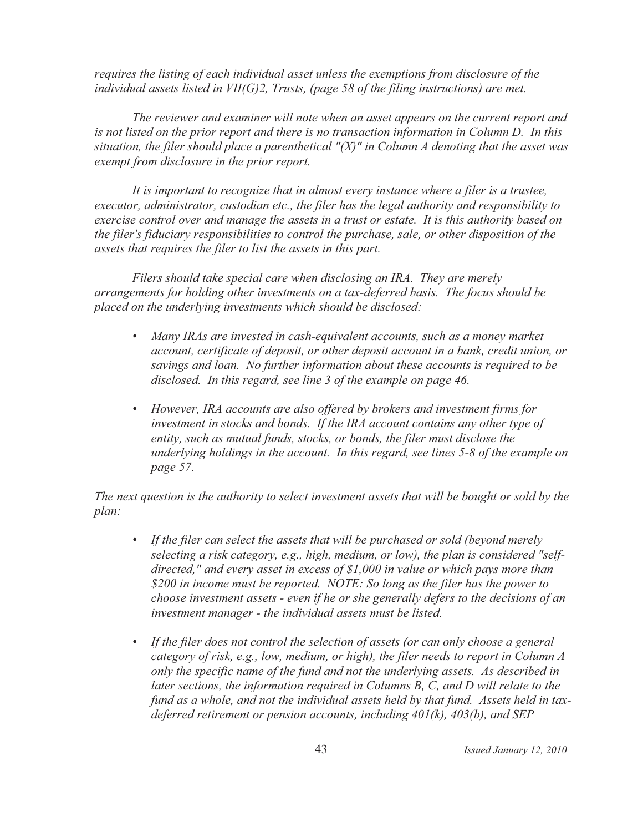requires the listing of each individual asset unless the exemptions from disclosure of the individual assets listed in  $VII(G)2$ , Trusts, (page 58 of the filing instructions) are met.

The reviewer and examiner will note when an asset appears on the current report and is not listed on the prior report and there is no transaction information in Column D. In this situation, the filer should place a parenthetical " $(X)$ " in Column A denoting that the asset was exempt from disclosure in the prior report.

It is important to recognize that in almost every instance where a filer is a trustee, executor, administrator, custodian etc., the filer has the legal authority and responsibility to exercise control over and manage the assets in a trust or estate. It is this authority based on the filer's fiduciary responsibilities to control the purchase, sale, or other disposition of the assets that requires the filer to list the assets in this part.

Filers should take special care when disclosing an IRA. They are merely arrangements for holding other investments on a tax-deferred basis. The focus should be placed on the underlying investments which should be disclosed:

- Many IRAs are invested in cash-equivalent accounts, such as a money market account, certificate of deposit, or other deposit account in a bank, credit union, or savings and loan. No further information about these accounts is required to be disclosed. In this regard, see line 3 of the example on page 46.
- However, IRA accounts are also offered by brokers and investment firms for investment in stocks and bonds. If the IRA account contains any other type of entity, such as mutual funds, stocks, or bonds, the filer must disclose the underlying holdings in the account. In this regard, see lines 5-8 of the example on page 57.

The next question is the authority to select investment assets that will be bought or sold by the plan:

- If the filer can select the assets that will be purchased or sold (beyond merely selecting a risk category, e.g., high, medium, or low), the plan is considered "selfdirected," and every asset in excess of  $$1,000$  in value or which pays more than \$200 in income must be reported. NOTE: So long as the filer has the power to choose investment assets - even if he or she generally defers to the decisions of an investment manager - the individual assets must be listed.
- If the filer does not control the selection of assets (or can only choose a general category of risk, e.g., low, medium, or high), the filer needs to report in Column A only the specific name of the fund and not the underlying assets. As described in later sections, the information required in Columns  $B$ ,  $C$ , and  $D$  will relate to the fund as a whole, and not the individual assets held by that fund. Assets held in taxdeferred retirement or pension accounts, including  $401(k)$ ,  $403(b)$ , and SEP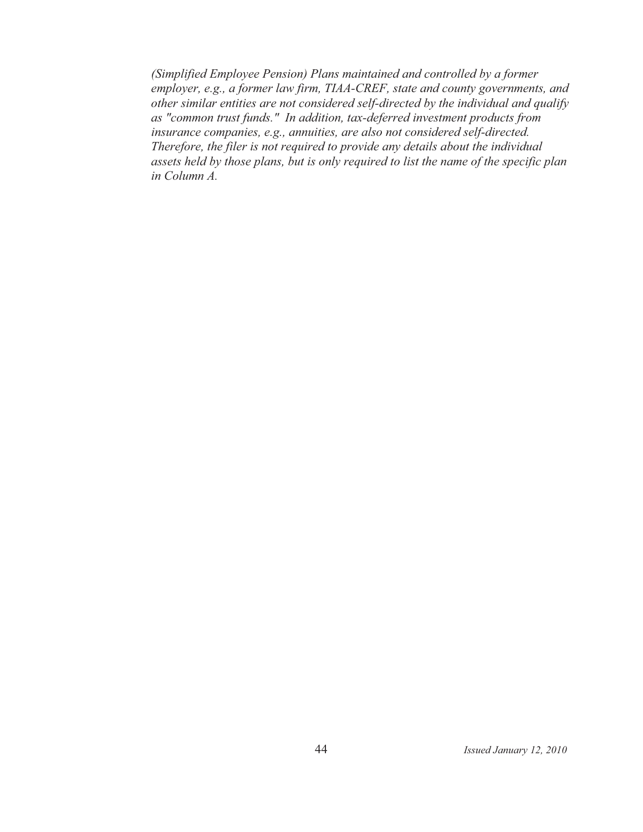(Simplified Employee Pension) Plans maintained and controlled by a former employer, e.g., a former law firm, TIAA-CREF, state and county governments, and other similar entities are not considered self-directed by the individual and qualify as "common trust funds." In addition, tax-deferred investment products from insurance companies, e.g., annuities, are also not considered self-directed. Therefore, the filer is not required to provide any details about the individual assets held by those plans, but is only required to list the name of the specific plan in Column A.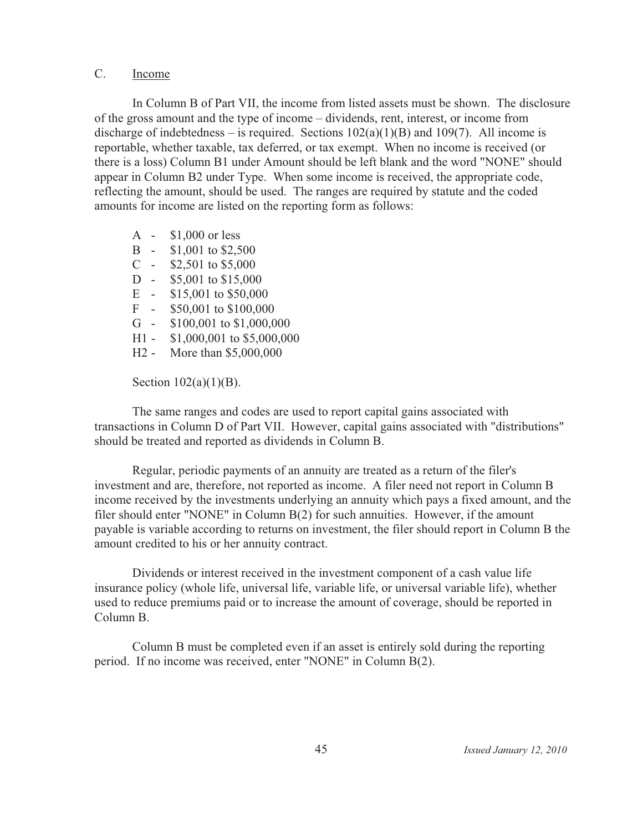#### $C_{\cdot}$ Income

In Column B of Part VII, the income from listed assets must be shown. The disclosure of the gross amount and the type of income – dividends, rent, interest, or income from discharge of indebtedness – is required. Sections  $102(a)(1)(B)$  and  $109(7)$ . All income is reportable, whether taxable, tax deferred, or tax exempt. When no income is received (or there is a loss) Column B1 under Amount should be left blank and the word "NONE" should appear in Column B2 under Type. When some income is received, the appropriate code, reflecting the amount, should be used. The ranges are required by statute and the coded amounts for income are listed on the reporting form as follows:

 $A $1,000$  or less  $B -$ \$1,001 to \$2,500  $C = $2,501$  to \$5,000  $D -$ \$5,001 to \$15,000 E -  $$15,001$  to  $$50,000$  $F - $50,001$  to \$100,000  $G -$ \$100,001 to \$1,000,000  $H1 -$ \$1,000,001 to \$5,000,000 H<sub>2</sub> - More than \$5,000,000

Section  $102(a)(1)(B)$ .

The same ranges and codes are used to report capital gains associated with transactions in Column D of Part VII. However, capital gains associated with "distributions" should be treated and reported as dividends in Column B.

Regular, periodic payments of an annuity are treated as a return of the filer's investment and are, therefore, not reported as income. A filer need not report in Column B income received by the investments underlying an annuity which pays a fixed amount, and the filer should enter "NONE" in Column B(2) for such annuities. However, if the amount payable is variable according to returns on investment, the filer should report in Column B the amount credited to his or her annuity contract.

Dividends or interest received in the investment component of a cash value life insurance policy (whole life, universal life, variable life, or universal variable life), whether used to reduce premiums paid or to increase the amount of coverage, should be reported in Column B.

Column B must be completed even if an asset is entirely sold during the reporting period. If no income was received, enter "NONE" in Column B(2).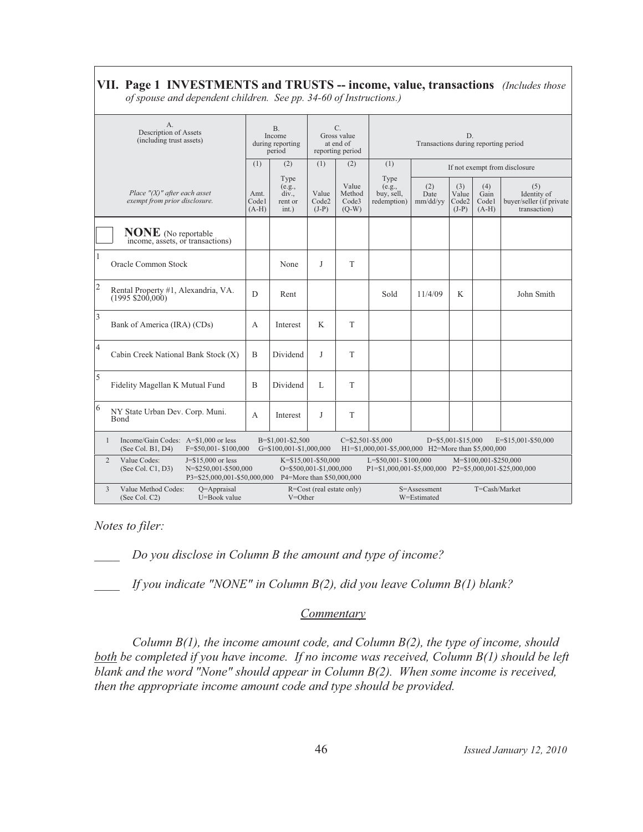# **VII. Page 1 INVESTMENTS and TRUSTS -- income, value, transactions** (Includes those

*of spouse and dependent children. See pp. 34-60 of Instructions.)* 

| A.<br>Description of Assets<br>(including trust assets)        |                                                                      |                                                                                                          |                          | <b>B.</b><br>Income<br>during reporting<br>period |                           | C.<br>Gross value<br>at end of<br>reporting period | D.<br>Transactions during reporting period                                                              |                               |                                  |                                 |                                                                |  |
|----------------------------------------------------------------|----------------------------------------------------------------------|----------------------------------------------------------------------------------------------------------|--------------------------|---------------------------------------------------|---------------------------|----------------------------------------------------|---------------------------------------------------------------------------------------------------------|-------------------------------|----------------------------------|---------------------------------|----------------------------------------------------------------|--|
|                                                                |                                                                      |                                                                                                          |                          | (2)                                               | (1)                       | (2)                                                | (1)                                                                                                     | If not exempt from disclosure |                                  |                                 |                                                                |  |
|                                                                | Place $''(X)$ " after each asset<br>exempt from prior disclosure.    |                                                                                                          | Amt.<br>Codel<br>$(A-H)$ | Type<br>(e.g.,<br>div.,<br>rent or<br>int.)       | Value<br>Code2<br>$(J-P)$ | Value<br>Method<br>Code3<br>$(Q-W)$                | Type<br>(e.g.,<br>buy, sell,<br>redemption)                                                             | (2)<br>Date<br>mm/dd/yy       | (3)<br>Value<br>Code2<br>$(J-P)$ | (4)<br>Gain<br>Codel<br>$(A-H)$ | (5)<br>Identity of<br>buyer/seller (if private<br>transaction) |  |
| <b>NONE</b> (No reportable<br>income, assets, or transactions) |                                                                      |                                                                                                          |                          |                                                   |                           |                                                    |                                                                                                         |                               |                                  |                                 |                                                                |  |
| <b>Oracle Common Stock</b>                                     |                                                                      |                                                                                                          |                          | None                                              | J                         | T                                                  |                                                                                                         |                               |                                  |                                 |                                                                |  |
| $\mathfrak{2}$                                                 | Rental Property #1, Alexandria, VA.<br>$(1995 \, \text{\$} 200,000)$ |                                                                                                          | D                        | Rent                                              |                           |                                                    | Sold                                                                                                    | 11/4/09                       | K                                |                                 | John Smith                                                     |  |
| $\overline{\mathbf{3}}$                                        | Bank of America (IRA) (CDs)                                          |                                                                                                          | A                        | Interest                                          | K                         | T                                                  |                                                                                                         |                               |                                  |                                 |                                                                |  |
| $\overline{4}$                                                 |                                                                      | Cabin Creek National Bank Stock (X)                                                                      | B                        | Dividend                                          | J                         | T                                                  |                                                                                                         |                               |                                  |                                 |                                                                |  |
| 5                                                              | Fidelity Magellan K Mutual Fund                                      |                                                                                                          | B                        | Dividend                                          | $\mathbf{L}$              | T                                                  |                                                                                                         |                               |                                  |                                 |                                                                |  |
| 6<br><b>B</b> ond                                              | NY State Urban Dev. Corp. Muni.                                      |                                                                                                          | A                        | Interest                                          | J                         | T                                                  |                                                                                                         |                               |                                  |                                 |                                                                |  |
| $\mathbf{1}$                                                   | (See Col. B1, D4)                                                    | Income/Gain Codes: A=\$1,000 or less<br>F=\$50,001-\$100,000                                             |                          | B=\$1,001-\$2,500<br>G=\$100,001-\$1,000,000      |                           |                                                    | $C = $2,501 - $5,000$<br>H1=\$1,000,001-\$5,000,000 H2=More than \$5,000,000                            |                               | D=\$5,001-\$15,000               |                                 | $E = $15,001 - $50,000$                                        |  |
| $\overline{2}$                                                 | Value Codes:<br>(See Col. C1, D3)                                    | $J = $15,000$ or less<br>N=\$250,001-\$500,000<br>P3=\$25,000,001-\$50,000,000 P4=More than \$50,000,000 |                          | O=\$500,001-\$1,000,000                           | K=\$15,001-\$50,000       |                                                    | L=\$50,001-\$100,000<br>M=\$100,001-\$250,000<br>P1=\$1,000,001-\$5,000,000 P2=\$5,000,001-\$25,000,000 |                               |                                  |                                 |                                                                |  |
| 3                                                              | Value Method Codes:<br>(See Col. C2)                                 | $O =$ Appraisal<br>U=Book value                                                                          |                          | $V = Other$                                       | R=Cost (real estate only) |                                                    |                                                                                                         | S=Assessment<br>W=Estimated   | T=Cash/Market                    |                                 |                                                                |  |

*Notes to filer:* 

*Do you disclose in Column B the amount and type of income?* 

*If you indicate "NONE" in Column B(2), did you leave Column B(1) blank?* 

#### **Commentary**

Column B(1), the income amount code, and Column B(2), the type of income, should *both be completed if you have income. If no income was received, Column B(1) should be left blank and the word "None" should appear in Column B(2). When some income is received, then the appropriate income amount code and type should be provided.*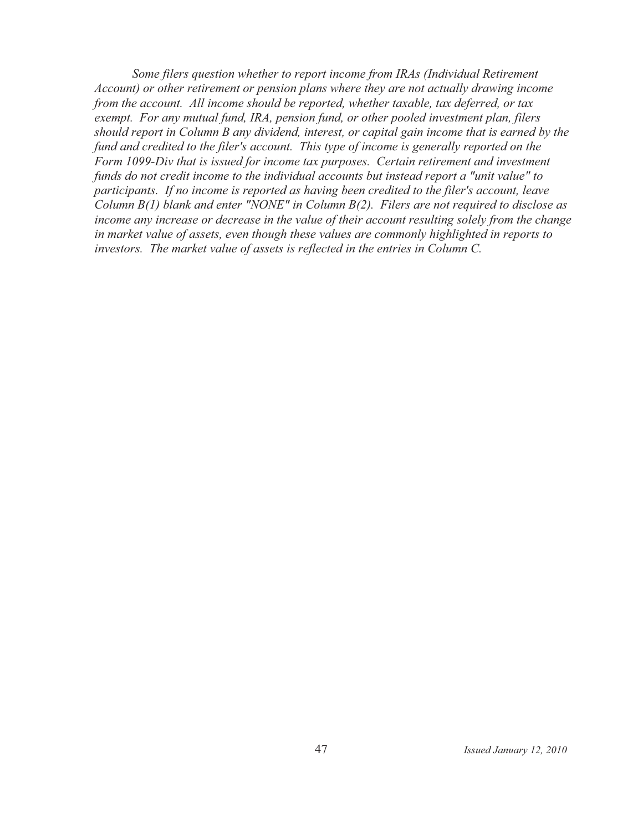Some filers question whether to report income from IRAs (Individual Retirement Account) or other retirement or pension plans where they are not actually drawing income from the account. All income should be reported, whether taxable, tax deferred, or tax exempt. For any mutual fund, IRA, pension fund, or other pooled investment plan, filers should report in Column B any dividend, interest, or capital gain income that is earned by the fund and credited to the filer's account. This type of income is generally reported on the Form 1099-Div that is issued for income tax purposes. Certain retirement and investment funds do not credit income to the individual accounts but instead report a "unit value" to participants. If no income is reported as having been credited to the filer's account, leave Column  $B(1)$  blank and enter "NONE" in Column  $B(2)$ . Filers are not required to disclose as income any increase or decrease in the value of their account resulting solely from the change in market value of assets, even though these values are commonly highlighted in reports to investors. The market value of assets is reflected in the entries in Column C.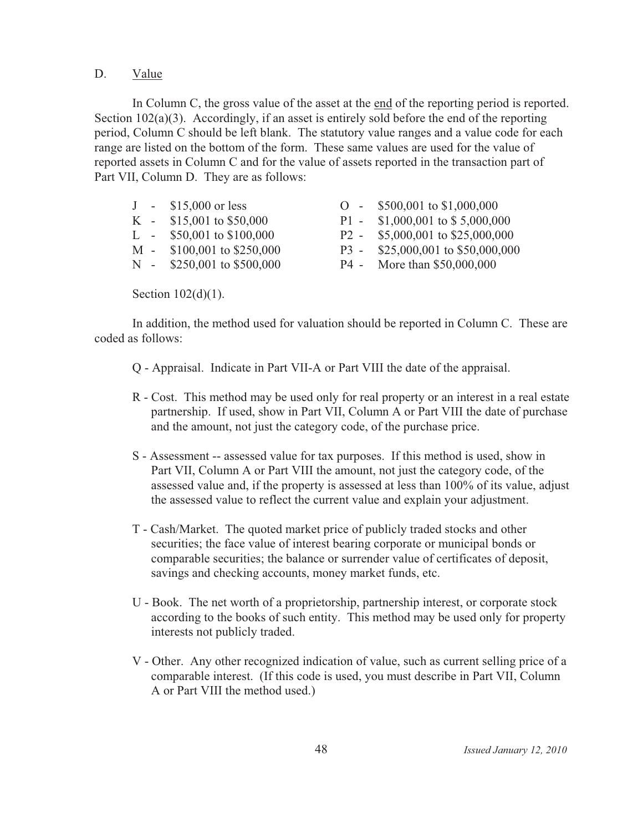#### D. Value

In Column C, the gross value of the asset at the end of the reporting period is reported. Section 102(a)(3). Accordingly, if an asset is entirely sold before the end of the reporting period, Column C should be left blank. The statutory value ranges and a value code for each range are listed on the bottom of the form. These same values are used for the value of reported assets in Column C and for the value of assets reported in the transaction part of Part VII, Column D. They are as follows:

|  | $J - $15,000$ or less        | $O - $500,001$ to \$1,000,000      |
|--|------------------------------|------------------------------------|
|  | K - $$15,001$ to $$50,000$   | P1 - $$1,000,001$ to $$5,000,000$  |
|  | L - $$50,001$ to $$100,000$  | P2 - $$5,000,001$ to $$25,000,000$ |
|  | M - \$100,001 to \$250,000   | P3 - \$25,000,001 to \$50,000,000  |
|  | N - $$250,001$ to $$500,000$ | P4 - More than \$50,000,000        |
|  |                              |                                    |

Section  $102(d)(1)$ .

In addition, the method used for valuation should be reported in Column C. These are coded as follows:

Q - Appraisal. Indicate in Part VII-A or Part VIII the date of the appraisal.

- R Cost. This method may be used only for real property or an interest in a real estate partnership. If used, show in Part VII, Column A or Part VIII the date of purchase and the amount, not just the category code, of the purchase price.
- S Assessment -- assessed value for tax purposes. If this method is used, show in Part VII, Column A or Part VIII the amount, not just the category code, of the assessed value and, if the property is assessed at less than 100% of its value, adjust the assessed value to reflect the current value and explain your adjustment.
- T Cash/Market. The quoted market price of publicly traded stocks and other securities; the face value of interest bearing corporate or municipal bonds or comparable securities; the balance or surrender value of certificates of deposit, savings and checking accounts, money market funds, etc.
- U Book. The net worth of a proprietorship, partnership interest, or corporate stock according to the books of such entity. This method may be used only for property interests not publicly traded.
- V Other. Any other recognized indication of value, such as current selling price of a comparable interest. (If this code is used, you must describe in Part VII, Column A or Part VIII the method used.)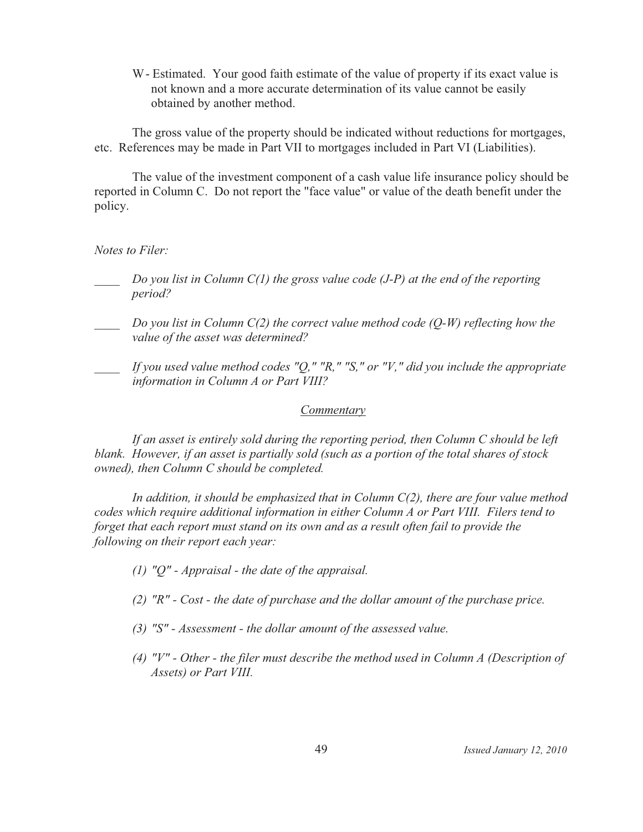W - Estimated. Your good faith estimate of the value of property if its exact value is not known and a more accurate determination of its value cannot be easily obtained by another method.

The gross value of the property should be indicated without reductions for mortgages, etc. References may be made in Part VII to mortgages included in Part VI (Liabilities).

The value of the investment component of a cash value life insurance policy should be reported in Column C. Do not report the "face value" or value of the death benefit under the policy.

Notes to Filer:

- Do you list in Column  $C(1)$  the gross value code (J-P) at the end of the reporting period?
- Do you list in Column  $C(2)$  the correct value method code  $(Q-W)$  reflecting how the value of the asset was determined?
- If you used value method codes "Q," "R," "S," or "V," did you include the appropriate information in Column A or Part VIII?

### Commentary

If an asset is entirely sold during the reporting period, then Column C should be left blank. However, if an asset is partially sold (such as a portion of the total shares of stock owned), then Column C should be completed.

In addition, it should be emphasized that in Column  $C(2)$ , there are four value method codes which require additional information in either Column A or Part VIII. Filers tend to forget that each report must stand on its own and as a result often fail to provide the following on their report each year:

- (1) " $Q$ " Appraisal the date of the appraisal.
- $(2)$  "R" Cost the date of purchase and the dollar amount of the purchase price.
- (3) "S" Assessment the dollar amount of the assessed value.
- (4) " $V''$  Other the filer must describe the method used in Column A (Description of Assets) or Part VIII.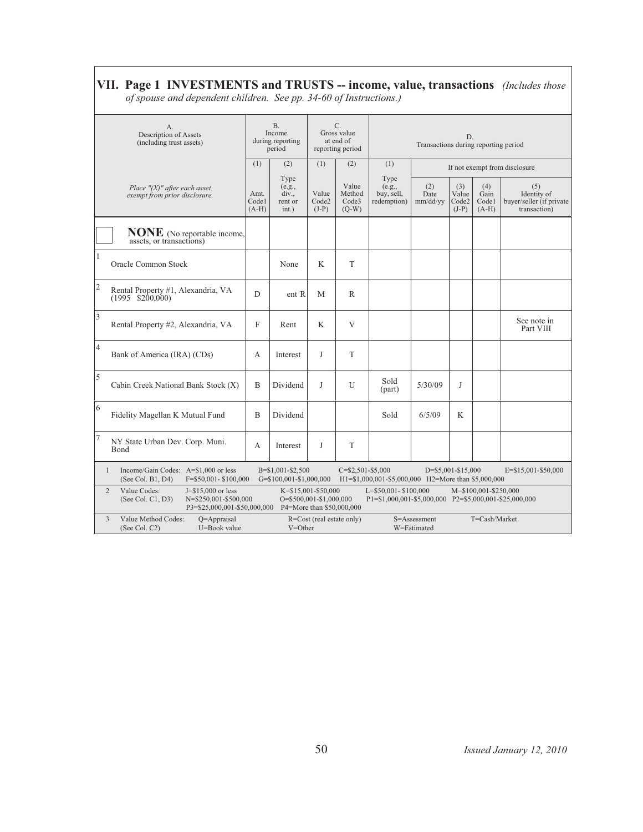# **VII. Page 1 INVESTMENTS and TRUSTS -- income, value, transactions** (Includes those

*of spouse and dependent children. See pp. 34-60 of Instructions.)* 

| А.<br>Description of Assets<br>(including trust assets)           |                                                                                                                                     |              | B <sub>1</sub><br>Income<br>during reporting<br>period |                                                                                 | C.<br>Gross value<br>at end of<br>reporting period | D.<br>Transactions during reporting period                                     |                               |                                  |                                 |                                                                 |  |  |
|-------------------------------------------------------------------|-------------------------------------------------------------------------------------------------------------------------------------|--------------|--------------------------------------------------------|---------------------------------------------------------------------------------|----------------------------------------------------|--------------------------------------------------------------------------------|-------------------------------|----------------------------------|---------------------------------|-----------------------------------------------------------------|--|--|
|                                                                   |                                                                                                                                     |              | (2)<br>(1)                                             |                                                                                 | (2)                                                | (1)                                                                            | If not exempt from disclosure |                                  |                                 |                                                                 |  |  |
| Place $''(X)$ " after each asset<br>exempt from prior disclosure. |                                                                                                                                     |              | Type<br>(e.g.,<br>div.,<br>rent or<br>int.)            | Value<br>Code2<br>$(J-P)$                                                       | Value<br>Method<br>Code3<br>$(Q-W)$                | Type<br>(e.g.,<br>buy, sell,<br>redemption)                                    | (2)<br>Date<br>mm/dd/yy       | (3)<br>Value<br>Code2<br>$(J-P)$ | (4)<br>Gain<br>Codel<br>$(A-H)$ | (5)<br>Identity of<br>buyer/seller (if private)<br>transaction) |  |  |
|                                                                   | <b>NONE</b> (No reportable income,<br>assets, or transactions)                                                                      |              |                                                        |                                                                                 |                                                    |                                                                                |                               |                                  |                                 |                                                                 |  |  |
| $\mathbf{1}$                                                      | <b>Oracle Common Stock</b>                                                                                                          |              | None                                                   | K                                                                               | T                                                  |                                                                                |                               |                                  |                                 |                                                                 |  |  |
| $\overline{c}$                                                    | Rental Property #1, Alexandria, VA<br>$(1995 \quad $200,000)$                                                                       | D            | ent R                                                  | M                                                                               | R                                                  |                                                                                |                               |                                  |                                 |                                                                 |  |  |
| $\overline{\mathbf{3}}$                                           | Rental Property #2, Alexandria, VA                                                                                                  | $\mathbf{F}$ | Rent                                                   | K                                                                               | V                                                  |                                                                                |                               |                                  |                                 | See note in<br>Part VIII                                        |  |  |
| $\overline{4}$                                                    | Bank of America (IRA) (CDs)                                                                                                         | А            | Interest                                               | J                                                                               | T                                                  |                                                                                |                               |                                  |                                 |                                                                 |  |  |
| 5                                                                 | Cabin Creek National Bank Stock (X)                                                                                                 | B            | Dividend                                               | J                                                                               | U                                                  | Sold<br>(part)                                                                 | 5/30/09                       | J                                |                                 |                                                                 |  |  |
| 6                                                                 | Fidelity Magellan K Mutual Fund                                                                                                     | B            | Dividend                                               |                                                                                 |                                                    | Sold                                                                           | 6/5/09                        | K                                |                                 |                                                                 |  |  |
| 7                                                                 | NY State Urban Dev. Corp. Muni.<br>Bond                                                                                             | A            | Interest                                               | J                                                                               | $\mathbf T$                                        |                                                                                |                               |                                  |                                 |                                                                 |  |  |
|                                                                   | Income/Gain Codes: A=\$1,000 or less<br>$\mathbf{1}$<br>(See Col. B1, D4)<br>F=\$50,001-\$100,000                                   |              | B=\$1,001-\$2,500<br>$G = $100,001 - $1,000,000$       |                                                                                 | $C = $2,501 - $5,000$                              | H1=\$1,000,001-\$5,000,000 H2=More than \$5,000,000                            |                               | D=\$5,001-\$15,000               |                                 | $E = $15,001 - $50,000$                                         |  |  |
|                                                                   | Value Codes:<br>$\mathbf{2}$<br>$J = $15,000$ or less<br>(See Col. C1, D3)<br>N=\$250,001-\$500,000<br>P3=\$25,000,001-\$50,000,000 |              |                                                        | $K = $15,001 - $50,000$<br>O=\$500,001-\$1,000,000<br>P4=More than \$50,000,000 |                                                    | L=\$50,001-\$100,000<br>P1=\$1,000,001-\$5,000,000 P2=\$5,000,001-\$25,000,000 |                               |                                  | M=\$100,001-\$250,000           |                                                                 |  |  |
|                                                                   | 3<br>Value Method Codes:<br>$O =$ Appraisal<br>U=Book value<br>(See Col. C2)                                                        |              | $V = Other$                                            | $R = Cost$ (real estate only)                                                   |                                                    |                                                                                | S=Assessment<br>W=Estimated   | T=Cash/Market                    |                                 |                                                                 |  |  |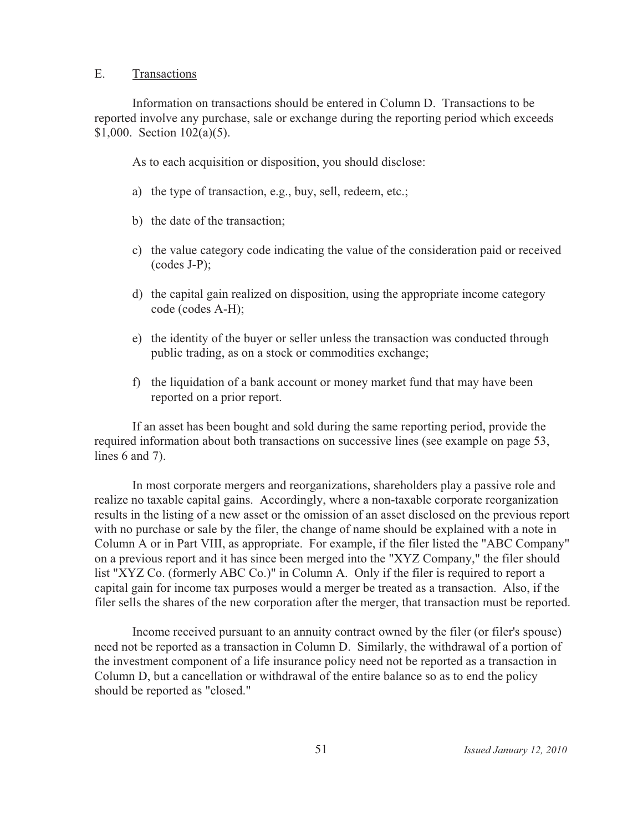#### $E_{\cdot}$ Transactions

Information on transactions should be entered in Column D. Transactions to be reported involve any purchase, sale or exchange during the reporting period which exceeds \$1,000. Section  $102(a)(5)$ .

As to each acquisition or disposition, you should disclose:

- a) the type of transaction, e.g., buy, sell, redeem, etc.;
- b) the date of the transaction;
- c) the value category code indicating the value of the consideration paid or received  $(codes J-P);$
- d) the capital gain realized on disposition, using the appropriate income category code (codes A-H);
- e) the identity of the buyer or seller unless the transaction was conducted through public trading, as on a stock or commodities exchange;
- f) the liquidation of a bank account or money market fund that may have been reported on a prior report.

If an asset has been bought and sold during the same reporting period, provide the required information about both transactions on successive lines (see example on page 53, lines  $6$  and  $7$ ).

In most corporate mergers and reorganizations, shareholders play a passive role and realize no taxable capital gains. Accordingly, where a non-taxable corporate reorganization results in the listing of a new asset or the omission of an asset disclosed on the previous report with no purchase or sale by the filer, the change of name should be explained with a note in Column A or in Part VIII, as appropriate. For example, if the filer listed the "ABC Company" on a previous report and it has since been merged into the "XYZ Company," the filer should list "XYZ Co. (formerly ABC Co.)" in Column A. Only if the filer is required to report a capital gain for income tax purposes would a merger be treated as a transaction. Also, if the filer sells the shares of the new corporation after the merger, that transaction must be reported.

Income received pursuant to an annuity contract owned by the filer (or filer's spouse) need not be reported as a transaction in Column D. Similarly, the withdrawal of a portion of the investment component of a life insurance policy need not be reported as a transaction in Column D, but a cancellation or withdrawal of the entire balance so as to end the policy should be reported as "closed."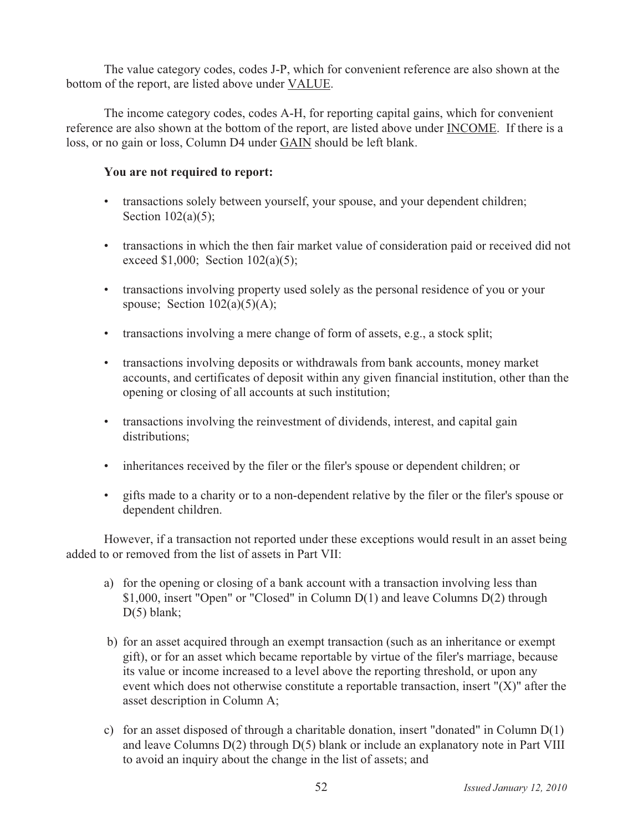The value category codes, codes J-P, which for convenient reference are also shown at the bottom of the report, are listed above under VALUE.

The income category codes, codes A-H, for reporting capital gains, which for convenient reference are also shown at the bottom of the report, are listed above under INCOME. If there is a loss, or no gain or loss, Column D4 under GAIN should be left blank.

# You are not required to report:

- transactions solely between yourself, your spouse, and your dependent children; Section  $102(a)(5)$ ;
- transactions in which the then fair market value of consideration paid or received did not exceed \$1,000; Section  $102(a)(5)$ ;
- transactions involving property used solely as the personal residence of you or your spouse; Section  $102(a)(5)(A)$ ;
- transactions involving a mere change of form of assets, e.g., a stock split;
- transactions involving deposits or withdrawals from bank accounts, money market accounts, and certificates of deposit within any given financial institution, other than the opening or closing of all accounts at such institution;
- transactions involving the reinvestment of dividends, interest, and capital gain distributions:
- inheritances received by the filer or the filer's spouse or dependent children; or
- gifts made to a charity or to a non-dependent relative by the filer or the filer's spouse or dependent children.

However, if a transaction not reported under these exceptions would result in an asset being added to or removed from the list of assets in Part VII:

- a) for the opening or closing of a bank account with a transaction involving less than \$1,000, insert "Open" or "Closed" in Column D(1) and leave Columns D(2) through  $D(5)$  blank;
- b) for an asset acquired through an exempt transaction (such as an inheritance or exempt gift), or for an asset which became reportable by virtue of the filer's marriage, because its value or income increased to a level above the reporting threshold, or upon any event which does not otherwise constitute a reportable transaction, insert " $(X)$ " after the asset description in Column A;
- c) for an asset disposed of through a charitable donation, insert "donated" in Column  $D(1)$ and leave Columns  $D(2)$  through  $D(5)$  blank or include an explanatory note in Part VIII to avoid an inquiry about the change in the list of assets; and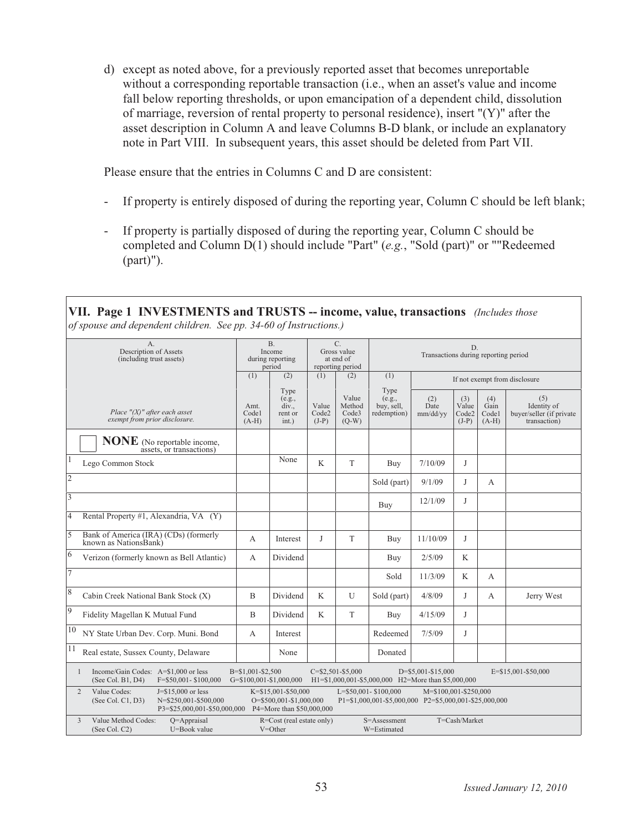d) except as noted above, for a previously reported asset that becomes unreportable without a corresponding reportable transaction (i.e., when an asset's value and income fall below reporting thresholds, or upon emancipation of a dependent child, dissolution of marriage, reversion of rental property to personal residence), insert " $(Y)$ " after the asset description in Column A and leave Columns B-D blank, or include an explanatory note in Part VIII. In subsequent years, this asset should be deleted from Part VII.

Please ensure that the entries in Columns C and D are consistent:

- If property is entirely disposed of during the reporting year, Column C should be left blank;
- If property is partially disposed of during the reporting year, Column C should be completed and Column D(1) should include "Part" (e.g., "Sold (part)" or ""Redeemed  $(part)$ ").

VII. Page 1 INVESTMENTS and TRUSTS -- income, value, transactions (Includes those

| of spouse and dependent children. See pp. 34-60 of Instructions.)                                                        |                                              |                                                                                 |                                                             |                                     |                                                                                    |                               |                                  |                                 |                                                                |  |
|--------------------------------------------------------------------------------------------------------------------------|----------------------------------------------|---------------------------------------------------------------------------------|-------------------------------------------------------------|-------------------------------------|------------------------------------------------------------------------------------|-------------------------------|----------------------------------|---------------------------------|----------------------------------------------------------------|--|
| A <sub>1</sub><br>Description of Assets<br>(including trust assets)                                                      |                                              | B <sub>r</sub><br>Income<br>during reporting<br>period                          | $C_{\cdot}$<br>Gross value<br>at end of<br>reporting period |                                     | D.<br>Transactions during reporting period                                         |                               |                                  |                                 |                                                                |  |
|                                                                                                                          | (1)                                          | (2)                                                                             | (1)                                                         | (2)                                 | (1)                                                                                | If not exempt from disclosure |                                  |                                 |                                                                |  |
| Place $''(X)$ " after each asset<br>exempt from prior disclosure.                                                        | Amt.<br>Codel<br>$(A-H)$                     | Type<br>(e.g.,<br>div.,<br>rent or<br>int.)                                     | Value<br>Code2<br>$(J-P)$                                   | Value<br>Method<br>Code3<br>$(Q-W)$ | Type<br>(e.g.,<br>buy, sell,<br>redemption)                                        | (2)<br>Date<br>mm/dd/yy       | (3)<br>Value<br>Code2<br>$(J-P)$ | (4)<br>Gain<br>Codel<br>$(A-H)$ | (5)<br>Identity of<br>buyer/seller (if private<br>transaction) |  |
| <b>NONE</b> (No reportable income,<br>assets, or transactions)                                                           |                                              |                                                                                 |                                                             |                                     |                                                                                    |                               |                                  |                                 |                                                                |  |
| $\mathbf{1}$<br>Lego Common Stock                                                                                        |                                              | None                                                                            | K                                                           | T                                   | Buy                                                                                | 7/10/09                       | J                                |                                 |                                                                |  |
| $\overline{2}$                                                                                                           |                                              |                                                                                 |                                                             |                                     | Sold (part)                                                                        | 9/1/09                        | J                                | A                               |                                                                |  |
| $\overline{\mathbf{3}}$                                                                                                  |                                              |                                                                                 |                                                             |                                     | Buy                                                                                | 12/1/09                       | J                                |                                 |                                                                |  |
| $\overline{4}$<br>Rental Property #1, Alexandria, VA (Y)                                                                 |                                              |                                                                                 |                                                             |                                     |                                                                                    |                               |                                  |                                 |                                                                |  |
| 5<br>Bank of America (IRA) (CDs) (formerly<br>known as NationsBank)                                                      | $\mathsf{A}$                                 | Interest                                                                        | J                                                           | T                                   | Buy                                                                                | 11/10/09                      | J                                |                                 |                                                                |  |
| 6<br>Verizon (formerly known as Bell Atlantic)                                                                           | A                                            | Dividend                                                                        |                                                             |                                     | Buy                                                                                | 2/5/09                        | K                                |                                 |                                                                |  |
| $\overline{7}$                                                                                                           |                                              |                                                                                 |                                                             |                                     | Sold                                                                               | 11/3/09                       | K                                | A                               |                                                                |  |
| 8<br>Cabin Creek National Bank Stock (X)                                                                                 | B                                            | Dividend                                                                        | K                                                           | U                                   | Sold (part)                                                                        | 4/8/09                        | J                                | A                               | Jerry West                                                     |  |
| 9<br>Fidelity Magellan K Mutual Fund                                                                                     | B                                            | Dividend                                                                        | K                                                           | T                                   | Buy                                                                                | 4/15/09                       | J                                |                                 |                                                                |  |
| 10<br>NY State Urban Dev. Corp. Muni. Bond                                                                               | A                                            | Interest                                                                        |                                                             |                                     | Redeemed                                                                           | 7/5/09                        | J                                |                                 |                                                                |  |
| 11<br>Real estate, Sussex County, Delaware                                                                               |                                              | None                                                                            |                                                             |                                     | Donated                                                                            |                               |                                  |                                 |                                                                |  |
| Income/Gain Codes: A=\$1,000 or less<br>$\mathbf{1}$<br>(See Col. B1, D4)<br>F=\$50,001-\$100,000                        | B=\$1,001-\$2,500<br>G=\$100,001-\$1,000,000 |                                                                                 |                                                             | $C = $2,501 - $5,000$               | H1=\$1,000,001-\$5,000,000 H2=More than \$5,000,000                                | D=\$5,001-\$15,000            |                                  |                                 | E=\$15,001-\$50,000                                            |  |
| Value Codes:<br>$J = $15,000$ or less<br>2<br>(See Col. C1, D3)<br>N=\$250,001-\$500,000<br>P3=\$25,000,001-\$50,000,000 |                                              | $K = $15,001 - $50,000$<br>O=\$500,001-\$1,000,000<br>P4=More than \$50,000,000 |                                                             |                                     | $L = $50,001 - $100,000$<br>P1=\$1,000,001-\$5,000,000 P2=\$5,000,001-\$25,000,000 | M=\$100,001-\$250,000         |                                  |                                 |                                                                |  |
| 3<br>Value Method Codes:<br>$Q=$ Appraisal<br>U=Book value<br>(See Col. C2)                                              |                                              | R=Cost (real estate only)<br>V=Other                                            |                                                             |                                     | S=Assessment<br>W=Estimated                                                        |                               | T=Cash/Market                    |                                 |                                                                |  |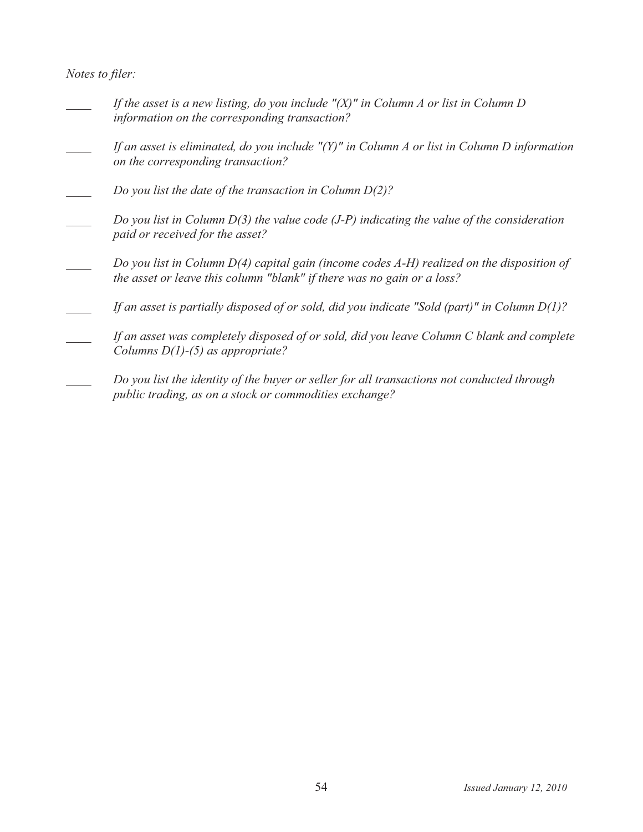Notes to filer:

- If the asset is a new listing, do you include  $''(X)''$  in Column A or list in Column D information on the corresponding transaction?
- If an asset is eliminated, do you include " $(Y)$ " in Column A or list in Column D information on the corresponding transaction?
- Do you list the date of the transaction in Column  $D(2)$ ?
- Do you list in Column  $D(3)$  the value code (J-P) indicating the value of the consideration paid or received for the asset?
- Do you list in Column  $D(4)$  capital gain (income codes  $A-H$ ) realized on the disposition of the asset or leave this column "blank" if there was no gain or a loss?
- If an asset is partially disposed of or sold, did you indicate "Sold (part)" in Column D(1)?
- If an asset was completely disposed of or sold, did you leave Column C blank and complete Columns  $D(1)$ -(5) as appropriate?
- Do you list the identity of the buyer or seller for all transactions not conducted through public trading, as on a stock or commodities exchange?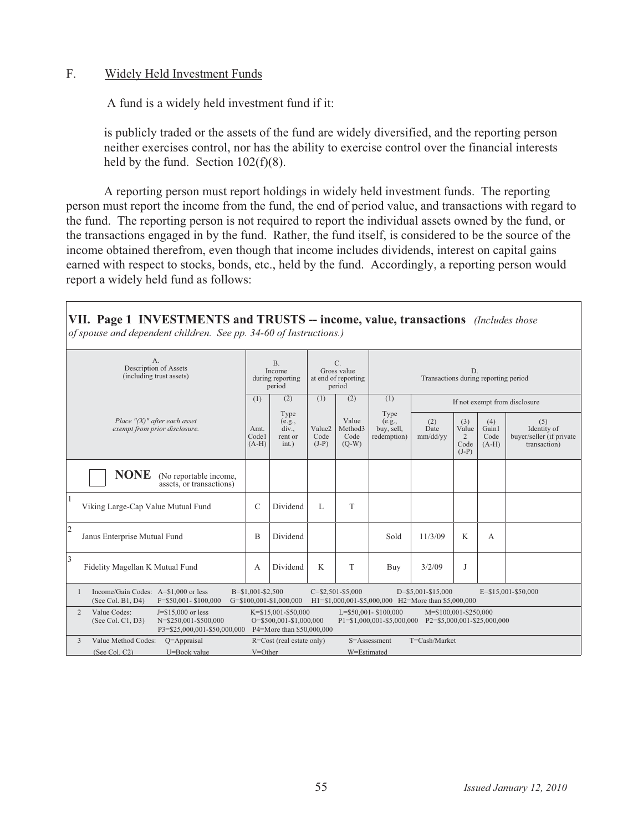## F. Widely Held Investment Funds

A fund is a widely held investment fund if it:

is publicly traded or the assets of the fund are widely diversified, and the reporting person neither exercises control, nor has the ability to exercise control over the financial interests held by the fund. Section  $102(f)(8)$ .

A reporting person must report holdings in widely held investment funds. The reporting person must report the income from the fund, the end of period value, and transactions with regard to the fund. The reporting person is not required to report the individual assets owned by the fund, or the transactions engaged in by the fund. Rather, the fund itself, is considered to be the source of the income obtained therefrom, even though that income includes dividends, interest on capital gains earned with respect to stocks, bonds, etc., held by the fund. Accordingly, a reporting person would report a widely held fund as follows:

VII. Page 1 INVESTMENTS and TRUSTS -- income, value, transactions (Includes those of spouse and dependent children. See pp. 34-60 of Instructions.)

| $A_{\cdot}$<br>Description of Assets<br>(including trust assets)                                                                      | B <sub>1</sub><br>Income<br>during reporting<br>period |                                                                             | C.<br>Gross value<br>at end of reporting<br>period |                                     | D.<br>Transactions during reporting period                 |                                                      |                                      |                                 |                                                                |
|---------------------------------------------------------------------------------------------------------------------------------------|--------------------------------------------------------|-----------------------------------------------------------------------------|----------------------------------------------------|-------------------------------------|------------------------------------------------------------|------------------------------------------------------|--------------------------------------|---------------------------------|----------------------------------------------------------------|
|                                                                                                                                       | (1)                                                    | (2)                                                                         | (1)                                                | (2)                                 | (1)<br>If not exempt from disclosure                       |                                                      |                                      |                                 |                                                                |
| Place $''(X)$ " after each asset<br>exempt from prior disclosure.                                                                     | Amt.<br>Codel<br>$(A-H)$                               | Type<br>(e.g.,<br>div.,<br>rent or<br>int.)                                 | Value2<br>Code<br>$(J-P)$                          | Value<br>Method3<br>Code<br>$(Q-W)$ | Type<br>(e.g.,<br>buy, sell,<br>redemption)                | (2)<br>Date<br>mm/dd/yy                              | (3)<br>Value<br>2<br>Code<br>$(J-P)$ | (4)<br>Gain1<br>Code<br>$(A-H)$ | (5)<br>Identity of<br>buyer/seller (if private<br>transaction) |
| <b>NONE</b><br>(No reportable income,<br>assets, or transactions)                                                                     |                                                        |                                                                             |                                                    |                                     |                                                            |                                                      |                                      |                                 |                                                                |
| 11<br>Viking Large-Cap Value Mutual Fund                                                                                              | $\mathcal{C}$                                          | Dividend                                                                    | L                                                  | T                                   |                                                            |                                                      |                                      |                                 |                                                                |
| 2<br>Janus Enterprise Mutual Fund                                                                                                     | B                                                      | Dividend                                                                    |                                                    |                                     | Sold                                                       | 11/3/09                                              | K                                    | А                               |                                                                |
| 3<br>Fidelity Magellan K Mutual Fund                                                                                                  | A                                                      | Dividend                                                                    | K                                                  | T                                   | Buy                                                        | 3/2/09                                               | J                                    |                                 |                                                                |
| Income/Gain Codes: A=\$1,000 or less<br>(See Col. B1, D4)<br>$F = $50.001 - $100.000$                                                 | B=\$1,001-\$2,500                                      | G=\$100,001-\$1,000,000                                                     |                                                    | $C = $2,501 - $5,000$               | H1=\$1,000,001-\$5,000,000 H2=More than \$5,000,000        | $D = $5,001 - $15,000$                               |                                      |                                 | E=\$15,001-\$50,000                                            |
| Value Codes:<br>$\overline{2}$<br>$J = $15,000$ or less<br>N=\$250.001-\$500.000<br>(See Col. Cl. D3)<br>P3=\$25,000,001-\$50,000,000 |                                                        | K=\$15,001-\$50,000<br>O=\$500.001-\$1,000.000<br>P4=More than \$50,000,000 |                                                    |                                     | $L = $50,001 - $100,000$<br>$P1 = $1,000,001 - $5,000,000$ | M=\$100,001-\$250,000<br>P2=\$5,000,001-\$25,000,000 |                                      |                                 |                                                                |
| Value Method Codes:<br>3<br>$O=$ Appraisal                                                                                            |                                                        | R=Cost (real estate only)                                                   |                                                    |                                     | S=Assessment                                               | $T = Cash/Marker$                                    |                                      |                                 |                                                                |
| (See Col. C2)<br>U=Book value                                                                                                         | $V = Other$                                            |                                                                             |                                                    | W=Estimated                         |                                                            |                                                      |                                      |                                 |                                                                |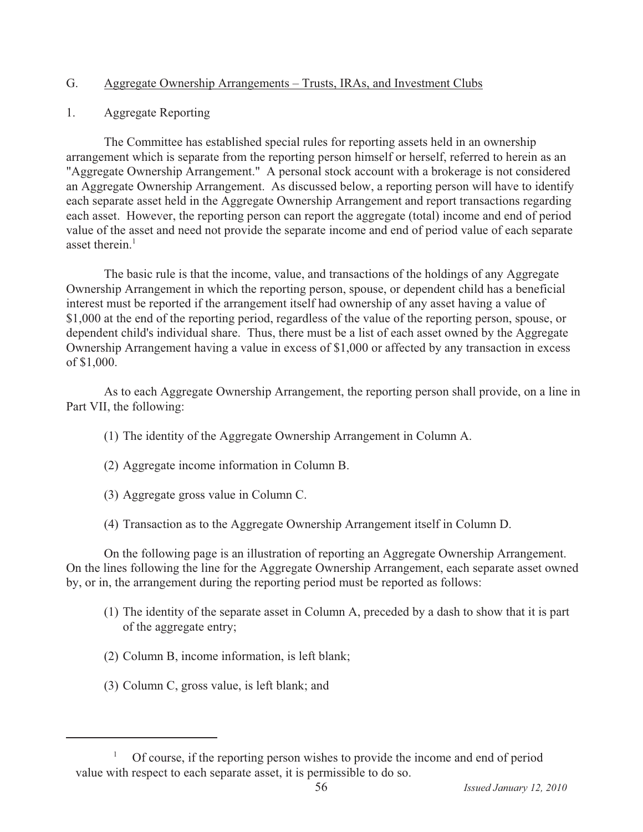#### $G_{\cdot}$ Aggregate Ownership Arrangements – Trusts, IRAs, and Investment Clubs

 $1.$ **Aggregate Reporting** 

The Committee has established special rules for reporting assets held in an ownership arrangement which is separate from the reporting person himself or herself, referred to herein as an "Aggregate Ownership Arrangement." A personal stock account with a brokerage is not considered an Aggregate Ownership Arrangement. As discussed below, a reporting person will have to identify each separate asset held in the Aggregate Ownership Arrangement and report transactions regarding each asset. However, the reporting person can report the aggregate (total) income and end of period value of the asset and need not provide the separate income and end of period value of each separate asset therein. $<sup>1</sup>$ </sup>

The basic rule is that the income, value, and transactions of the holdings of any Aggregate Ownership Arrangement in which the reporting person, spouse, or dependent child has a beneficial interest must be reported if the arrangement itself had ownership of any asset having a value of \$1,000 at the end of the reporting period, regardless of the value of the reporting person, spouse, or dependent child's individual share. Thus, there must be a list of each asset owned by the Aggregate Ownership Arrangement having a value in excess of \$1,000 or affected by any transaction in excess of \$1,000.

As to each Aggregate Ownership Arrangement, the reporting person shall provide, on a line in Part VII, the following:

- (1) The identity of the Aggregate Ownership Arrangement in Column A.
- (2) Aggregate income information in Column B.
- (3) Aggregate gross value in Column C.
- (4) Transaction as to the Aggregate Ownership Arrangement itself in Column D.

On the following page is an illustration of reporting an Aggregate Ownership Arrangement. On the lines following the line for the Aggregate Ownership Arrangement, each separate asset owned by, or in, the arrangement during the reporting period must be reported as follows:

- (1) The identity of the separate asset in Column A, preceded by a dash to show that it is part of the aggregate entry;
- (2) Column B, income information, is left blank;
- (3) Column C, gross value, is left blank; and

 $\mathbf{1}$ Of course, if the reporting person wishes to provide the income and end of period value with respect to each separate asset, it is permissible to do so.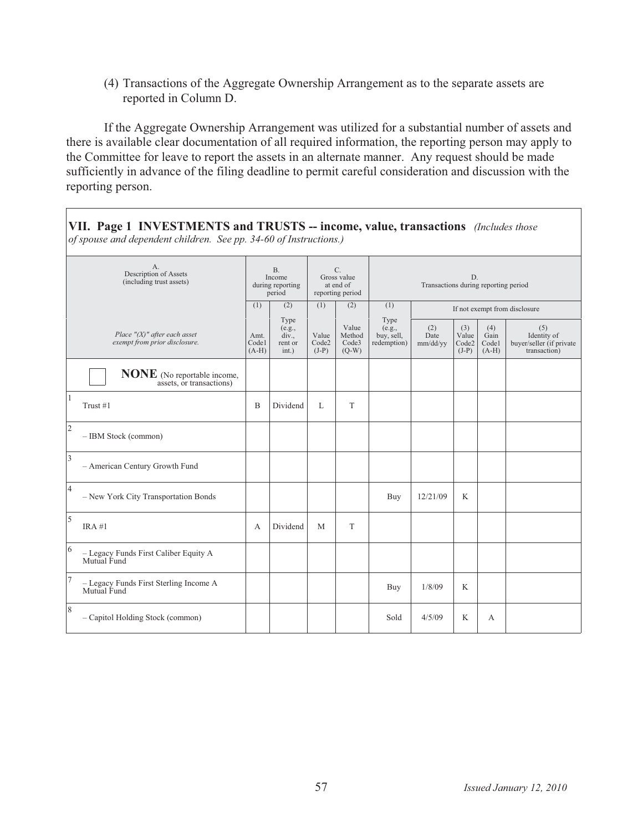(4) Transactions of the Aggregate Ownership Arrangement as to the separate assets are reported in Column D.

If the Aggregate Ownership Arrangement was utilized for a substantial number of assets and there is available clear documentation of all required information, the reporting person may apply to the Committee for leave to report the assets in an alternate manner. Any request should be made sufficiently in advance of the filing deadline to permit careful consideration and discussion with the reporting person.

VII. Page 1 INVESTMENTS and TRUSTS -- income, value, transactions (Includes those of spouse and dependent children. See pp. 34-60 of Instructions.)

| A.<br>Description of Assets<br>(including trust assets)           |     | <b>B.</b><br>Income<br>during reporting<br>period |                           | C.<br>Gross value<br>at end of<br>reporting period | D.<br>Transactions during reporting period  |                         |                                  |                                 |                                                                |  |  |
|-------------------------------------------------------------------|-----|---------------------------------------------------|---------------------------|----------------------------------------------------|---------------------------------------------|-------------------------|----------------------------------|---------------------------------|----------------------------------------------------------------|--|--|
|                                                                   | (1) | (2)                                               | (1)                       | (2)                                                | (1)                                         |                         | If not exempt from disclosure    |                                 |                                                                |  |  |
| Place $''(X)$ " after each asset<br>exempt from prior disclosure. |     | Type<br>(e.g.,<br>div.,<br>rent or<br>int.)       | Value<br>Code2<br>$(J-P)$ | Value<br>Method<br>Code3<br>$(Q-W)$                | Type<br>(e.g.,<br>buy, sell,<br>redemption) | (2)<br>Date<br>mm/dd/yy | (3)<br>Value<br>Code2<br>$(J-P)$ | (4)<br>Gain<br>Codel<br>$(A-H)$ | (5)<br>Identity of<br>buyer/seller (if private<br>transaction) |  |  |
| <b>NONE</b> (No reportable income,<br>assets, or transactions)    |     |                                                   |                           |                                                    |                                             |                         |                                  |                                 |                                                                |  |  |
| Trust #1                                                          | B   | Dividend                                          | $\mathbf{L}$              | T                                                  |                                             |                         |                                  |                                 |                                                                |  |  |
| $ 2\rangle$<br>- IBM Stock (common)                               |     |                                                   |                           |                                                    |                                             |                         |                                  |                                 |                                                                |  |  |
| $\vert$ 3<br>- American Century Growth Fund                       |     |                                                   |                           |                                                    |                                             |                         |                                  |                                 |                                                                |  |  |
| 4<br>- New York City Transportation Bonds                         |     |                                                   |                           |                                                    | Buy                                         | 12/21/09                | K                                |                                 |                                                                |  |  |
| $\overline{\mathbf{5}}$<br>IRA#1                                  | А   | Dividend                                          | M                         | T                                                  |                                             |                         |                                  |                                 |                                                                |  |  |
| 6<br>$-$ Legacy Funds First Caliber Equity ${\bf A}$ Mutual Fund  |     |                                                   |                           |                                                    |                                             |                         |                                  |                                 |                                                                |  |  |
| - Legacy Funds First Sterling Income A<br>Mutual Fund             |     |                                                   |                           |                                                    | Buy                                         | 1/8/09                  | K                                |                                 |                                                                |  |  |
| 8<br>- Capitol Holding Stock (common)                             |     |                                                   |                           |                                                    | Sold                                        | 4/5/09                  | K                                | А                               |                                                                |  |  |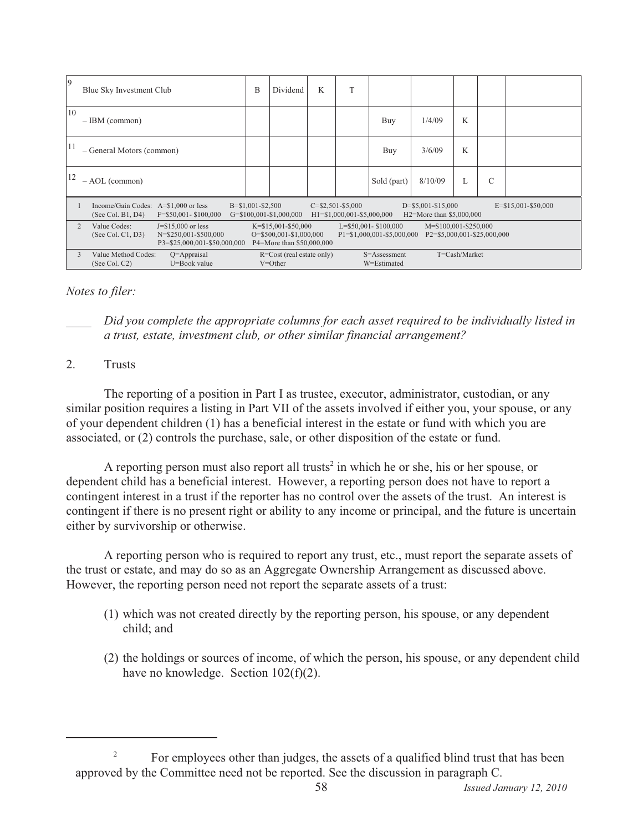| 9              | Blue Sky Investment Club                                                                                                                                                                                                                                                                                                             |                                | B                     | Dividend                                     | K | T                                                       |                             |                                                        |               |   |                     |
|----------------|--------------------------------------------------------------------------------------------------------------------------------------------------------------------------------------------------------------------------------------------------------------------------------------------------------------------------------------|--------------------------------|-----------------------|----------------------------------------------|---|---------------------------------------------------------|-----------------------------|--------------------------------------------------------|---------------|---|---------------------|
| 10             | $-$ IBM (common)                                                                                                                                                                                                                                                                                                                     |                                |                       |                                              |   |                                                         | Buy                         | 1/4/09                                                 | K             |   |                     |
| <sup>11</sup>  | - General Motors (common)                                                                                                                                                                                                                                                                                                            |                                |                       |                                              |   | Buy                                                     | 3/6/09                      | K                                                      |               |   |                     |
| 12             | $- AOL$ (common)                                                                                                                                                                                                                                                                                                                     |                                |                       |                                              |   |                                                         | Sold (part)                 | 8/10/09                                                | L             | C |                     |
|                | Income/Gain Codes: A=\$1,000 or less<br>(See Col. B1, D4)                                                                                                                                                                                                                                                                            | $F = $50,001 - $100,000$       | $B = $1,001 - $2,500$ | $G = $100,001 - $1,000,000$                  |   | $C = $2,501 - $5,000$<br>$H1 = $1,000,001 - $5,000,000$ |                             | $D = $5,001 - $15,000$<br>$H2 =$ More than \$5,000,000 |               |   | E=\$15,001-\$50,000 |
| $\mathfrak{D}$ | Value Codes:<br>$J = $15,000$ or less<br>$K = $15,001 - $50,000$<br>$L = $50,001 - $100,000$<br>M=\$100,001-\$250,000<br>N=\$250,001-\$500,000<br>$O = $500,001 - $1,000,000$<br>$P1 = $1,000,001 - $5,000,000$<br>$P2 = $5,000,001 - $25,000,000$<br>(See Col. Cl. D3)<br>P3=\$25,000,001-\$50,000,000<br>P4=More than \$50,000,000 |                                |                       |                                              |   |                                                         |                             |                                                        |               |   |                     |
| 3              | Value Method Codes:<br>(See Col. C2)                                                                                                                                                                                                                                                                                                 | $Q=$ Appraisal<br>U=Book value |                       | $R = Cost (real estate only)$<br>$V = Other$ |   |                                                         | S=Assessment<br>W=Estimated |                                                        | T=Cash/Market |   |                     |

# *Notes to filer:*

*Did you complete the appropriate columns for each asset required to be individually listed in* a trust, estate, investment club, or other similar financial arrangement?

#### 2-**Trusts**

The reporting of a position in Part I as trustee, executor, administrator, custodian, or any similar position requires a listing in Part VII of the assets involved if either you, your spouse, or any of your dependent children (1) has a beneficial interest in the estate or fund with which you are associated, or  $(2)$  controls the purchase, sale, or other disposition of the estate or fund.

A reporting person must also report all trusts<sup>2</sup> in which he or she, his or her spouse, or dependent child has a beneficial interest. However, a reporting person does not have to report a contingent interest in a trust if the reporter has no control over the assets of the trust. An interest is contingent if there is no present right or ability to any income or principal, and the future is uncertain either by survivorship or otherwise.

A reporting person who is required to report any trust, etc., must report the separate assets of the trust or estate, and may do so as an Aggregate Ownership Arrangement as discussed above. However, the reporting person need not report the separate assets of a trust:

- (1) which was not created directly by the reporting person, his spouse, or any dependent child; and
- $(2)$  the holdings or sources of income, of which the person, his spouse, or any dependent child have no knowledge. Section  $102(f)(2)$ .

<sup>2</sup> For employees other than judges, the assets of a qualified blind trust that has been approved by the Committee need not be reported. See the discussion in paragraph C.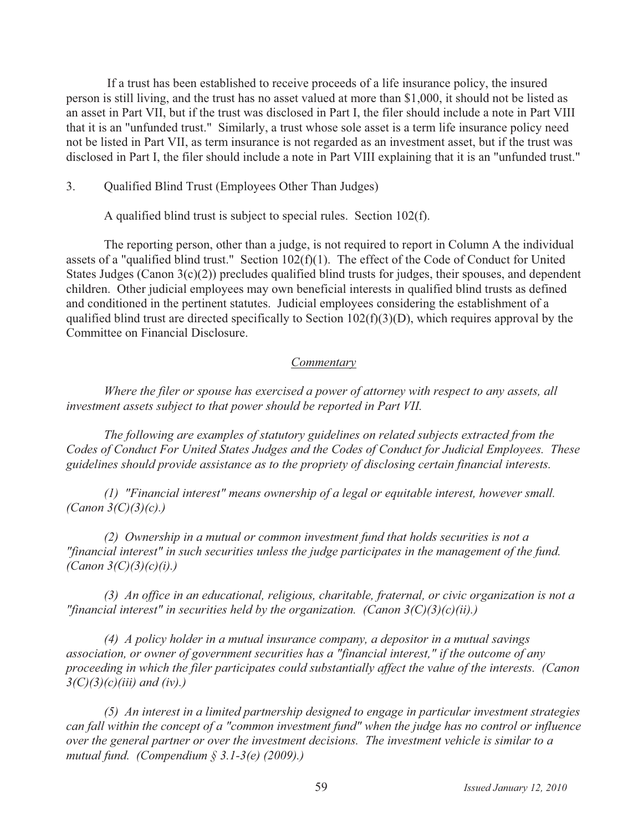If a trust has been established to receive proceeds of a life insurance policy, the insured person is still living, and the trust has no asset valued at more than \$1,000, it should not be listed as an asset in Part VII, but if the trust was disclosed in Part I, the filer should include a note in Part VIII that it is an "unfunded trust." Similarly, a trust whose sole asset is a term life insurance policy need not be listed in Part VII, as term insurance is not regarded as an investment asset, but if the trust was disclosed in Part I, the filer should include a note in Part VIII explaining that it is an "unfunded trust."

#### $3.$ Qualified Blind Trust (Employees Other Than Judges)

A qualified blind trust is subject to special rules. Section 102(f).

The reporting person, other than a judge, is not required to report in Column A the individual assets of a "qualified blind trust." Section 102(f)(1). The effect of the Code of Conduct for United States Judges (Canon  $3(c)(2)$ ) precludes qualified blind trusts for judges, their spouses, and dependent children. Other judicial employees may own beneficial interests in qualified blind trusts as defined and conditioned in the pertinent statutes. Judicial employees considering the establishment of a qualified blind trust are directed specifically to Section  $102(f)(3)(D)$ , which requires approval by the Committee on Financial Disclosure.

#### Commentary

Where the filer or spouse has exercised a power of attorney with respect to any assets, all investment assets subject to that power should be reported in Part VII.

The following are examples of statutory guidelines on related subjects extracted from the Codes of Conduct For United States Judges and the Codes of Conduct for Judicial Employees. These guidelines should provide assistance as to the propriety of disclosing certain financial interests.

(1) "Financial interest" means ownership of a legal or equitable interest, however small. (Canon  $3(C)(3)(c)$ .)

(2) Ownership in a mutual or common investment fund that holds securities is not a "financial interest" in such securities unless the judge participates in the management of the fund. (Canon  $3(C)(3)(c)(i)$ .)

(3) An office in an educational, religious, charitable, fraternal, or civic organization is not a "financial interest" in securities held by the organization. (Canon  $3(C)(3)(c)(ii)$ .)

 $(4)$  A policy holder in a mutual insurance company, a depositor in a mutual savings association, or owner of government securities has a "financial interest," if the outcome of any proceeding in which the filer participates could substantially affect the value of the interests. (Canon  $3(C)(3)(c)(iii)$  and (iv).)

 $(5)$  An interest in a limited partnership designed to engage in particular investment strategies can fall within the concept of a "common investment fund" when the judge has no control or influence over the general partner or over the investment decisions. The investment vehicle is similar to a mutual fund. (Compendium  $\S 3.1-3(e)$  (2009).)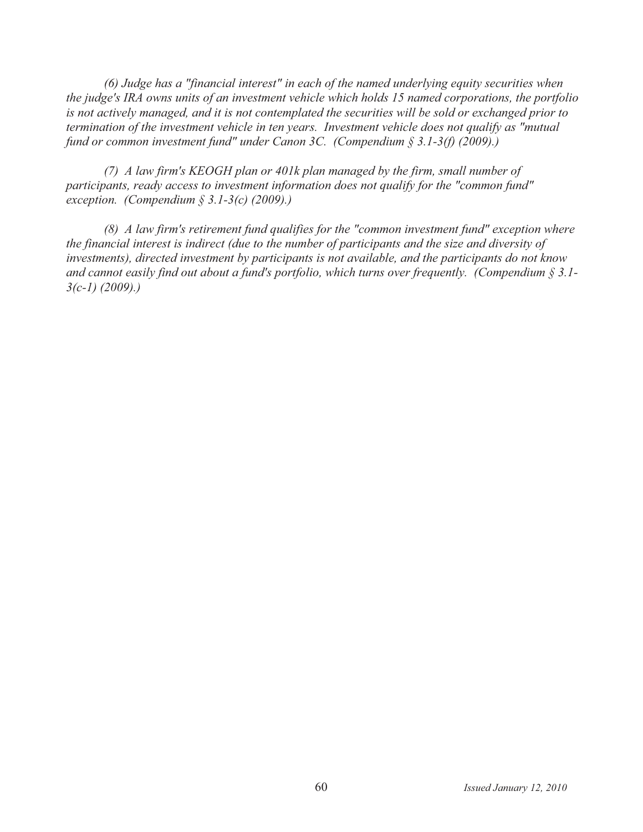(6) Judge has a "financial interest" in each of the named underlying equity securities when the judge's IRA owns units of an investment vehicle which holds 15 named corporations, the portfolio is not actively managed, and it is not contemplated the securities will be sold or exchanged prior to termination of the investment vehicle in ten years. Investment vehicle does not qualify as "mutual" fund or common investment fund" under Canon 3C. (Compendium  $\S 3.1-3(f)$  (2009).)

(7) A law firm's KEOGH plan or 401k plan managed by the firm, small number of participants, ready access to investment information does not qualify for the "common fund" exception. (Compendium  $\S$  3.1-3(c) (2009).)

 $(8)$  A law firm's retirement fund qualifies for the "common investment fund" exception where the financial interest is indirect (due to the number of participants and the size and diversity of investments), directed investment by participants is not available, and the participants do not know and cannot easily find out about a fund's portfolio, which turns over frequently. (Compendium  $\S 3.1$ - $3(c-1)$  (2009).)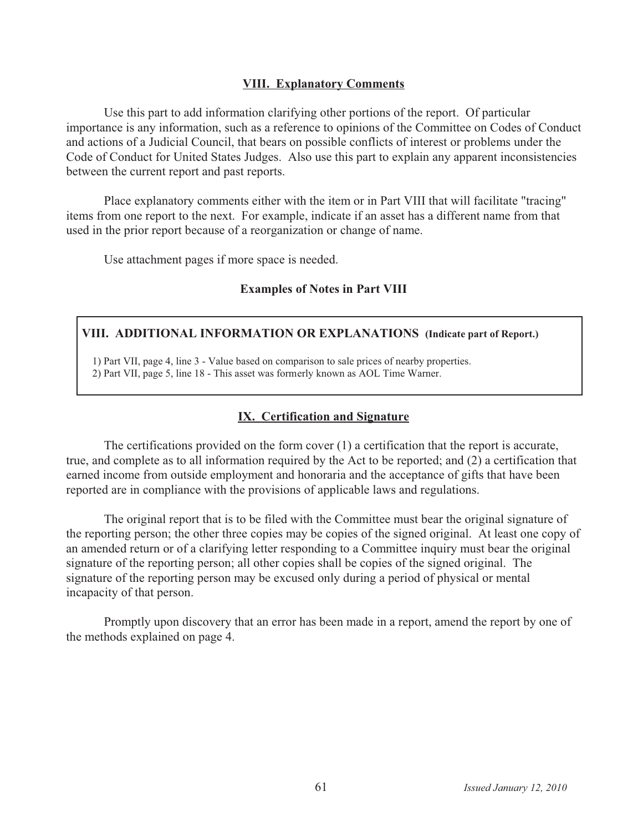## **VIII. Explanatory Comments**

Use this part to add information clarifying other portions of the report. Of particular importance is any information, such as a reference to opinions of the Committee on Codes of Conduct and actions of a Judicial Council, that bears on possible conflicts of interest or problems under the Code of Conduct for United States Judges. Also use this part to explain any apparent inconsistencies between the current report and past reports.

Place explanatory comments either with the item or in Part VIII that will facilitate "tracing" items from one report to the next. For example, indicate if an asset has a different name from that used in the prior report because of a reorganization or change of name.

Use attachment pages if more space is needed.

# **Examples of Notes in Part VIII**

# VIII. ADDITIONAL INFORMATION OR EXPLANATIONS (Indicate part of Report.)

1) Part VII, page 4, line 3 - Value based on comparison to sale prices of nearby properties.

2) Part VII, page 5, line 18 - This asset was formerly known as AOL Time Warner.

# **IX. Certification and Signature**

The certifications provided on the form cover  $(1)$  a certification that the report is accurate, true, and complete as to all information required by the Act to be reported; and (2) a certification that earned income from outside employment and honoraria and the acceptance of gifts that have been reported are in compliance with the provisions of applicable laws and regulations.

The original report that is to be filed with the Committee must bear the original signature of the reporting person; the other three copies may be copies of the signed original. At least one copy of an amended return or of a clarifying letter responding to a Committee inquiry must bear the original signature of the reporting person; all other copies shall be copies of the signed original. The signature of the reporting person may be excused only during a period of physical or mental incapacity of that person.

Promptly upon discovery that an error has been made in a report, amend the report by one of the methods explained on page 4.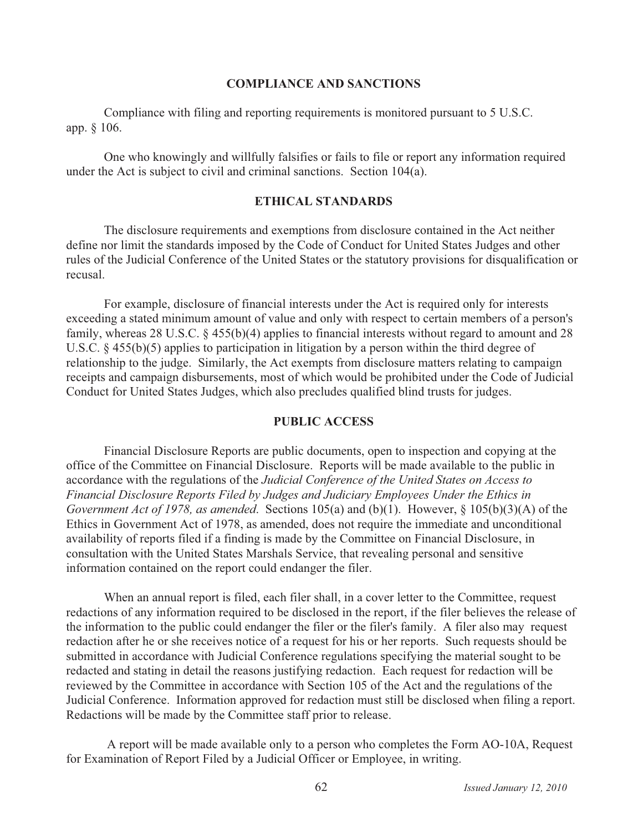#### **COMPLIANCE AND SANCTIONS**

Compliance with filing and reporting requirements is monitored pursuant to 5 U.S.C. app. § 106.

One who knowingly and willfully falsifies or fails to file or report any information required under the Act is subject to civil and criminal sanctions. Section 104(a).

#### **ETHICAL STANDARDS**

The disclosure requirements and exemptions from disclosure contained in the Act neither define nor limit the standards imposed by the Code of Conduct for United States Judges and other rules of the Judicial Conference of the United States or the statutory provisions for disqualification or recusal.

For example, disclosure of financial interests under the Act is required only for interests exceeding a stated minimum amount of value and only with respect to certain members of a person's family, whereas 28 U.S.C.  $\S$  455(b)(4) applies to financial interests without regard to amount and 28 U.S.C.  $\S$  455(b)(5) applies to participation in litigation by a person within the third degree of relationship to the judge. Similarly, the Act exempts from disclosure matters relating to campaign receipts and campaign disbursements, most of which would be prohibited under the Code of Judicial Conduct for United States Judges, which also precludes qualified blind trusts for judges.

#### **PUBLIC ACCESS**

Financial Disclosure Reports are public documents, open to inspection and copying at the office of the Committee on Financial Disclosure. Reports will be made available to the public in accordance with the regulations of the Judicial Conference of the United States on Access to Financial Disclosure Reports Filed by Judges and Judiciary Employees Under the Ethics in Government Act of 1978, as amended. Sections 105(a) and (b)(1). However,  $\S$  105(b)(3)(A) of the Ethics in Government Act of 1978, as amended, does not require the immediate and unconditional availability of reports filed if a finding is made by the Committee on Financial Disclosure, in consultation with the United States Marshals Service, that revealing personal and sensitive information contained on the report could endanger the filer.

When an annual report is filed, each filer shall, in a cover letter to the Committee, request redactions of any information required to be disclosed in the report, if the filer believes the release of the information to the public could endanger the filer or the filer's family. A filer also may request redaction after he or she receives notice of a request for his or her reports. Such requests should be submitted in accordance with Judicial Conference regulations specifying the material sought to be redacted and stating in detail the reasons justifying redaction. Each request for redaction will be reviewed by the Committee in accordance with Section 105 of the Act and the regulations of the Judicial Conference. Information approved for redaction must still be disclosed when filing a report. Redactions will be made by the Committee staff prior to release.

A report will be made available only to a person who completes the Form AO-10A, Request for Examination of Report Filed by a Judicial Officer or Employee, in writing.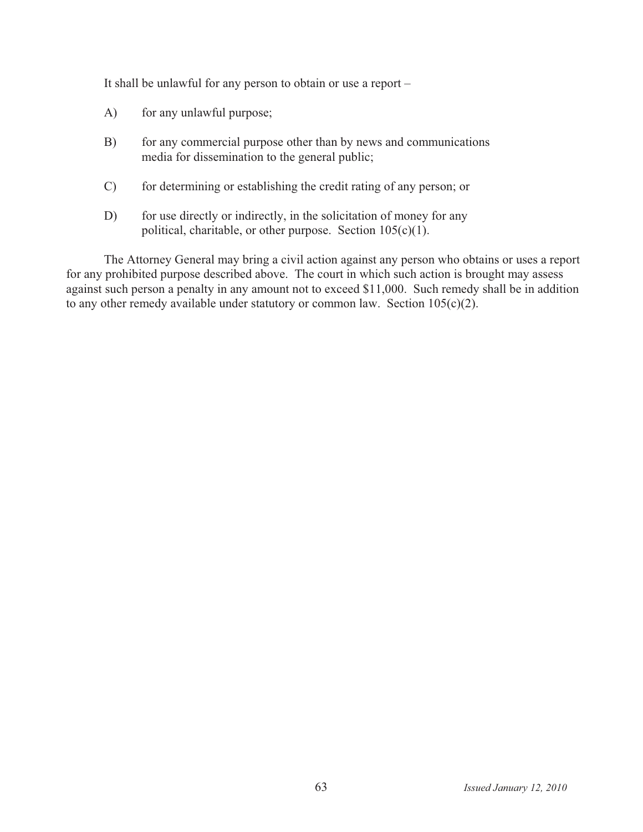It shall be unlawful for any person to obtain or use a report -

- for any unlawful purpose;  $A)$
- $B)$ for any commercial purpose other than by news and communications media for dissemination to the general public;
- for determining or establishing the credit rating of any person; or  $\mathcal{C}$
- $D)$ for use directly or indirectly, in the solicitation of money for any political, charitable, or other purpose. Section  $105(c)(1)$ .

The Attorney General may bring a civil action against any person who obtains or uses a report for any prohibited purpose described above. The court in which such action is brought may assess against such person a penalty in any amount not to exceed \$11,000. Such remedy shall be in addition to any other remedy available under statutory or common law. Section  $105(c)(2)$ .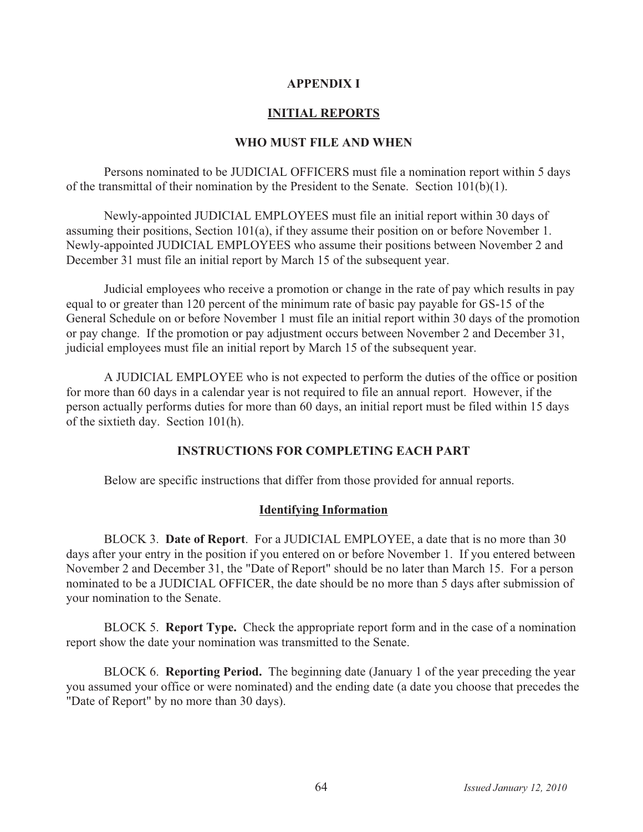### **APPENDIX I**

# **INITIAL REPORTS**

# **WHO MUST FILE AND WHEN**

Persons nominated to be JUDICIAL OFFICERS must file a nomination report within 5 days of the transmittal of their nomination by the President to the Senate. Section  $101(b)(1)$ .

Newly-appointed JUDICIAL EMPLOYEES must file an initial report within 30 days of assuming their positions, Section  $101(a)$ , if they assume their position on or before November 1. Newly-appointed JUDICIAL EMPLOYEES who assume their positions between November 2 and December 31 must file an initial report by March 15 of the subsequent year.

Judicial employees who receive a promotion or change in the rate of pay which results in pay equal to or greater than 120 percent of the minimum rate of basic pay payable for GS-15 of the General Schedule on or before November 1 must file an initial report within 30 days of the promotion or pay change. If the promotion or pay adjustment occurs between November 2 and December 31, judicial employees must file an initial report by March 15 of the subsequent year.

A JUDICIAL EMPLOYEE who is not expected to perform the duties of the office or position for more than 60 days in a calendar year is not required to file an annual report. However, if the person actually performs duties for more than 60 days, an initial report must be filed within 15 days of the sixtieth day. Section 101(h).

# **INSTRUCTIONS FOR COMPLETING EACH PART**

Below are specific instructions that differ from those provided for annual reports.

# **Identifying Information**

BLOCK 3. Date of Report. For a JUDICIAL EMPLOYEE, a date that is no more than 30 days after your entry in the position if you entered on or before November 1. If you entered between November 2 and December 31, the "Date of Report" should be no later than March 15. For a person nominated to be a JUDICIAL OFFICER, the date should be no more than 5 days after submission of your nomination to the Senate.

BLOCK 5. Report Type. Check the appropriate report form and in the case of a nomination report show the date your nomination was transmitted to the Senate.

BLOCK 6. Reporting Period. The beginning date (January 1 of the year preceding the year you assumed your office or were nominated) and the ending date (a date you choose that precedes the "Date of Report" by no more than 30 days).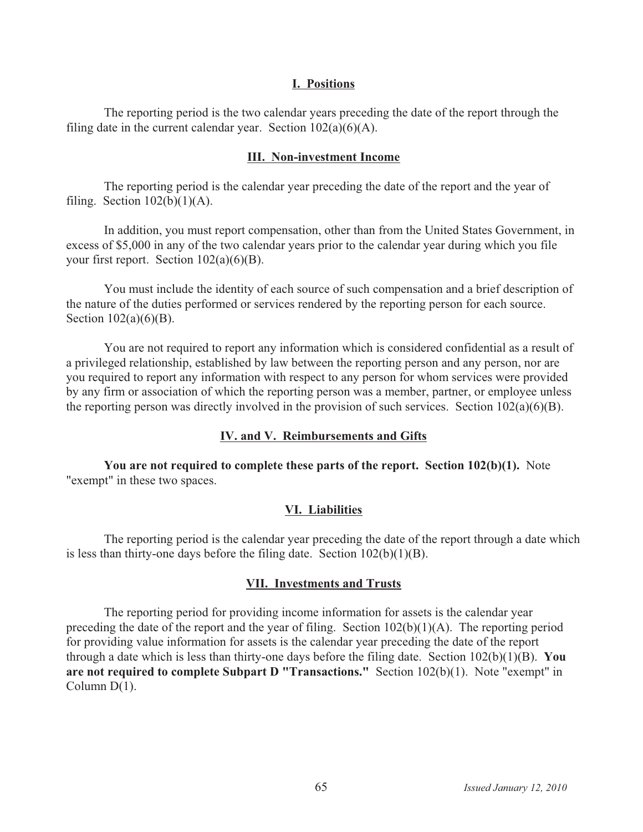#### **I. Positions**

The reporting period is the two calendar years preceding the date of the report through the filing date in the current calendar year. Section  $102(a)(6)(A)$ .

#### **III. Non-investment Income**

The reporting period is the calendar year preceding the date of the report and the year of filing. Section  $102(b)(1)(A)$ .

In addition, you must report compensation, other than from the United States Government, in excess of \$5,000 in any of the two calendar years prior to the calendar year during which you file your first report. Section  $102(a)(6)(B)$ .

You must include the identity of each source of such compensation and a brief description of the nature of the duties performed or services rendered by the reporting person for each source. Section  $102(a)(6)(B)$ .

You are not required to report any information which is considered confidential as a result of a privileged relationship, established by law between the reporting person and any person, nor are you required to report any information with respect to any person for whom services were provided by any firm or association of which the reporting person was a member, partner, or employee unless the reporting person was directly involved in the provision of such services. Section  $102(a)(6)(B)$ .

### **IV. and V. Reimbursements and Gifts**

**You are not required to complete these parts of the report. Section 102(b)(1).** Note "exempt" in these two spaces.

### **VI. Liabilities**

The reporting period is the calendar year preceding the date of the report through a date which is less than thirty-one days before the filing date. Section  $102(b)(1)(B)$ .

### **VII. Investments and Trusts**

The reporting period for providing income information for assets is the calendar year preceding the date of the report and the year of filing. Section  $102(b)(1)(A)$ . The reporting period for providing value information for assets is the calendar year preceding the date of the report through a date which is less than thirty-one days before the filing date. Section  $102(b)(1)(B)$ . You **are not required to complete Subpart D "Transactions."** Section 102(b)(1). Note "exempt" in Column  $D(1)$ .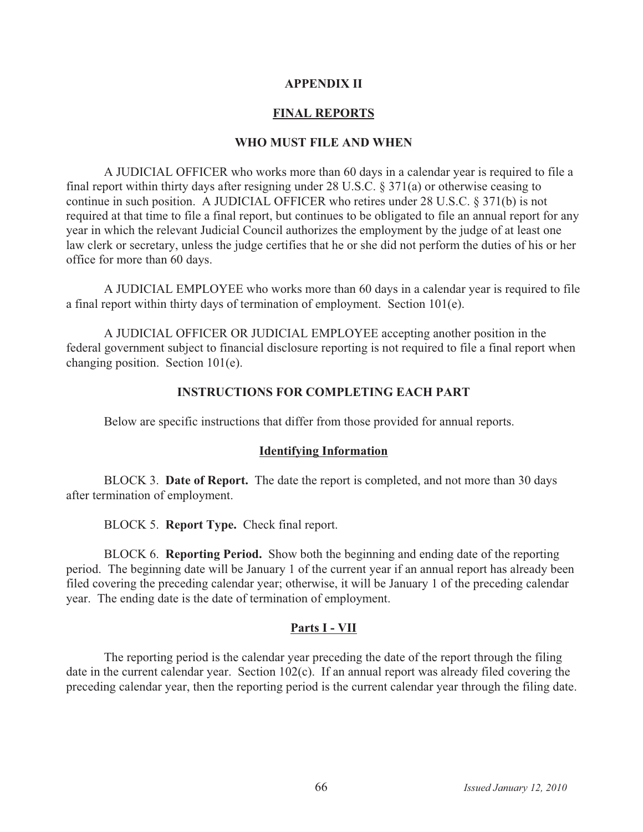## **APPENDIX II**

# **FINAL REPORTS**

#### **WHO MUST FILE AND WHEN**

A JUDICIAL OFFICER who works more than 60 days in a calendar year is required to file a final report within thirty days after resigning under 28 U.S.C.  $\S 371(a)$  or otherwise ceasing to continue in such position. A JUDICIAL OFFICER who retires under 28 U.S.C. § 371(b) is not required at that time to file a final report, but continues to be obligated to file an annual report for any year in which the relevant Judicial Council authorizes the employment by the judge of at least one law clerk or secretary, unless the judge certifies that he or she did not perform the duties of his or her office for more than 60 days.

A JUDICIAL EMPLOYEE who works more than 60 days in a calendar year is required to file a final report within thirty days of termination of employment. Section 101(e).

A JUDICIAL OFFICER OR JUDICIAL EMPLOYEE accepting another position in the federal government subject to financial disclosure reporting is not required to file a final report when changing position. Section 101(e).

### **INSTRUCTIONS FOR COMPLETING EACH PART**

Below are specific instructions that differ from those provided for annual reports.

#### **Identifying Information**

BLOCK 3. Date of Report. The date the report is completed, and not more than 30 days after termination of employment.

BLOCK 5. Report Type. Check final report.

BLOCK 6. Reporting Period. Show both the beginning and ending date of the reporting period. The beginning date will be January 1 of the current year if an annual report has already been filed covering the preceding calendar year; otherwise, it will be January 1 of the preceding calendar year. The ending date is the date of termination of employment.

# **Parts I - VII**

The reporting period is the calendar year preceding the date of the report through the filing date in the current calendar year. Section  $102(c)$ . If an annual report was already filed covering the preceding calendar year, then the reporting period is the current calendar year through the filing date.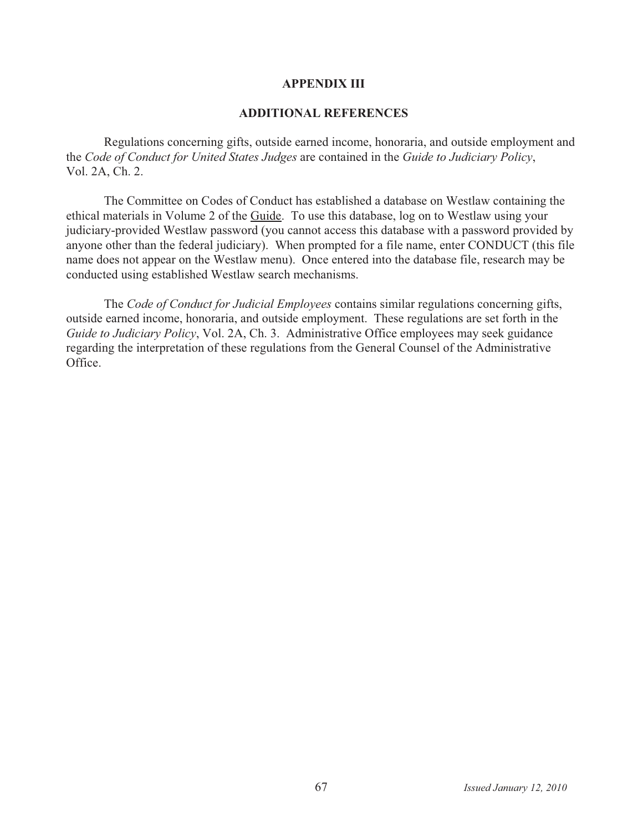#### **APPENDIX III**

#### **ADDITIONAL REFERENCES**

Regulations concerning gifts, outside earned income, honoraria, and outside employment and the *Code of Conduct for United States Judges* are contained in the *Guide to Judiciary Policy*, Vol. 2A, Ch. 2.

The Committee on Codes of Conduct has established a database on Westlaw containing the ethical materials in Volume 2 of the Guide. To use this database, log on to Westlaw using your judiciary-provided Westlaw password (you cannot access this database with a password provided by anyone other than the federal judiciary). When prompted for a file name, enter CONDUCT (this file name does not appear on the Westlaw menu). Once entered into the database file, research may be conducted using established Westlaw search mechanisms.

The *Code of Conduct for Judicial Employees* contains similar regulations concerning gifts, outside earned income, honoraria, and outside employment. These regulations are set forth in the *Guide to Judiciary Policy*, Vol. 2A, Ch. 3. Administrative Office employees may seek guidance regarding the interpretation of these regulations from the General Counsel of the Administrative Office.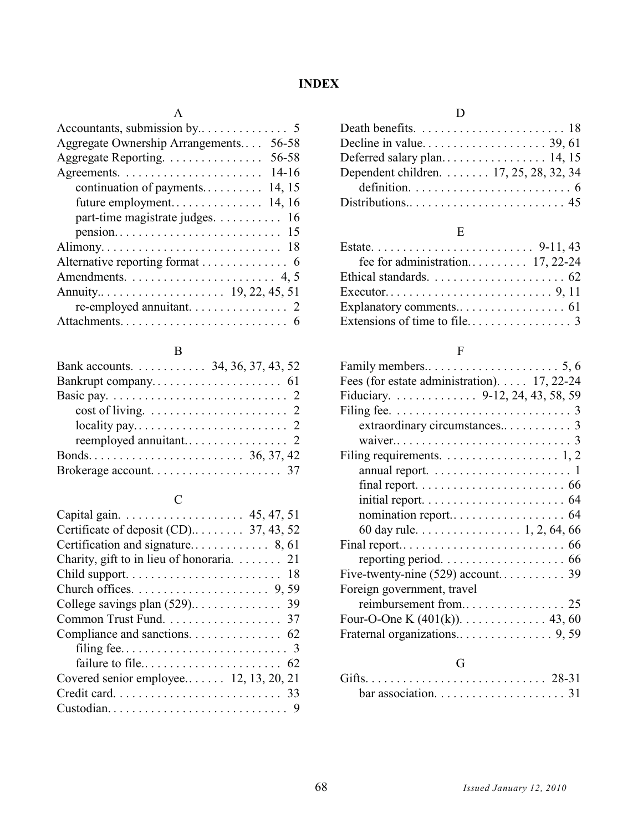# **INDEX**

### A

| Aggregate Ownership Arrangements<br>56-58                             |
|-----------------------------------------------------------------------|
| 56-58<br>Aggregate Reporting.                                         |
|                                                                       |
| continuation of payments 14, 15                                       |
|                                                                       |
| part-time magistrate judges. 16                                       |
| $pension. \ldots \ldots \ldots \ldots \ldots \ldots \ldots \ldots 15$ |
|                                                                       |
|                                                                       |
| Amendments. $\dots \dots \dots \dots \dots \dots \dots \dots$ 4, 5    |
|                                                                       |
|                                                                       |
|                                                                       |
|                                                                       |

#### B

| Bank accounts. 34, 36, 37, 43, 52                                  |  |  |  |
|--------------------------------------------------------------------|--|--|--|
|                                                                    |  |  |  |
|                                                                    |  |  |  |
|                                                                    |  |  |  |
| $locality pay. \ldots \ldots \ldots \ldots \ldots \ldots \ldots 2$ |  |  |  |
|                                                                    |  |  |  |
|                                                                    |  |  |  |
|                                                                    |  |  |  |

# C

| Certificate of deposit (CD) 37, 43, 52    |
|-------------------------------------------|
|                                           |
| Charity, gift to in lieu of honoraria. 21 |
|                                           |
|                                           |
|                                           |
| Common Trust Fund. 37                     |
|                                           |
|                                           |
|                                           |
| Covered senior employee 12, 13, 20, 21    |
|                                           |
|                                           |
|                                           |

#### $\mathbf D$

| Dependent children. 17, 25, 28, 32, 34                                |  |
|-----------------------------------------------------------------------|--|
| definition. $\ldots \ldots \ldots \ldots \ldots \ldots \ldots \ldots$ |  |
|                                                                       |  |
|                                                                       |  |

### E

| Ethical standards. $\ldots \ldots \ldots \ldots \ldots \ldots \ldots$ 62 |  |
|--------------------------------------------------------------------------|--|
|                                                                          |  |
|                                                                          |  |
|                                                                          |  |

### F

| Fees (for estate administration). 17, 22-24                                |
|----------------------------------------------------------------------------|
| Fiduciary. 9-12, 24, 43, 58, 59                                            |
|                                                                            |
|                                                                            |
|                                                                            |
| Filing requirements. $\dots \dots \dots \dots \dots \dots 1, 2$            |
| annual report. $\dots \dots \dots \dots \dots \dots \dots \dots$           |
| final report. $\ldots \ldots \ldots \ldots \ldots \ldots \ldots \ldots$ 66 |
|                                                                            |
|                                                                            |
| 60 day rule. $\ldots \ldots \ldots \ldots 1, 2, 64, 66$                    |
|                                                                            |
|                                                                            |
|                                                                            |
| Foreign government, travel                                                 |
|                                                                            |
|                                                                            |
|                                                                            |
|                                                                            |
|                                                                            |

### G

| bar association. $\ldots \ldots \ldots \ldots \ldots \ldots$ 31 |  |  |  |  |  |  |  |  |  |  |
|-----------------------------------------------------------------|--|--|--|--|--|--|--|--|--|--|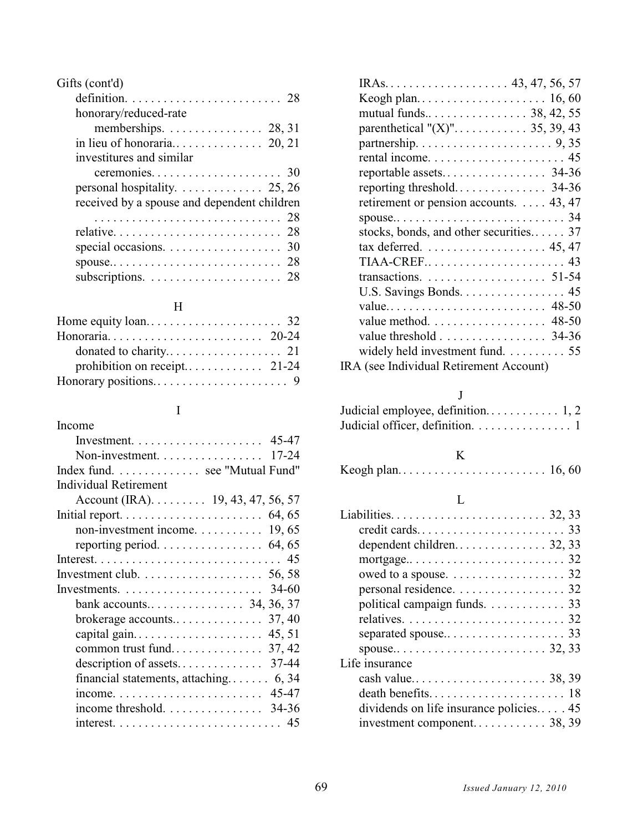| Gifts (cont'd)                                                |  |
|---------------------------------------------------------------|--|
|                                                               |  |
| honorary/reduced-rate                                         |  |
| memberships. $\ldots$ . 28, 31                                |  |
|                                                               |  |
| investitures and similar                                      |  |
|                                                               |  |
| personal hospitality. $\ldots \ldots \ldots \ldots 25, 26$    |  |
| received by a spouse and dependent children                   |  |
|                                                               |  |
|                                                               |  |
| special occasions. $\ldots \ldots \ldots \ldots \ldots$ 30    |  |
|                                                               |  |
| subscriptions. $\ldots \ldots \ldots \ldots \ldots \ldots$ 28 |  |
|                                                               |  |

### H

| Home equity $\text{loan.} \dots \dots \dots \dots \dots \dots \dots \dots \dots 32$ |  |
|-------------------------------------------------------------------------------------|--|
|                                                                                     |  |
|                                                                                     |  |
|                                                                                     |  |
|                                                                                     |  |

## I

| Income                                                              |
|---------------------------------------------------------------------|
|                                                                     |
|                                                                     |
| Index fund. see "Mutual Fund"                                       |
| Individual Retirement                                               |
| Account (IRA). $\dots$ 19, 43, 47, 56, 57                           |
|                                                                     |
| non-investment income. $\dots \dots \dots \dots$ 19, 65             |
|                                                                     |
|                                                                     |
| Investment club. $\ldots \ldots \ldots \ldots \ldots \ldots 56, 58$ |
| Investments. $\ldots \ldots \ldots \ldots \ldots \ldots$ 34-60      |
|                                                                     |
|                                                                     |
|                                                                     |
|                                                                     |
|                                                                     |
| financial statements, attaching $6, 34$                             |
|                                                                     |
| income threshold. $\ldots \ldots \ldots \ldots$ 34-36               |
|                                                                     |
|                                                                     |

# J

| Judicial officer, definition. $\ldots \ldots \ldots \ldots \ldots$ |  |
|--------------------------------------------------------------------|--|

# K

|--|--|--|--|--|--|--|--|--|--|--|--|--|--|--|--|--|--|--|--|--|--|--|--|--|

# L

| personal residence. 32                    |
|-------------------------------------------|
| political campaign funds. 33              |
|                                           |
|                                           |
|                                           |
| Life insurance                            |
|                                           |
|                                           |
| dividends on life insurance policies $45$ |
|                                           |
|                                           |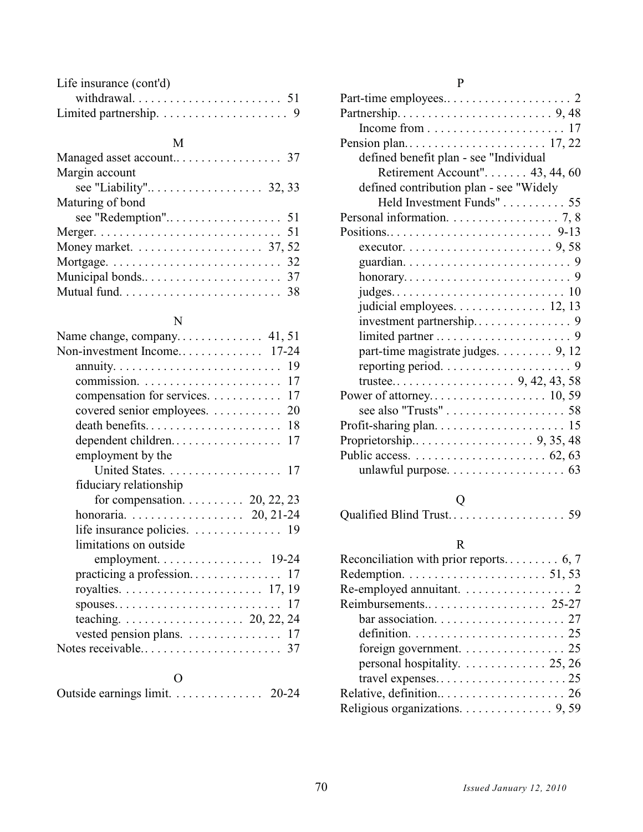| Life insurance (cont'd) |  |
|-------------------------|--|
|                         |  |
|                         |  |

#### M

| Margin account                                                   |
|------------------------------------------------------------------|
|                                                                  |
| Maturing of bond                                                 |
|                                                                  |
|                                                                  |
| Money market. $\ldots \ldots \ldots \ldots \ldots \ldots$ 37, 52 |
|                                                                  |
|                                                                  |
|                                                                  |

### N

| 19                                                  |
|-----------------------------------------------------|
| 17                                                  |
| compensation for services.<br>17                    |
| covered senior employees.<br>20                     |
| death benefits<br>18                                |
| dependent children<br>17                            |
| employment by the                                   |
|                                                     |
| fiduciary relationship                              |
| for compensation. $\ldots \ldots \ldots$ 20, 22, 23 |
| honoraria. 20, 21-24                                |
| life insurance policies. 19                         |
| limitations on outside                              |
|                                                     |
| practicing a profession<br>17                       |
|                                                     |
| 17<br>spouses                                       |
|                                                     |
| vested pension plans. 17                            |
|                                                     |
|                                                     |

| Outside earnings limit. | $20 - 24$ |
|-------------------------|-----------|
|-------------------------|-----------|

### P

| defined benefit plan - see "Individual                          |
|-----------------------------------------------------------------|
| Retirement Account". $\dots \dots$ 43, 44, 60                   |
| defined contribution plan - see "Widely                         |
| Held Investment Funds" 55                                       |
| Personal information. $\ldots \ldots \ldots \ldots \ldots$ 7, 8 |
|                                                                 |
|                                                                 |
|                                                                 |
|                                                                 |
|                                                                 |
| judicial employees. 12, 13                                      |
|                                                                 |
|                                                                 |
| part-time magistrate judges. 9, 12                              |
|                                                                 |
|                                                                 |
|                                                                 |
|                                                                 |
|                                                                 |
|                                                                 |
|                                                                 |
|                                                                 |
|                                                                 |

# Q

Qualified Blind Trust. . . . . . . . . . . . . . . . . . . 59

### R

| Reconciliation with prior reports 6, 7                                   |
|--------------------------------------------------------------------------|
| Redemption. $\ldots \ldots \ldots \ldots \ldots \ldots 51, 53$           |
|                                                                          |
| Reimbursements 25-27                                                     |
|                                                                          |
| definition. $\ldots \ldots \ldots \ldots \ldots \ldots \ldots \ldots 25$ |
| foreign government. $\ldots \ldots \ldots \ldots \ldots$ 25              |
| personal hospitality. $\ldots \ldots \ldots \ldots 25, 26$               |
|                                                                          |
|                                                                          |
| Religious organizations. 9, 59                                           |